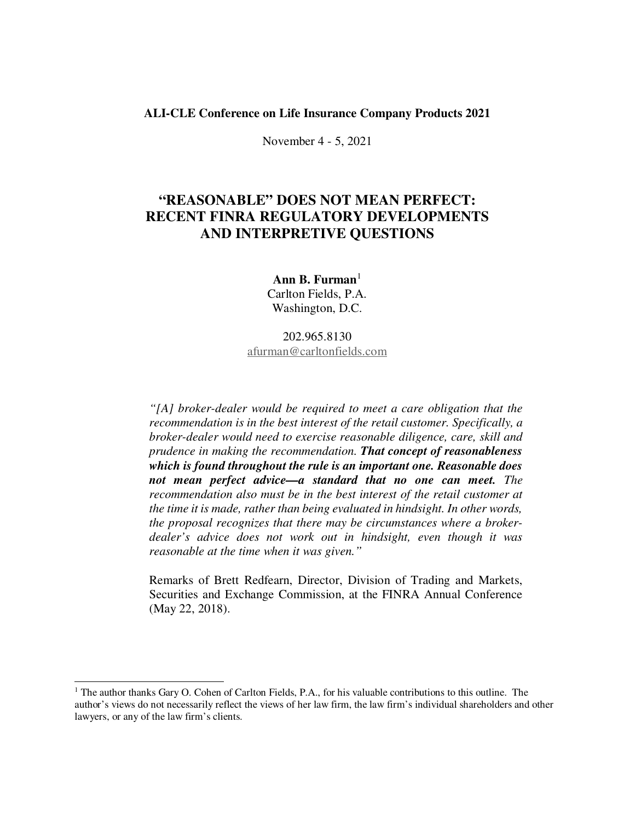#### **ALI-CLE Conference on Life Insurance Company Products 2021**

November 4 - 5, 2021

# **"REASONABLE" DOES NOT MEAN PERFECT: RECENT FINRA REGULATORY DEVELOPMENTS AND INTERPRETIVE QUESTIONS**

**Ann B. Furman**<sup>1</sup> Carlton Fields, P.A. Washington, D.C.

## 202.965.8130 afurman@carltonfields.com

*"[A] broker-dealer would be required to meet a care obligation that the recommendation is in the best interest of the retail customer. Specifically, a broker-dealer would need to exercise reasonable diligence, care, skill and prudence in making the recommendation. That concept of reasonableness which is found throughout the rule is an important one. Reasonable does not mean perfect advice—a standard that no one can meet. The recommendation also must be in the best interest of the retail customer at the time it is made, rather than being evaluated in hindsight. In other words, the proposal recognizes that there may be circumstances where a brokerdealer's advice does not work out in hindsight, even though it was reasonable at the time when it was given."* 

Remarks of Brett Redfearn, Director, Division of Trading and Markets, Securities and Exchange Commission, at the FINRA Annual Conference (May 22, 2018).

<sup>&</sup>lt;sup>1</sup> The author thanks Gary O. Cohen of Carlton Fields, P.A., for his valuable contributions to this outline. The author's views do not necessarily reflect the views of her law firm, the law firm's individual shareholders and other lawyers, or any of the law firm's clients.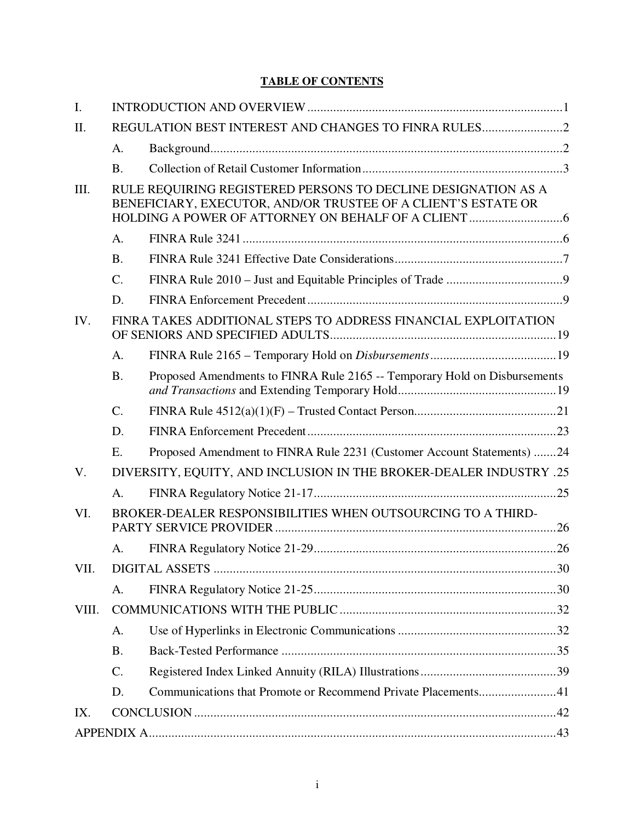# **TABLE OF CONTENTS**

| $\mathbf{I}$ . |                                                     |                                                                                                                                |  |
|----------------|-----------------------------------------------------|--------------------------------------------------------------------------------------------------------------------------------|--|
| II.            | REGULATION BEST INTEREST AND CHANGES TO FINRA RULES |                                                                                                                                |  |
|                | A.                                                  |                                                                                                                                |  |
|                | <b>B.</b>                                           |                                                                                                                                |  |
| III.           |                                                     | RULE REQUIRING REGISTERED PERSONS TO DECLINE DESIGNATION AS A<br>BENEFICIARY, EXECUTOR, AND/OR TRUSTEE OF A CLIENT'S ESTATE OR |  |
|                | $A_{\cdot}$                                         |                                                                                                                                |  |
|                | <b>B.</b>                                           |                                                                                                                                |  |
|                | C.                                                  |                                                                                                                                |  |
|                | D.                                                  |                                                                                                                                |  |
| IV.            |                                                     | FINRA TAKES ADDITIONAL STEPS TO ADDRESS FINANCIAL EXPLOITATION                                                                 |  |
|                | A.                                                  |                                                                                                                                |  |
|                | <b>B.</b>                                           | Proposed Amendments to FINRA Rule 2165 -- Temporary Hold on Disbursements                                                      |  |
|                | $\mathcal{C}$ .                                     |                                                                                                                                |  |
|                | D.                                                  |                                                                                                                                |  |
|                | E.                                                  | Proposed Amendment to FINRA Rule 2231 (Customer Account Statements) 24                                                         |  |
| V.             |                                                     | DIVERSITY, EQUITY, AND INCLUSION IN THE BROKER-DEALER INDUSTRY .25                                                             |  |
|                | A.                                                  |                                                                                                                                |  |
| VI.            |                                                     | BROKER-DEALER RESPONSIBILITIES WHEN OUTSOURCING TO A THIRD-                                                                    |  |
|                | A.                                                  |                                                                                                                                |  |
| VII.           |                                                     |                                                                                                                                |  |
|                | A.                                                  |                                                                                                                                |  |
| VIII.          |                                                     |                                                                                                                                |  |
|                | A.                                                  |                                                                                                                                |  |
|                | <b>B.</b>                                           |                                                                                                                                |  |
|                | C.                                                  |                                                                                                                                |  |
|                | D.                                                  | Communications that Promote or Recommend Private Placements41                                                                  |  |
| IX.            |                                                     |                                                                                                                                |  |
|                |                                                     |                                                                                                                                |  |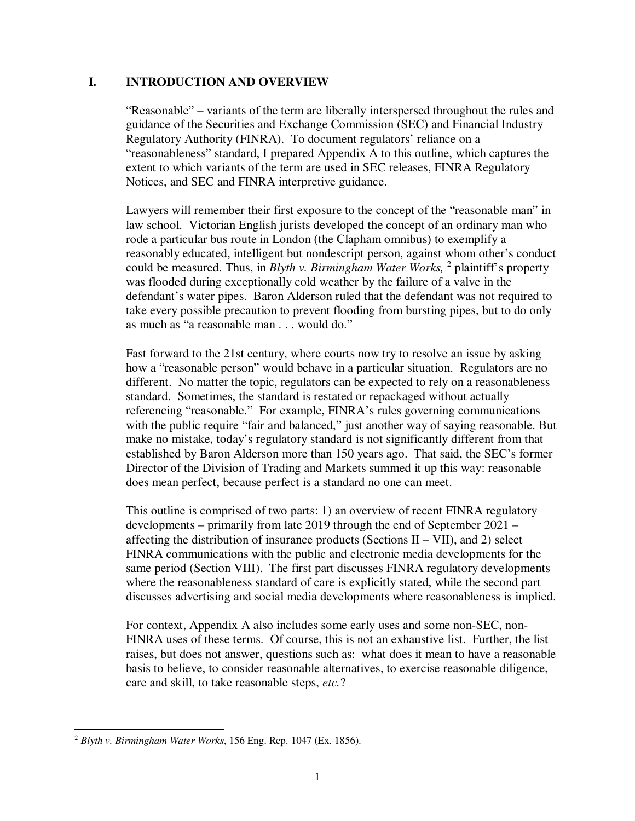### **I. INTRODUCTION AND OVERVIEW**

"Reasonable" – variants of the term are liberally interspersed throughout the rules and guidance of the Securities and Exchange Commission (SEC) and Financial Industry Regulatory Authority (FINRA). To document regulators' reliance on a "reasonableness" standard, I prepared Appendix A to this outline, which captures the extent to which variants of the term are used in SEC releases, FINRA Regulatory Notices, and SEC and FINRA interpretive guidance.

Lawyers will remember their first exposure to the concept of the "reasonable man" in law school. Victorian English jurists developed the concept of an ordinary man who rode a particular bus route in London (the Clapham omnibus) to exemplify a reasonably educated, intelligent but nondescript person, against whom other's conduct could be measured. Thus, in *Blyth v. Birmingham Water Works,* <sup>2</sup> plaintiff's property was flooded during exceptionally cold weather by the failure of a valve in the defendant's water pipes. Baron Alderson ruled that the defendant was not required to take every possible precaution to prevent flooding from bursting pipes, but to do only as much as "a reasonable man . . . would do."

Fast forward to the 21st century, where courts now try to resolve an issue by asking how a "reasonable person" would behave in a particular situation. Regulators are no different. No matter the topic, regulators can be expected to rely on a reasonableness standard. Sometimes, the standard is restated or repackaged without actually referencing "reasonable." For example, FINRA's rules governing communications with the public require "fair and balanced," just another way of saying reasonable. But make no mistake, today's regulatory standard is not significantly different from that established by Baron Alderson more than 150 years ago. That said, the SEC's former Director of the Division of Trading and Markets summed it up this way: reasonable does mean perfect, because perfect is a standard no one can meet.

This outline is comprised of two parts: 1) an overview of recent FINRA regulatory developments – primarily from late 2019 through the end of September 2021 – affecting the distribution of insurance products (Sections  $II - VII$ ), and 2) select FINRA communications with the public and electronic media developments for the same period (Section VIII). The first part discusses FINRA regulatory developments where the reasonableness standard of care is explicitly stated, while the second part discusses advertising and social media developments where reasonableness is implied.

For context, Appendix A also includes some early uses and some non-SEC, non-FINRA uses of these terms. Of course, this is not an exhaustive list. Further, the list raises, but does not answer, questions such as: what does it mean to have a reasonable basis to believe, to consider reasonable alternatives, to exercise reasonable diligence, care and skill, to take reasonable steps, *etc.*?

 <sup>2</sup> *Blyth v. Birmingham Water Works*, 156 Eng. Rep. 1047 (Ex. 1856).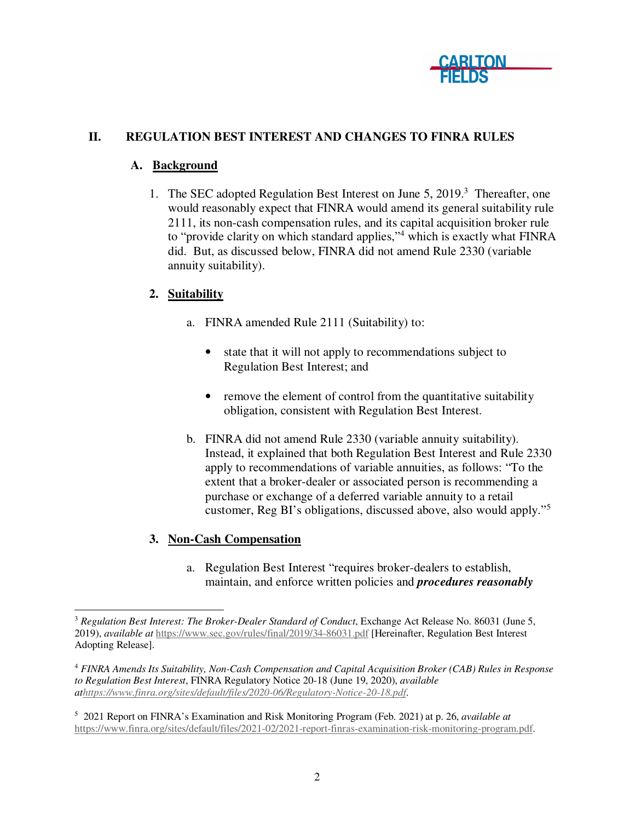

# **II. REGULATION BEST INTEREST AND CHANGES TO FINRA RULES**

## **A. Background**

1. The SEC adopted Regulation Best Interest on June 5, 2019.<sup>3</sup> Thereafter, one would reasonably expect that FINRA would amend its general suitability rule 2111, its non-cash compensation rules, and its capital acquisition broker rule to "provide clarity on which standard applies,"<sup>4</sup> which is exactly what FINRA did. But, as discussed below, FINRA did not amend Rule 2330 (variable annuity suitability).

# **2. Suitability**

- a. FINRA amended Rule 2111 (Suitability) to:
	- state that it will not apply to recommendations subject to Regulation Best Interest; and
	- remove the element of control from the quantitative suitability obligation, consistent with Regulation Best Interest.
- b. FINRA did not amend Rule 2330 (variable annuity suitability). Instead, it explained that both Regulation Best Interest and Rule 2330 apply to recommendations of variable annuities, as follows: "To the extent that a broker-dealer or associated person is recommending a purchase or exchange of a deferred variable annuity to a retail customer, Reg BI's obligations, discussed above, also would apply."<sup>5</sup>

# **3. Non-Cash Compensation**

a. Regulation Best Interest "requires broker-dealers to establish, maintain, and enforce written policies and *procedures reasonably* 

<sup>&</sup>lt;sup>3</sup> Regulation Best Interest: The Broker-Dealer Standard of Conduct, Exchange Act Release No. 86031 (June 5, 2019), *available at* https://www.sec.gov/rules/final/2019/34-86031.pdf [Hereinafter, Regulation Best Interest Adopting Release].

<sup>4</sup> *FINRA Amends Its Suitability, Non-Cash Compensation and Capital Acquisition Broker (CAB) Rules in Response to Regulation Best Interest*, FINRA Regulatory Notice 20-18 (June 19, 2020), *available athttps://www.finra.org/sites/default/files/2020-06/Regulatory-Notice-20-18.pdf*.

<sup>5</sup> 2021 Report on FINRA's Examination and Risk Monitoring Program (Feb. 2021) at p. 26, *available at* https://www.finra.org/sites/default/files/2021-02/2021-report-finras-examination-risk-monitoring-program.pdf.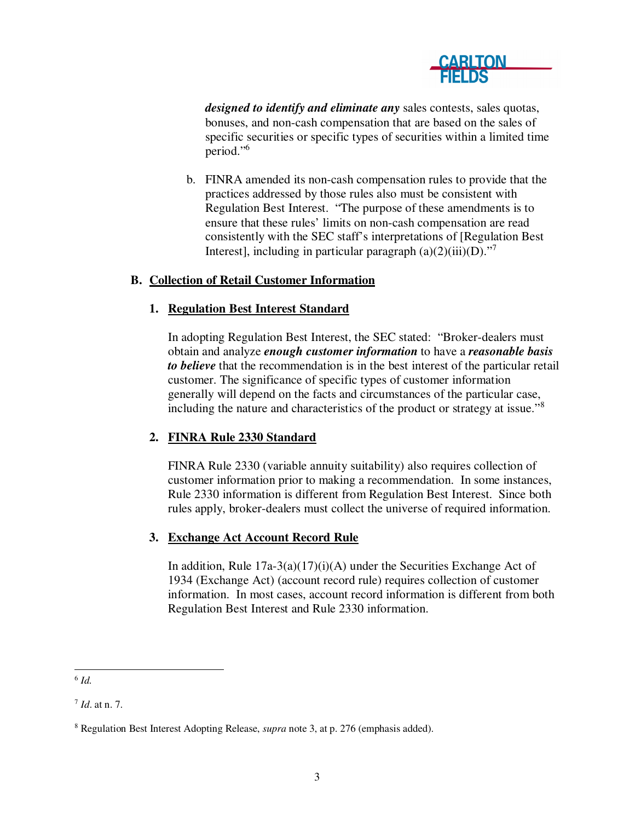

*designed to identify and eliminate any* sales contests, sales quotas, bonuses, and non-cash compensation that are based on the sales of specific securities or specific types of securities within a limited time period."<sup>6</sup>

b. FINRA amended its non-cash compensation rules to provide that the practices addressed by those rules also must be consistent with Regulation Best Interest. "The purpose of these amendments is to ensure that these rules' limits on non-cash compensation are read consistently with the SEC staff's interpretations of [Regulation Best Interest], including in particular paragraph  $(a)(2)(iii)(D)$ ."

## **B. Collection of Retail Customer Information**

## **1. Regulation Best Interest Standard**

In adopting Regulation Best Interest, the SEC stated: "Broker-dealers must obtain and analyze *enough customer information* to have a *reasonable basis to believe* that the recommendation is in the best interest of the particular retail customer. The significance of specific types of customer information generally will depend on the facts and circumstances of the particular case, including the nature and characteristics of the product or strategy at issue."<sup>8</sup>

### **2. FINRA Rule 2330 Standard**

FINRA Rule 2330 (variable annuity suitability) also requires collection of customer information prior to making a recommendation. In some instances, Rule 2330 information is different from Regulation Best Interest. Since both rules apply, broker-dealers must collect the universe of required information.

## **3. Exchange Act Account Record Rule**

In addition, Rule  $17a-3(a)(17)(i)(A)$  under the Securities Exchange Act of 1934 (Exchange Act) (account record rule) requires collection of customer information. In most cases, account record information is different from both Regulation Best Interest and Rule 2330 information.

 6 *Id.* 

<sup>7</sup> *Id*. at n. 7.

<sup>8</sup> Regulation Best Interest Adopting Release, *supra* note 3, at p. 276 (emphasis added).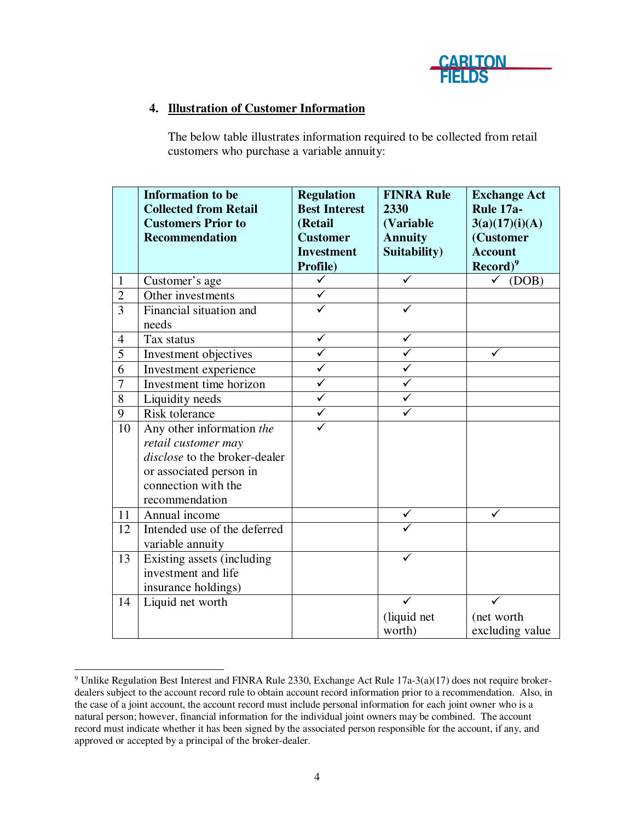

## **4. Illustration of Customer Information**

The below table illustrates information required to be collected from retail customers who purchase a variable annuity:

|                | <b>Information to be</b>             | <b>Regulation</b>       | <b>FINRA Rule</b> | <b>Exchange Act</b>          |
|----------------|--------------------------------------|-------------------------|-------------------|------------------------------|
|                | <b>Collected from Retail</b>         | <b>Best Interest</b>    | 2330              | Rule 17a-                    |
|                | <b>Customers Prior to</b>            | (Retail                 | (Variable         | 3(a)(17)(i)(A)               |
|                | <b>Recommendation</b>                | <b>Customer</b>         | <b>Annuity</b>    | (Customer                    |
|                |                                      | <b>Investment</b>       | Suitability)      | <b>Account</b>               |
|                |                                      | Profile)                |                   | $\text{Record}$ <sup>9</sup> |
| $\mathbf{1}$   | Customer's age                       | $\checkmark$            | $\checkmark$      | (DOB)<br>$\checkmark$        |
| $\overline{2}$ | Other investments                    |                         |                   |                              |
| $\overline{3}$ | Financial situation and              |                         | ✓                 |                              |
|                | needs                                |                         |                   |                              |
| $\overline{4}$ | Tax status                           | ✓                       | ✓                 |                              |
| 5              | Investment objectives                | $\overline{\checkmark}$ | ✓                 | ✓                            |
| 6              | Investment experience                | ✓                       | ✓                 |                              |
| 7              | Investment time horizon              | ✓                       |                   |                              |
| 8              | Liquidity needs                      | ✓                       |                   |                              |
| 9              | Risk tolerance                       | ✓                       |                   |                              |
| 10             | Any other information the            |                         |                   |                              |
|                | retail customer may                  |                         |                   |                              |
|                | <i>disclose</i> to the broker-dealer |                         |                   |                              |
|                | or associated person in              |                         |                   |                              |
|                | connection with the                  |                         |                   |                              |
|                | recommendation                       |                         |                   |                              |
| 11             | Annual income                        |                         |                   |                              |
| 12             | Intended use of the deferred         |                         |                   |                              |
|                | variable annuity                     |                         |                   |                              |
| 13             | Existing assets (including           |                         |                   |                              |
|                | investment and life                  |                         |                   |                              |
|                | insurance holdings)                  |                         |                   |                              |
| 14             | Liquid net worth                     |                         | ✓                 |                              |
|                |                                      |                         | (liquid net       | (net worth                   |
|                |                                      |                         | worth)            | excluding value              |

 9 Unlike Regulation Best Interest and FINRA Rule 2330, Exchange Act Rule 17a-3(a)(17) does not require brokerdealers subject to the account record rule to obtain account record information prior to a recommendation. Also, in the case of a joint account, the account record must include personal information for each joint owner who is a natural person; however, financial information for the individual joint owners may be combined. The account record must indicate whether it has been signed by the associated person responsible for the account, if any, and approved or accepted by a principal of the broker-dealer.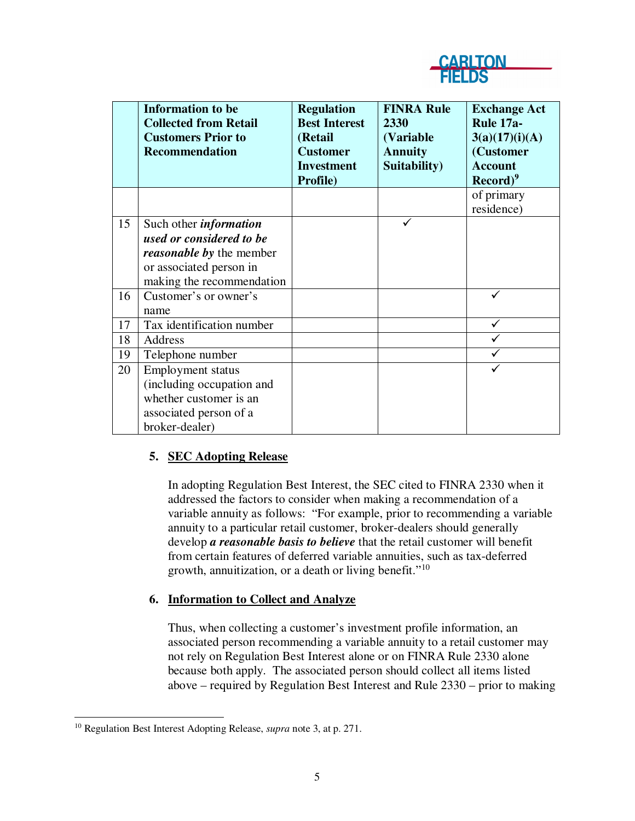

|    | <b>Information to be</b><br><b>Collected from Retail</b><br><b>Customers Prior to</b><br><b>Recommendation</b>                                       | <b>Regulation</b><br><b>Best Interest</b><br>(Retail<br><b>Customer</b><br><b>Investment</b><br>Profile) | <b>FINRA Rule</b><br>2330<br>(Variable)<br><b>Annuity</b><br>Suitability) | <b>Exchange Act</b><br>Rule 17a-<br>3(a)(17)(i)(A)<br>(Customer<br><b>Account</b><br>$\text{Record}\text{)}^9$ |
|----|------------------------------------------------------------------------------------------------------------------------------------------------------|----------------------------------------------------------------------------------------------------------|---------------------------------------------------------------------------|----------------------------------------------------------------------------------------------------------------|
|    |                                                                                                                                                      |                                                                                                          |                                                                           | of primary<br>residence)                                                                                       |
| 15 | Such other <i>information</i><br>used or considered to be<br><i>reasonable by the member</i><br>or associated person in<br>making the recommendation |                                                                                                          |                                                                           |                                                                                                                |
| 16 | Customer's or owner's<br>name                                                                                                                        |                                                                                                          |                                                                           |                                                                                                                |
| 17 | Tax identification number                                                                                                                            |                                                                                                          |                                                                           | ✓                                                                                                              |
| 18 | Address                                                                                                                                              |                                                                                                          |                                                                           |                                                                                                                |
| 19 | Telephone number                                                                                                                                     |                                                                                                          |                                                                           |                                                                                                                |
| 20 | <b>Employment status</b><br>(including occupation and<br>whether customer is an<br>associated person of a<br>broker-dealer)                          |                                                                                                          |                                                                           | ✓                                                                                                              |

# **5. SEC Adopting Release**

In adopting Regulation Best Interest, the SEC cited to FINRA 2330 when it addressed the factors to consider when making a recommendation of a variable annuity as follows: "For example, prior to recommending a variable annuity to a particular retail customer, broker-dealers should generally develop *a reasonable basis to believe* that the retail customer will benefit from certain features of deferred variable annuities, such as tax-deferred growth, annuitization, or a death or living benefit."<sup>10</sup>

### **6. Information to Collect and Analyze**

Thus, when collecting a customer's investment profile information, an associated person recommending a variable annuity to a retail customer may not rely on Regulation Best Interest alone or on FINRA Rule 2330 alone because both apply. The associated person should collect all items listed above – required by Regulation Best Interest and Rule 2330 – prior to making

 10 Regulation Best Interest Adopting Release, *supra* note 3, at p. 271.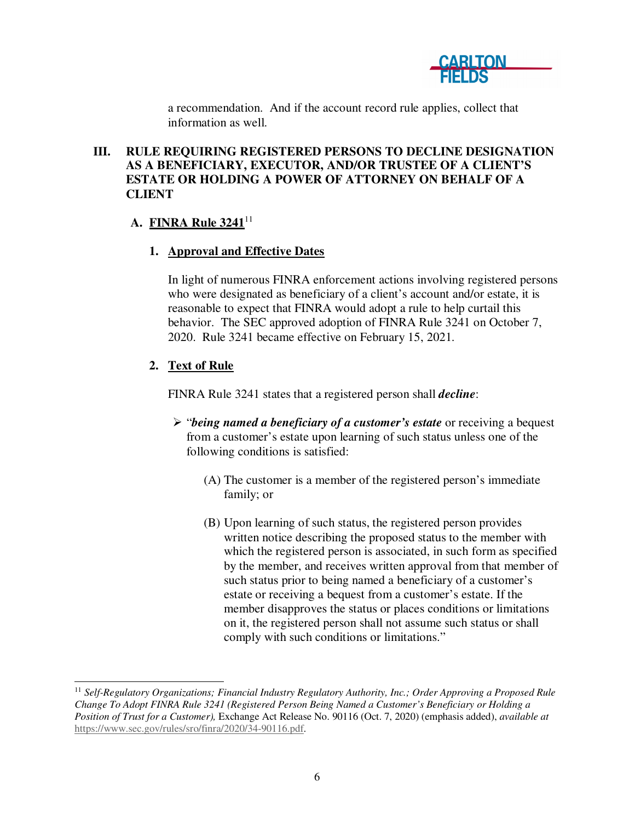

a recommendation. And if the account record rule applies, collect that information as well.

# **III. RULE REQUIRING REGISTERED PERSONS TO DECLINE DESIGNATION AS A BENEFICIARY, EXECUTOR, AND/OR TRUSTEE OF A CLIENT'S ESTATE OR HOLDING A POWER OF ATTORNEY ON BEHALF OF A CLIENT**

# **A. FINRA Rule 3241**<sup>11</sup>

# **1. Approval and Effective Dates**

In light of numerous FINRA enforcement actions involving registered persons who were designated as beneficiary of a client's account and/or estate, it is reasonable to expect that FINRA would adopt a rule to help curtail this behavior. The SEC approved adoption of FINRA Rule 3241 on October 7, 2020. Rule 3241 became effective on February 15, 2021.

# **2. Text of Rule**

FINRA Rule 3241 states that a registered person shall *decline*:

- "*being named a beneficiary of a customer's estate* or receiving a bequest from a customer's estate upon learning of such status unless one of the following conditions is satisfied:
	- (A) The customer is a member of the registered person's immediate family; or
	- (B) Upon learning of such status, the registered person provides written notice describing the proposed status to the member with which the registered person is associated, in such form as specified by the member, and receives written approval from that member of such status prior to being named a beneficiary of a customer's estate or receiving a bequest from a customer's estate. If the member disapproves the status or places conditions or limitations on it, the registered person shall not assume such status or shall comply with such conditions or limitations."

 <sup>11</sup> *Self-Regulatory Organizations; Financial Industry Regulatory Authority, Inc.; Order Approving a Proposed Rule Change To Adopt FINRA Rule 3241 (Registered Person Being Named a Customer's Beneficiary or Holding a Position of Trust for a Customer),* Exchange Act Release No. 90116 (Oct. 7, 2020) (emphasis added), *available at* https://www.sec.gov/rules/sro/finra/2020/34-90116.pdf.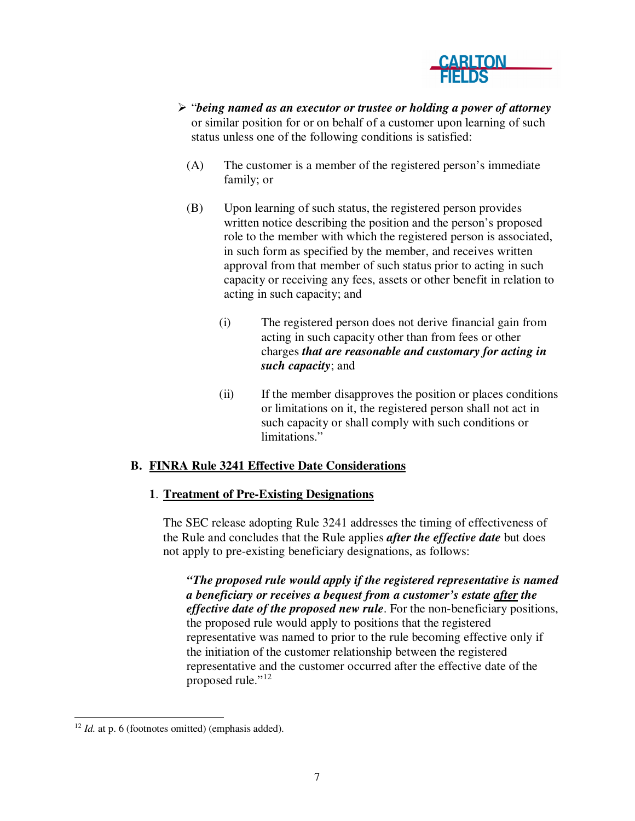

- "*being named as an executor or trustee or holding a power of attorney* or similar position for or on behalf of a customer upon learning of such status unless one of the following conditions is satisfied:
	- (A) The customer is a member of the registered person's immediate family; or
	- (B) Upon learning of such status, the registered person provides written notice describing the position and the person's proposed role to the member with which the registered person is associated, in such form as specified by the member, and receives written approval from that member of such status prior to acting in such capacity or receiving any fees, assets or other benefit in relation to acting in such capacity; and
		- (i) The registered person does not derive financial gain from acting in such capacity other than from fees or other charges *that are reasonable and customary for acting in such capacity*; and
		- (ii) If the member disapproves the position or places conditions or limitations on it, the registered person shall not act in such capacity or shall comply with such conditions or limitations."

# **B. FINRA Rule 3241 Effective Date Considerations**

# **1**. **Treatment of Pre-Existing Designations**

The SEC release adopting Rule 3241 addresses the timing of effectiveness of the Rule and concludes that the Rule applies *after the effective date* but does not apply to pre-existing beneficiary designations, as follows:

*"The proposed rule would apply if the registered representative is named a beneficiary or receives a bequest from a customer's estate after the effective date of the proposed new rule*. For the non-beneficiary positions, the proposed rule would apply to positions that the registered representative was named to prior to the rule becoming effective only if the initiation of the customer relationship between the registered representative and the customer occurred after the effective date of the proposed rule."<sup>12</sup>

 $12$  *Id.* at p. 6 (footnotes omitted) (emphasis added).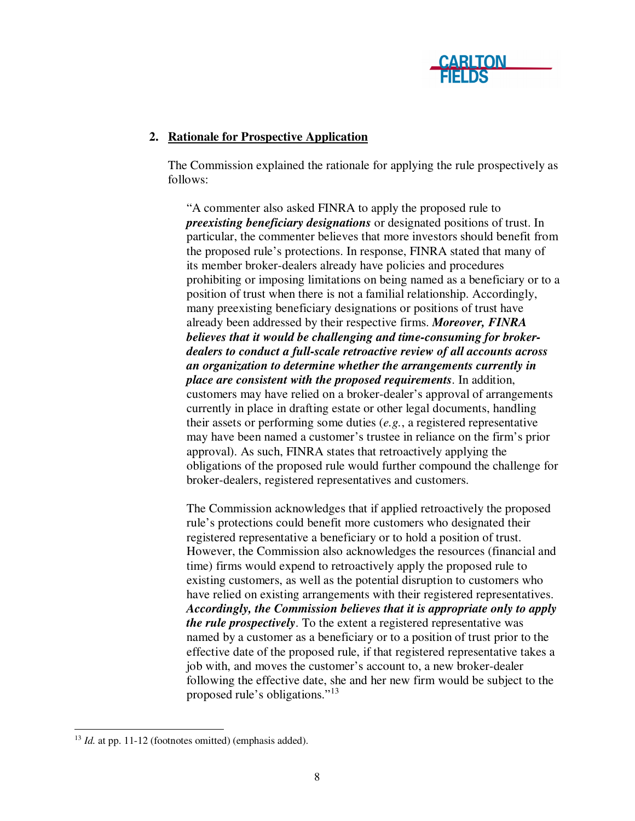

## **2. Rationale for Prospective Application**

The Commission explained the rationale for applying the rule prospectively as follows:

"A commenter also asked FINRA to apply the proposed rule to *preexisting beneficiary designations* or designated positions of trust. In particular, the commenter believes that more investors should benefit from the proposed rule's protections. In response, FINRA stated that many of its member broker-dealers already have policies and procedures prohibiting or imposing limitations on being named as a beneficiary or to a position of trust when there is not a familial relationship. Accordingly, many preexisting beneficiary designations or positions of trust have already been addressed by their respective firms. *Moreover, FINRA believes that it would be challenging and time-consuming for brokerdealers to conduct a full-scale retroactive review of all accounts across an organization to determine whether the arrangements currently in place are consistent with the proposed requirements*. In addition, customers may have relied on a broker-dealer's approval of arrangements currently in place in drafting estate or other legal documents, handling their assets or performing some duties (*e.g.*, a registered representative may have been named a customer's trustee in reliance on the firm's prior approval). As such, FINRA states that retroactively applying the obligations of the proposed rule would further compound the challenge for broker-dealers, registered representatives and customers.

The Commission acknowledges that if applied retroactively the proposed rule's protections could benefit more customers who designated their registered representative a beneficiary or to hold a position of trust. However, the Commission also acknowledges the resources (financial and time) firms would expend to retroactively apply the proposed rule to existing customers, as well as the potential disruption to customers who have relied on existing arrangements with their registered representatives. *Accordingly, the Commission believes that it is appropriate only to apply the rule prospectively*. To the extent a registered representative was named by a customer as a beneficiary or to a position of trust prior to the effective date of the proposed rule, if that registered representative takes a job with, and moves the customer's account to, a new broker-dealer following the effective date, she and her new firm would be subject to the proposed rule's obligations."<sup>13</sup>

<sup>&</sup>lt;sup>13</sup> *Id.* at pp. 11-12 (footnotes omitted) (emphasis added).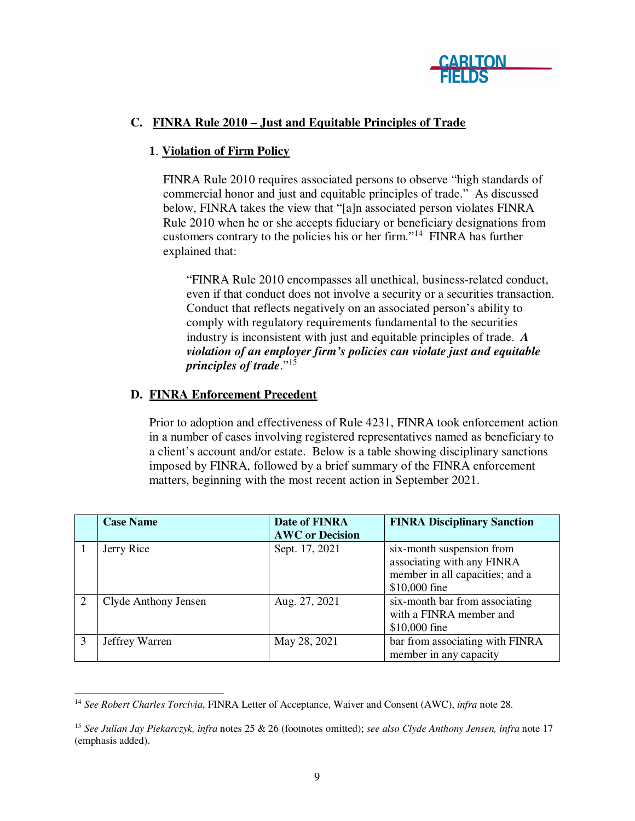

# **C. FINRA Rule 2010 – Just and Equitable Principles of Trade**

# **1**. **Violation of Firm Policy**

FINRA Rule 2010 requires associated persons to observe "high standards of commercial honor and just and equitable principles of trade." As discussed below, FINRA takes the view that "[a]n associated person violates FINRA Rule 2010 when he or she accepts fiduciary or beneficiary designations from customers contrary to the policies his or her firm."<sup>14</sup> FINRA has further explained that:

"FINRA Rule 2010 encompasses all unethical, business-related conduct, even if that conduct does not involve a security or a securities transaction. Conduct that reflects negatively on an associated person's ability to comply with regulatory requirements fundamental to the securities industry is inconsistent with just and equitable principles of trade. *A violation of an employer firm's policies can violate just and equitable principles of trade*."<sup>15</sup>

### **D. FINRA Enforcement Precedent**

Prior to adoption and effectiveness of Rule 4231, FINRA took enforcement action in a number of cases involving registered representatives named as beneficiary to a client's account and/or estate. Below is a table showing disciplinary sanctions imposed by FINRA, followed by a brief summary of the FINRA enforcement matters, beginning with the most recent action in September 2021.

|   | <b>Case Name</b>     | Date of FINRA<br><b>AWC</b> or Decision | <b>FINRA Disciplinary Sanction</b>                                                                          |
|---|----------------------|-----------------------------------------|-------------------------------------------------------------------------------------------------------------|
|   | Jerry Rice           | Sept. 17, 2021                          | six-month suspension from<br>associating with any FINRA<br>member in all capacities; and a<br>\$10,000 fine |
| 2 | Clyde Anthony Jensen | Aug. 27, 2021                           | six-month bar from associating<br>with a FINRA member and<br>\$10,000 fine                                  |
| 3 | Jeffrey Warren       | May 28, 2021                            | bar from associating with FINRA<br>member in any capacity                                                   |

 <sup>14</sup> *See Robert Charles Torcivia*, FINRA Letter of Acceptance, Waiver and Consent (AWC), *infra* note 28.

<sup>15</sup> *See Julian Jay Piekarczyk, infra* notes 25 & 26 (footnotes omitted); *see also Clyde Anthony Jensen, infra* note 17 (emphasis added).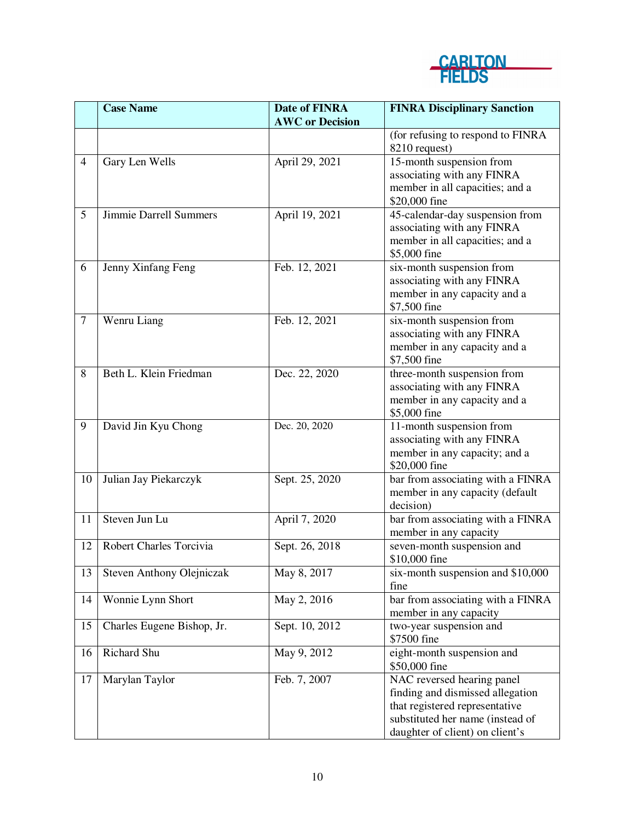

|                | <b>Case Name</b>                 | <b>Date of FINRA</b><br><b>AWC</b> or Decision | <b>FINRA Disciplinary Sanction</b>                                                                                                                                      |
|----------------|----------------------------------|------------------------------------------------|-------------------------------------------------------------------------------------------------------------------------------------------------------------------------|
|                |                                  |                                                | (for refusing to respond to FINRA<br>8210 request)                                                                                                                      |
| $\overline{4}$ | Gary Len Wells                   | April 29, 2021                                 | 15-month suspension from<br>associating with any FINRA<br>member in all capacities; and a<br>\$20,000 fine                                                              |
| 5              | Jimmie Darrell Summers           | April 19, 2021                                 | 45-calendar-day suspension from<br>associating with any FINRA<br>member in all capacities; and a<br>\$5,000 fine                                                        |
| 6              | Jenny Xinfang Feng               | Feb. 12, 2021                                  | six-month suspension from<br>associating with any FINRA<br>member in any capacity and a<br>\$7,500 fine                                                                 |
| $\tau$         | Wenru Liang                      | Feb. 12, 2021                                  | six-month suspension from<br>associating with any FINRA<br>member in any capacity and a<br>\$7,500 fine                                                                 |
| 8              | Beth L. Klein Friedman           | Dec. 22, 2020                                  | three-month suspension from<br>associating with any FINRA<br>member in any capacity and a<br>\$5,000 fine                                                               |
| 9              | David Jin Kyu Chong              | Dec. 20, 2020                                  | 11-month suspension from<br>associating with any FINRA<br>member in any capacity; and a<br>\$20,000 fine                                                                |
| 10             | Julian Jay Piekarczyk            | Sept. 25, 2020                                 | bar from associating with a FINRA<br>member in any capacity (default<br>decision)                                                                                       |
| 11             | Steven Jun Lu                    | April 7, 2020                                  | bar from associating with a FINRA<br>member in any capacity                                                                                                             |
| 12             | Robert Charles Torcivia          | Sept. 26, 2018                                 | seven-month suspension and<br>\$10,000 fine                                                                                                                             |
| 13             | <b>Steven Anthony Olejniczak</b> | May 8, 2017                                    | six-month suspension and \$10,000<br>fine                                                                                                                               |
| 14             | Wonnie Lynn Short                | May 2, 2016                                    | bar from associating with a FINRA<br>member in any capacity                                                                                                             |
| 15             | Charles Eugene Bishop, Jr.       | Sept. 10, 2012                                 | two-year suspension and<br>\$7500 fine                                                                                                                                  |
| 16             | Richard Shu                      | May 9, 2012                                    | eight-month suspension and<br>\$50,000 fine                                                                                                                             |
| 17             | Marylan Taylor                   | Feb. 7, 2007                                   | NAC reversed hearing panel<br>finding and dismissed allegation<br>that registered representative<br>substituted her name (instead of<br>daughter of client) on client's |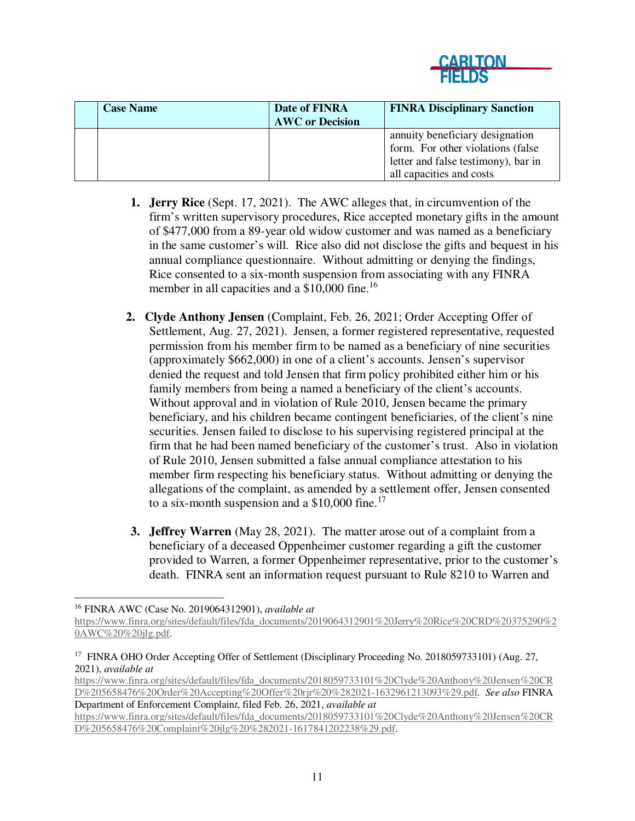

| <b>Case Name</b> | Date of FINRA<br><b>AWC</b> or Decision | <b>FINRA Disciplinary Sanction</b>                                                                                                      |
|------------------|-----------------------------------------|-----------------------------------------------------------------------------------------------------------------------------------------|
|                  |                                         | annuity beneficiary designation<br>form. For other violations (false<br>letter and false testimony), bar in<br>all capacities and costs |

- **1. Jerry Rice** (Sept. 17, 2021). The AWC alleges that, in circumvention of the firm's written supervisory procedures, Rice accepted monetary gifts in the amount of \$477,000 from a 89-year old widow customer and was named as a beneficiary in the same customer's will. Rice also did not disclose the gifts and bequest in his annual compliance questionnaire. Without admitting or denying the findings, Rice consented to a six-month suspension from associating with any FINRA member in all capacities and a \$10,000 fine.<sup>16</sup>
- **2. Clyde Anthony Jensen** (Complaint, Feb. 26, 2021; Order Accepting Offer of Settlement, Aug. 27, 2021). Jensen, a former registered representative, requested permission from his member firm to be named as a beneficiary of nine securities (approximately \$662,000) in one of a client's accounts. Jensen's supervisor denied the request and told Jensen that firm policy prohibited either him or his family members from being a named a beneficiary of the client's accounts. Without approval and in violation of Rule 2010, Jensen became the primary beneficiary, and his children became contingent beneficiaries, of the client's nine securities. Jensen failed to disclose to his supervising registered principal at the firm that he had been named beneficiary of the customer's trust. Also in violation of Rule 2010, Jensen submitted a false annual compliance attestation to his member firm respecting his beneficiary status. Without admitting or denying the allegations of the complaint, as amended by a settlement offer, Jensen consented to a six-month suspension and a  $$10,000$  fine.<sup>17</sup>
- **3. Jeffrey Warren** (May 28, 2021). The matter arose out of a complaint from a beneficiary of a deceased Oppenheimer customer regarding a gift the customer provided to Warren, a former Oppenheimer representative, prior to the customer's death. FINRA sent an information request pursuant to Rule 8210 to Warren and

<sup>16</sup> FINRA AWC (Case No. 2019064312901), *available at*

https://www.finra.org/sites/default/files/fda\_documents/2019064312901%20Jerry%20Rice%20CRD%20375290%2 0AWC%20%20jlg.pdf.

<sup>&</sup>lt;sup>17</sup> FINRA OHO Order Accepting Offer of Settlement (Disciplinary Proceeding No. 2018059733101) (Aug. 27, 2021), *available at* 

https://www.finra.org/sites/default/files/fda\_documents/2018059733101%20Clyde%20Anthony%20Jensen%20CR D%205658476%20Order%20Accepting%20Offer%20rjr%20%282021-1632961213093%29.pdf*. See also* FINRA Department of Enforcement Complain*t*, filed Feb. 26, 2021, *available at* 

https://www.finra.org/sites/default/files/fda\_documents/2018059733101%20Clyde%20Anthony%20Jensen%20CR D%205658476%20Complaint%20jlg%20%282021-1617841202238%29.pdf.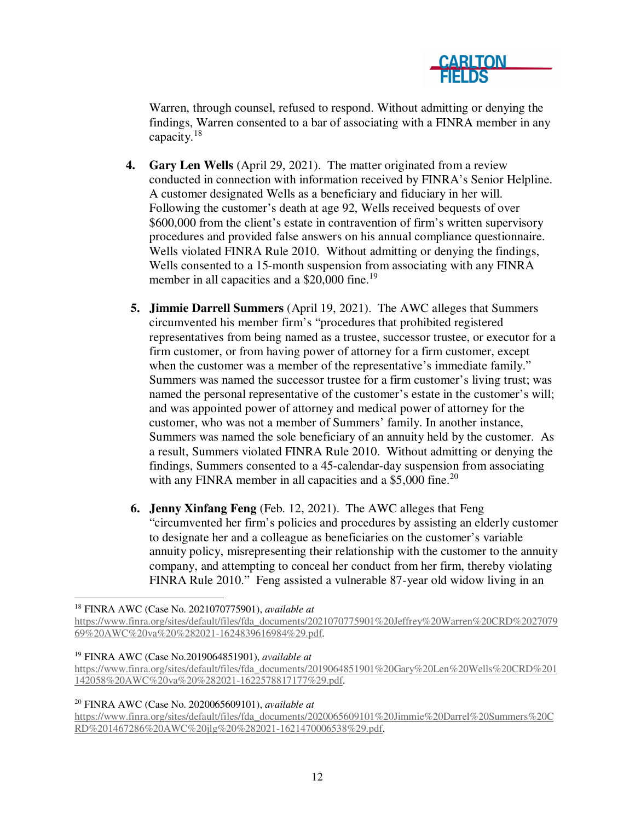

Warren, through counsel, refused to respond. Without admitting or denying the findings, Warren consented to a bar of associating with a FINRA member in any capacity.<sup>18</sup>

- **4. Gary Len Wells** (April 29, 2021). The matter originated from a review conducted in connection with information received by FINRA's Senior Helpline. A customer designated Wells as a beneficiary and fiduciary in her will. Following the customer's death at age 92, Wells received bequests of over \$600,000 from the client's estate in contravention of firm's written supervisory procedures and provided false answers on his annual compliance questionnaire. Wells violated FINRA Rule 2010. Without admitting or denying the findings, Wells consented to a 15-month suspension from associating with any FINRA member in all capacities and a \$20,000 fine.<sup>19</sup>
- **5. Jimmie Darrell Summers** (April 19, 2021). The AWC alleges that Summers circumvented his member firm's "procedures that prohibited registered representatives from being named as a trustee, successor trustee, or executor for a firm customer, or from having power of attorney for a firm customer, except when the customer was a member of the representative's immediate family." Summers was named the successor trustee for a firm customer's living trust; was named the personal representative of the customer's estate in the customer's will; and was appointed power of attorney and medical power of attorney for the customer, who was not a member of Summers' family. In another instance, Summers was named the sole beneficiary of an annuity held by the customer. As a result, Summers violated FINRA Rule 2010. Without admitting or denying the findings, Summers consented to a 45-calendar-day suspension from associating with any FINRA member in all capacities and a  $$5,000$  fine.<sup>20</sup>
- **6. Jenny Xinfang Feng** (Feb. 12, 2021). The AWC alleges that Feng "circumvented her firm's policies and procedures by assisting an elderly customer to designate her and a colleague as beneficiaries on the customer's variable annuity policy, misrepresenting their relationship with the customer to the annuity company, and attempting to conceal her conduct from her firm, thereby violating FINRA Rule 2010." Feng assisted a vulnerable 87-year old widow living in an

<sup>18</sup> FINRA AWC (Case No. 2021070775901), *available at*

<sup>19</sup> FINRA AWC (Case No.2019064851901), *available at*

<sup>20</sup> FINRA AWC (Case No. 2020065609101), *available at*

https://www.finra.org/sites/default/files/fda\_documents/2020065609101%20Jimmie%20Darrel%20Summers%20C RD%201467286%20AWC%20jlg%20%282021-1621470006538%29.pdf.

https://www.finra.org/sites/default/files/fda\_documents/2021070775901%20Jeffrey%20Warren%20CRD%2027079 69%20AWC%20va%20%282021-1624839616984%29.pdf.

https://www.finra.org/sites/default/files/fda\_documents/2019064851901%20Gary%20Len%20Wells%20CRD%201 142058%20AWC%20va%20%282021-1622578817177%29.pdf.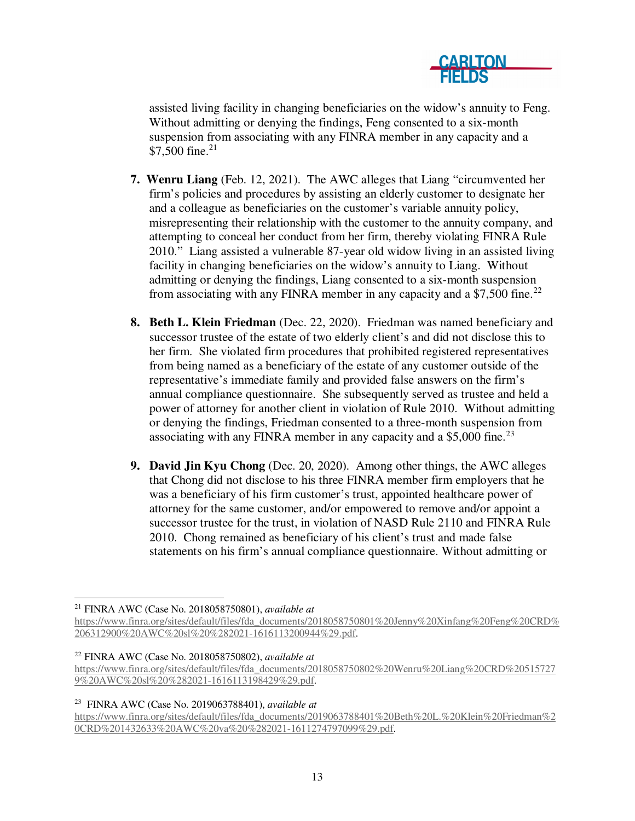

assisted living facility in changing beneficiaries on the widow's annuity to Feng. Without admitting or denying the findings, Feng consented to a six-month suspension from associating with any FINRA member in any capacity and a \$7,500 fine.<sup>21</sup>

- **7. Wenru Liang** (Feb. 12, 2021). The AWC alleges that Liang "circumvented her firm's policies and procedures by assisting an elderly customer to designate her and a colleague as beneficiaries on the customer's variable annuity policy, misrepresenting their relationship with the customer to the annuity company, and attempting to conceal her conduct from her firm, thereby violating FINRA Rule 2010." Liang assisted a vulnerable 87-year old widow living in an assisted living facility in changing beneficiaries on the widow's annuity to Liang. Without admitting or denying the findings, Liang consented to a six-month suspension from associating with any FINRA member in any capacity and a  $$7,500$  fine.<sup>22</sup>
- **8. Beth L. Klein Friedman** (Dec. 22, 2020). Friedman was named beneficiary and successor trustee of the estate of two elderly client's and did not disclose this to her firm. She violated firm procedures that prohibited registered representatives from being named as a beneficiary of the estate of any customer outside of the representative's immediate family and provided false answers on the firm's annual compliance questionnaire. She subsequently served as trustee and held a power of attorney for another client in violation of Rule 2010. Without admitting or denying the findings, Friedman consented to a three-month suspension from associating with any FINRA member in any capacity and a  $$5,000$  fine.<sup>23</sup>
- **9. David Jin Kyu Chong** (Dec. 20, 2020). Among other things, the AWC alleges that Chong did not disclose to his three FINRA member firm employers that he was a beneficiary of his firm customer's trust, appointed healthcare power of attorney for the same customer, and/or empowered to remove and/or appoint a successor trustee for the trust, in violation of NASD Rule 2110 and FINRA Rule 2010. Chong remained as beneficiary of his client's trust and made false statements on his firm's annual compliance questionnaire. Without admitting or

#### <sup>23</sup> FINRA AWC (Case No. 2019063788401), *available at*

 <sup>21</sup> FINRA AWC (Case No. 2018058750801), *available at*

https://www.finra.org/sites/default/files/fda\_documents/2018058750801%20Jenny%20Xinfang%20Feng%20CRD% 206312900%20AWC%20sl%20%282021-1616113200944%29.pdf.

<sup>22</sup> FINRA AWC (Case No. 2018058750802), *available at*

https://www.finra.org/sites/default/files/fda\_documents/2018058750802%20Wenru%20Liang%20CRD%20515727 9%20AWC%20sl%20%282021-1616113198429%29.pdf.

https://www.finra.org/sites/default/files/fda\_documents/2019063788401%20Beth%20L.%20Klein%20Friedman%2 0CRD%201432633%20AWC%20va%20%282021-1611274797099%29.pdf.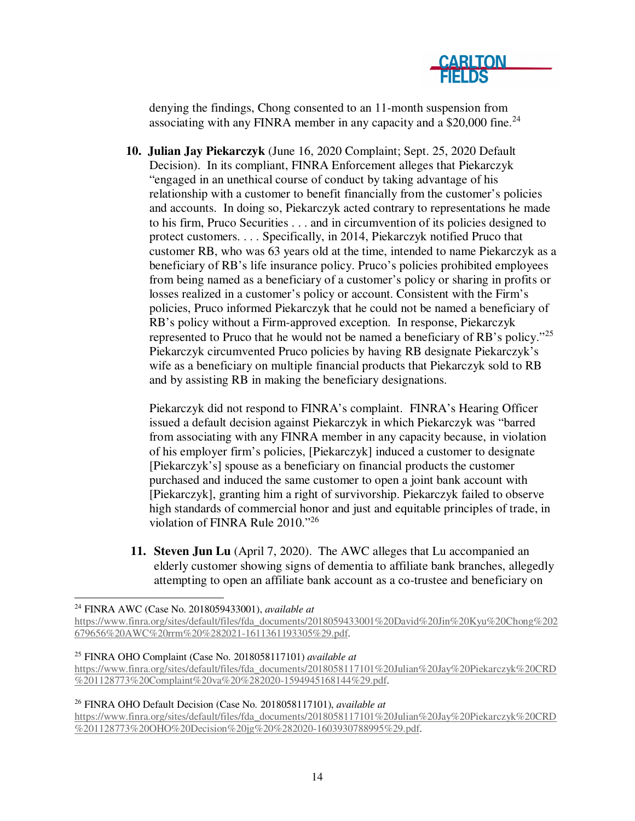

denying the findings, Chong consented to an 11-month suspension from associating with any FINRA member in any capacity and a \$20,000 fine.<sup>24</sup>

**10. Julian Jay Piekarczyk** (June 16, 2020 Complaint; Sept. 25, 2020 Default Decision). In its compliant, FINRA Enforcement alleges that Piekarczyk "engaged in an unethical course of conduct by taking advantage of his relationship with a customer to benefit financially from the customer's policies and accounts. In doing so, Piekarczyk acted contrary to representations he made to his firm, Pruco Securities . . . and in circumvention of its policies designed to protect customers. . . . Specifically, in 2014, Piekarczyk notified Pruco that customer RB, who was 63 years old at the time, intended to name Piekarczyk as a beneficiary of RB's life insurance policy. Pruco's policies prohibited employees from being named as a beneficiary of a customer's policy or sharing in profits or losses realized in a customer's policy or account. Consistent with the Firm's policies, Pruco informed Piekarczyk that he could not be named a beneficiary of RB's policy without a Firm-approved exception. In response, Piekarczyk represented to Pruco that he would not be named a beneficiary of RB's policy."<sup>25</sup> Piekarczyk circumvented Pruco policies by having RB designate Piekarczyk's wife as a beneficiary on multiple financial products that Piekarczyk sold to RB and by assisting RB in making the beneficiary designations.

Piekarczyk did not respond to FINRA's complaint. FINRA's Hearing Officer issued a default decision against Piekarczyk in which Piekarczyk was "barred from associating with any FINRA member in any capacity because, in violation of his employer firm's policies, [Piekarczyk] induced a customer to designate [Piekarczyk's] spouse as a beneficiary on financial products the customer purchased and induced the same customer to open a joint bank account with [Piekarczyk], granting him a right of survivorship. Piekarczyk failed to observe high standards of commercial honor and just and equitable principles of trade, in violation of FINRA Rule 2010."<sup>26</sup>

**11. Steven Jun Lu** (April 7, 2020). The AWC alleges that Lu accompanied an elderly customer showing signs of dementia to affiliate bank branches, allegedly attempting to open an affiliate bank account as a co-trustee and beneficiary on

<sup>26</sup> FINRA OHO Default Decision (Case No. 2018058117101), *available at*

https://www.finra.org/sites/default/files/fda\_documents/2018058117101%20Julian%20Jay%20Piekarczyk%20CRD %201128773%20OHO%20Decision%20jg%20%282020-1603930788995%29.pdf.

 <sup>24</sup> FINRA AWC (Case No. 2018059433001), *available at*

https://www.finra.org/sites/default/files/fda\_documents/2018059433001%20David%20Jin%20Kyu%20Chong%202 679656%20AWC%20rrm%20%282021-1611361193305%29.pdf.

<sup>25</sup> FINRA OHO Complaint (Case No. 2018058117101) *available at*

https://www.finra.org/sites/default/files/fda\_documents/2018058117101%20Julian%20Jay%20Piekarczyk%20CRD %201128773%20Complaint%20va%20%282020-1594945168144%29.pdf.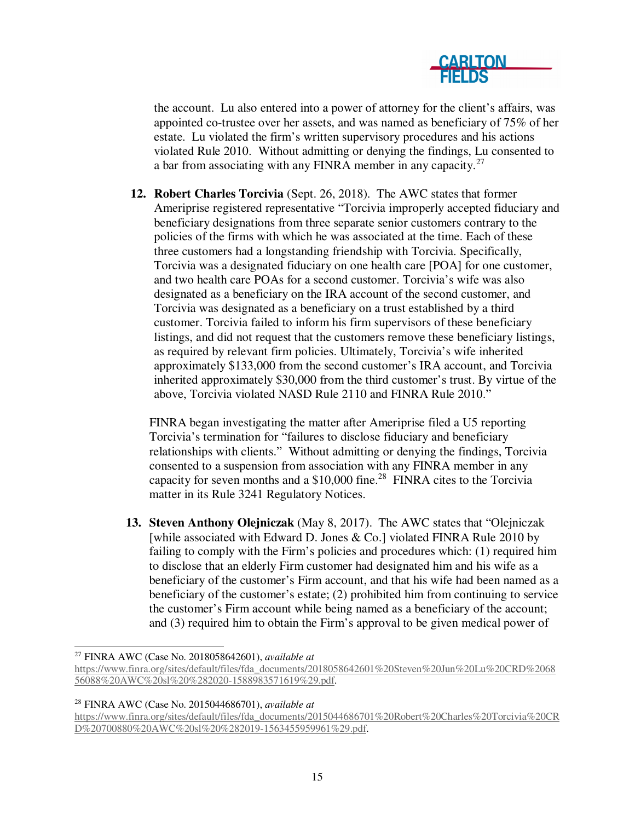

the account. Lu also entered into a power of attorney for the client's affairs, was appointed co-trustee over her assets, and was named as beneficiary of 75% of her estate. Lu violated the firm's written supervisory procedures and his actions violated Rule 2010. Without admitting or denying the findings, Lu consented to a bar from associating with any FINRA member in any capacity. $27$ 

**12. Robert Charles Torcivia** (Sept. 26, 2018). The AWC states that former Ameriprise registered representative "Torcivia improperly accepted fiduciary and beneficiary designations from three separate senior customers contrary to the policies of the firms with which he was associated at the time. Each of these three customers had a longstanding friendship with Torcivia. Specifically, Torcivia was a designated fiduciary on one health care [POA] for one customer, and two health care POAs for a second customer. Torcivia's wife was also designated as a beneficiary on the IRA account of the second customer, and Torcivia was designated as a beneficiary on a trust established by a third customer. Torcivia failed to inform his firm supervisors of these beneficiary listings, and did not request that the customers remove these beneficiary listings, as required by relevant firm policies. Ultimately, Torcivia's wife inherited approximately \$133,000 from the second customer's IRA account, and Torcivia inherited approximately \$30,000 from the third customer's trust. By virtue of the above, Torcivia violated NASD Rule 2110 and FINRA Rule 2010."

FINRA began investigating the matter after Ameriprise filed a U5 reporting Torcivia's termination for "failures to disclose fiduciary and beneficiary relationships with clients." Without admitting or denying the findings, Torcivia consented to a suspension from association with any FINRA member in any capacity for seven months and a  $$10,000$  fine.<sup>28</sup> FINRA cites to the Torcivia matter in its Rule 3241 Regulatory Notices.

**13. Steven Anthony Olejniczak** (May 8, 2017). The AWC states that "Olejniczak [while associated with Edward D. Jones & Co.] violated FINRA Rule 2010 by failing to comply with the Firm's policies and procedures which: (1) required him to disclose that an elderly Firm customer had designated him and his wife as a beneficiary of the customer's Firm account, and that his wife had been named as a beneficiary of the customer's estate; (2) prohibited him from continuing to service the customer's Firm account while being named as a beneficiary of the account; and (3) required him to obtain the Firm's approval to be given medical power of

<sup>28</sup> FINRA AWC (Case No. 2015044686701), *available at*

 <sup>27</sup> FINRA AWC (Case No. 2018058642601), *available at*

https://www.finra.org/sites/default/files/fda\_documents/2018058642601%20Steven%20Jun%20Lu%20CRD%2068 56088%20AWC%20sl%20%282020-1588983571619%29.pdf.

https://www.finra.org/sites/default/files/fda\_documents/2015044686701%20Robert%20Charles%20Torcivia%20CR D%20700880%20AWC%20sl%20%282019-1563455959961%29.pdf.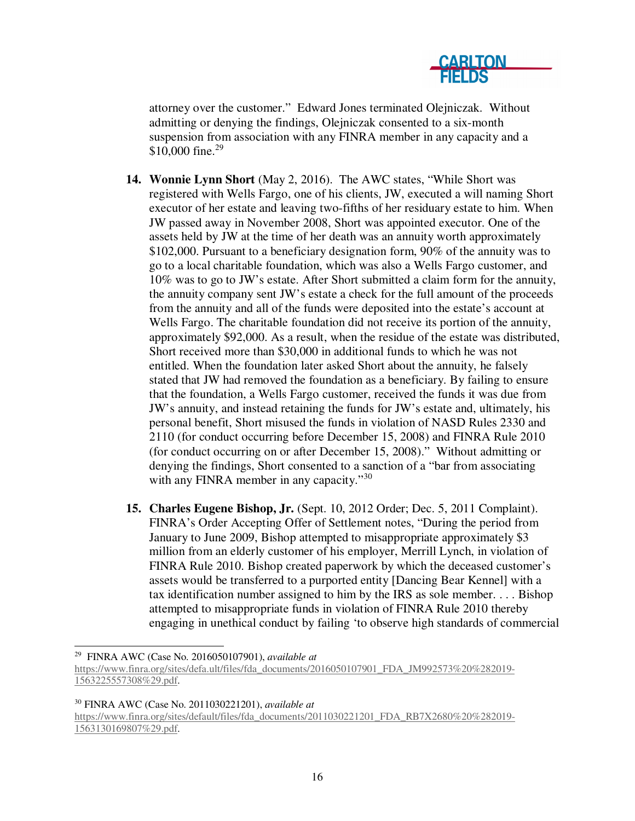

attorney over the customer." Edward Jones terminated Olejniczak. Without admitting or denying the findings, Olejniczak consented to a six-month suspension from association with any FINRA member in any capacity and a \$10,000 fine.<sup>29</sup>

- **14. Wonnie Lynn Short** (May 2, 2016). The AWC states, "While Short was registered with Wells Fargo, one of his clients, JW, executed a will naming Short executor of her estate and leaving two-fifths of her residuary estate to him. When JW passed away in November 2008, Short was appointed executor. One of the assets held by JW at the time of her death was an annuity worth approximately \$102,000. Pursuant to a beneficiary designation form, 90% of the annuity was to go to a local charitable foundation, which was also a Wells Fargo customer, and 10% was to go to JW's estate. After Short submitted a claim form for the annuity, the annuity company sent JW's estate a check for the full amount of the proceeds from the annuity and all of the funds were deposited into the estate's account at Wells Fargo. The charitable foundation did not receive its portion of the annuity, approximately \$92,000. As a result, when the residue of the estate was distributed, Short received more than \$30,000 in additional funds to which he was not entitled. When the foundation later asked Short about the annuity, he falsely stated that JW had removed the foundation as a beneficiary. By failing to ensure that the foundation, a Wells Fargo customer, received the funds it was due from JW's annuity, and instead retaining the funds for JW's estate and, ultimately, his personal benefit, Short misused the funds in violation of NASD Rules 2330 and 2110 (for conduct occurring before December 15, 2008) and FINRA Rule 2010 (for conduct occurring on or after December 15, 2008)." Without admitting or denying the findings, Short consented to a sanction of a "bar from associating with any FINRA member in any capacity."<sup>30</sup>
- **15. Charles Eugene Bishop, Jr.** (Sept. 10, 2012 Order; Dec. 5, 2011 Complaint). FINRA's Order Accepting Offer of Settlement notes, "During the period from January to June 2009, Bishop attempted to misappropriate approximately \$3 million from an elderly customer of his employer, Merrill Lynch, in violation of FINRA Rule 2010. Bishop created paperwork by which the deceased customer's assets would be transferred to a purported entity [Dancing Bear Kennel] with a tax identification number assigned to him by the IRS as sole member. . . . Bishop attempted to misappropriate funds in violation of FINRA Rule 2010 thereby engaging in unethical conduct by failing 'to observe high standards of commercial

<sup>30</sup> FINRA AWC (Case No. 2011030221201), *available at*

https://www.finra.org/sites/default/files/fda\_documents/2011030221201\_FDA\_RB7X2680%20%282019- 1563130169807%29.pdf.

 <sup>29</sup> FINRA AWC (Case No. 2016050107901), *available at* 

https://www.finra.org/sites/defa.ult/files/fda\_documents/2016050107901\_FDA\_JM992573%20%282019- 1563225557308%29.pdf.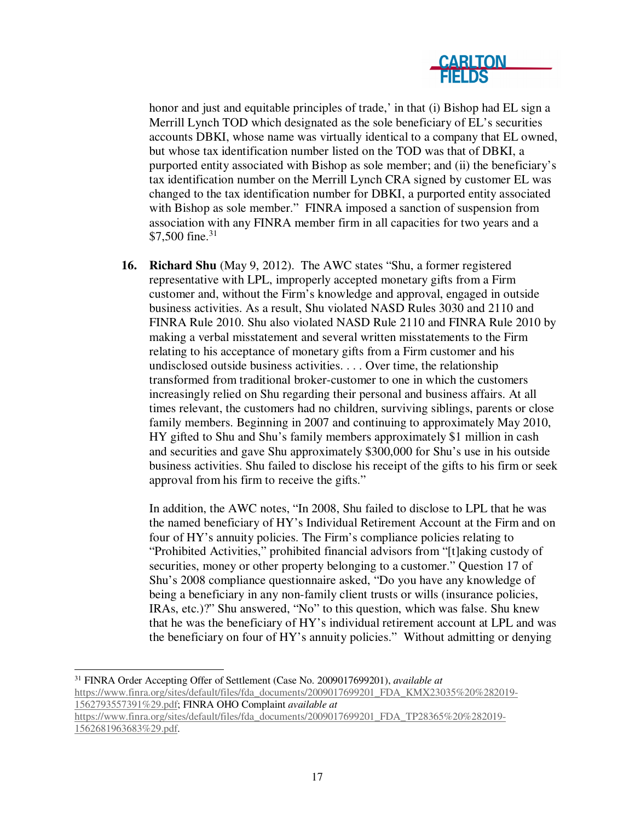

honor and just and equitable principles of trade,' in that (i) Bishop had EL sign a Merrill Lynch TOD which designated as the sole beneficiary of EL's securities accounts DBKI, whose name was virtually identical to a company that EL owned, but whose tax identification number listed on the TOD was that of DBKI, a purported entity associated with Bishop as sole member; and (ii) the beneficiary's tax identification number on the Merrill Lynch CRA signed by customer EL was changed to the tax identification number for DBKI, a purported entity associated with Bishop as sole member." FINRA imposed a sanction of suspension from association with any FINRA member firm in all capacities for two years and a \$7,500 fine. $31$ 

**16. Richard Shu** (May 9, 2012). The AWC states "Shu, a former registered representative with LPL, improperly accepted monetary gifts from a Firm customer and, without the Firm's knowledge and approval, engaged in outside business activities. As a result, Shu violated NASD Rules 3030 and 2110 and FINRA Rule 2010. Shu also violated NASD Rule 2110 and FINRA Rule 2010 by making a verbal misstatement and several written misstatements to the Firm relating to his acceptance of monetary gifts from a Firm customer and his undisclosed outside business activities. . . . Over time, the relationship transformed from traditional broker-customer to one in which the customers increasingly relied on Shu regarding their personal and business affairs. At all times relevant, the customers had no children, surviving siblings, parents or close family members. Beginning in 2007 and continuing to approximately May 2010, HY gifted to Shu and Shu's family members approximately \$1 million in cash and securities and gave Shu approximately \$300,000 for Shu's use in his outside business activities. Shu failed to disclose his receipt of the gifts to his firm or seek approval from his firm to receive the gifts."

In addition, the AWC notes, "In 2008, Shu failed to disclose to LPL that he was the named beneficiary of HY's Individual Retirement Account at the Firm and on four of HY's annuity policies. The Firm's compliance policies relating to "Prohibited Activities," prohibited financial advisors from "[t]aking custody of securities, money or other property belonging to a customer." Question 17 of Shu's 2008 compliance questionnaire asked, "Do you have any knowledge of being a beneficiary in any non-family client trusts or wills (insurance policies, IRAs, etc.)?" Shu answered, "No" to this question, which was false. Shu knew that he was the beneficiary of HY's individual retirement account at LPL and was the beneficiary on four of HY's annuity policies." Without admitting or denying

 <sup>31</sup> FINRA Order Accepting Offer of Settlement (Case No. 2009017699201), *available at*  https://www.finra.org/sites/default/files/fda\_documents/2009017699201\_FDA\_KMX23035%20%282019- 1562793557391%29.pdf; FINRA OHO Complaint *available at* https://www.finra.org/sites/default/files/fda\_documents/2009017699201\_FDA\_TP28365%20%282019- 1562681963683%29.pdf.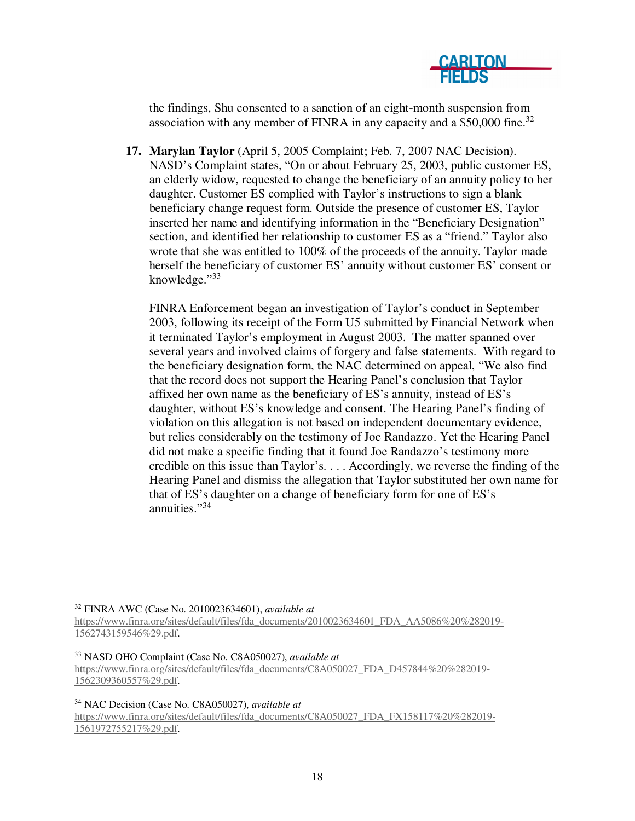

the findings, Shu consented to a sanction of an eight-month suspension from association with any member of FINRA in any capacity and a  $$50,000$  fine.<sup>32</sup>

**17. Marylan Taylor** (April 5, 2005 Complaint; Feb. 7, 2007 NAC Decision). NASD's Complaint states, "On or about February 25, 2003, public customer ES, an elderly widow, requested to change the beneficiary of an annuity policy to her daughter. Customer ES complied with Taylor's instructions to sign a blank beneficiary change request form. Outside the presence of customer ES, Taylor inserted her name and identifying information in the "Beneficiary Designation" section, and identified her relationship to customer ES as a "friend." Taylor also wrote that she was entitled to 100% of the proceeds of the annuity. Taylor made herself the beneficiary of customer ES' annuity without customer ES' consent or knowledge."<sup>33</sup>

FINRA Enforcement began an investigation of Taylor's conduct in September 2003, following its receipt of the Form U5 submitted by Financial Network when it terminated Taylor's employment in August 2003. The matter spanned over several years and involved claims of forgery and false statements. With regard to the beneficiary designation form, the NAC determined on appeal, "We also find that the record does not support the Hearing Panel's conclusion that Taylor affixed her own name as the beneficiary of ES's annuity, instead of ES's daughter, without ES's knowledge and consent. The Hearing Panel's finding of violation on this allegation is not based on independent documentary evidence, but relies considerably on the testimony of Joe Randazzo. Yet the Hearing Panel did not make a specific finding that it found Joe Randazzo's testimony more credible on this issue than Taylor's. . . . Accordingly, we reverse the finding of the Hearing Panel and dismiss the allegation that Taylor substituted her own name for that of ES's daughter on a change of beneficiary form for one of ES's annuities."<sup>34</sup>

<sup>32</sup> FINRA AWC (Case No. 2010023634601), *available at*

<sup>33</sup> NASD OHO Complaint (Case No. C8A050027), *available at* https://www.finra.org/sites/default/files/fda\_documents/C8A050027\_FDA\_D457844%20%282019- 1562309360557%29.pdf.

<sup>34</sup> NAC Decision (Case No. C8A050027), *available at* https://www.finra.org/sites/default/files/fda\_documents/C8A050027\_FDA\_FX158117%20%282019- 1561972755217%29.pdf.

https://www.finra.org/sites/default/files/fda\_documents/2010023634601\_FDA\_AA5086%20%282019- 1562743159546%29.pdf.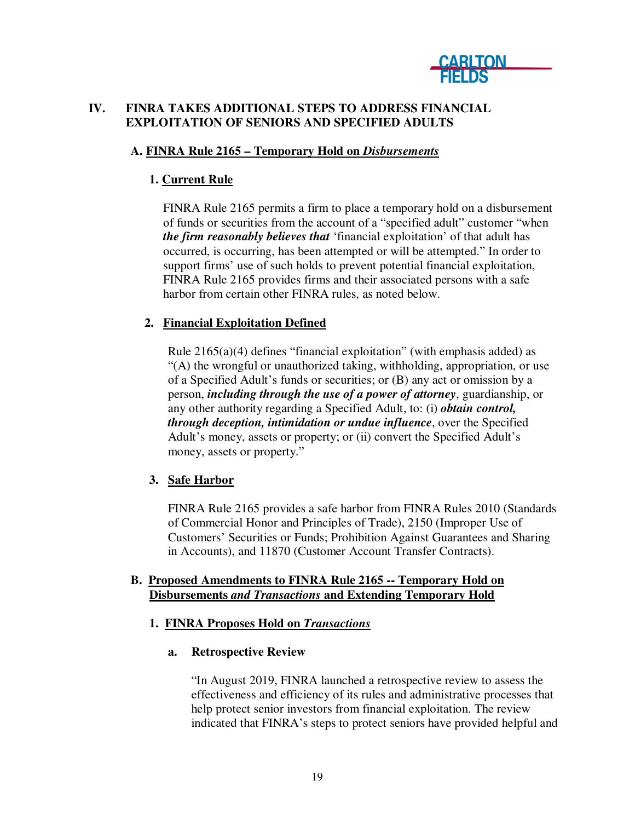

## **IV. FINRA TAKES ADDITIONAL STEPS TO ADDRESS FINANCIAL EXPLOITATION OF SENIORS AND SPECIFIED ADULTS**

## **A. FINRA Rule 2165 – Temporary Hold on** *Disbursements*

# **1. Current Rule**

FINRA Rule 2165 permits a firm to place a temporary hold on a disbursement of funds or securities from the account of a "specified adult" customer "when *the firm reasonably believes that* 'financial exploitation' of that adult has occurred, is occurring, has been attempted or will be attempted." In order to support firms' use of such holds to prevent potential financial exploitation, FINRA Rule 2165 provides firms and their associated persons with a safe harbor from certain other FINRA rules, as noted below.

## **2. Financial Exploitation Defined**

Rule  $2165(a)(4)$  defines "financial exploitation" (with emphasis added) as "(A) the wrongful or unauthorized taking, withholding, appropriation, or use of a Specified Adult's funds or securities; or (B) any act or omission by a person, *including through the use of a power of attorney*, guardianship, or any other authority regarding a Specified Adult, to: (i) *obtain control, through deception, intimidation or undue influence*, over the Specified Adult's money, assets or property; or (ii) convert the Specified Adult's money, assets or property."

### **3. Safe Harbor**

FINRA Rule 2165 provides a safe harbor from FINRA Rules 2010 (Standards of Commercial Honor and Principles of Trade), 2150 (Improper Use of Customers' Securities or Funds; Prohibition Against Guarantees and Sharing in Accounts), and 11870 (Customer Account Transfer Contracts).

### **B. Proposed Amendments to FINRA Rule 2165 -- Temporary Hold on Disbursements** *and Transactions* **and Extending Temporary Hold**

### **1. FINRA Proposes Hold on** *Transactions*

### **a. Retrospective Review**

"In August 2019, FINRA launched a retrospective review to assess the effectiveness and efficiency of its rules and administrative processes that help protect senior investors from financial exploitation. The review indicated that FINRA's steps to protect seniors have provided helpful and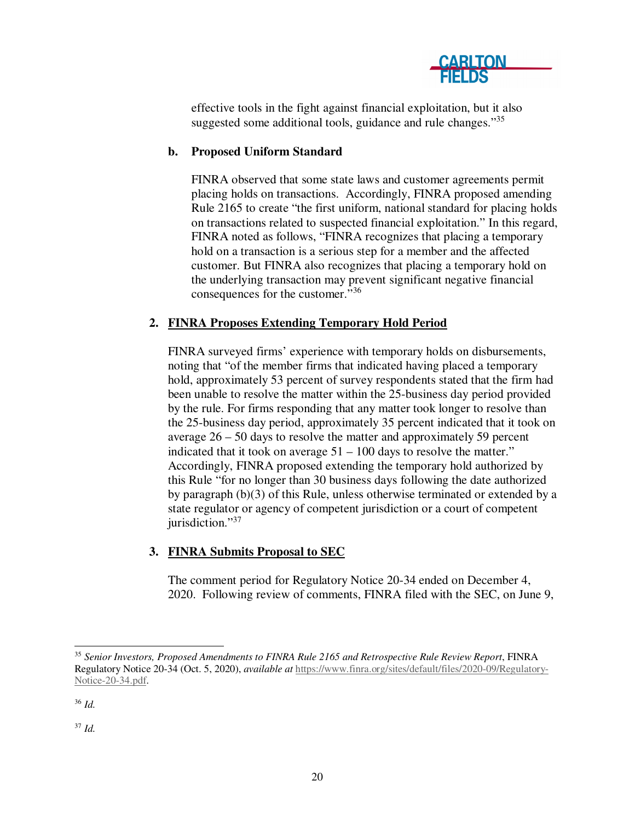

effective tools in the fight against financial exploitation, but it also suggested some additional tools, guidance and rule changes."<sup>35</sup>

# **b. Proposed Uniform Standard**

FINRA observed that some state laws and customer agreements permit placing holds on transactions. Accordingly, FINRA proposed amending Rule 2165 to create "the first uniform, national standard for placing holds on transactions related to suspected financial exploitation." In this regard, FINRA noted as follows, "FINRA recognizes that placing a temporary hold on a transaction is a serious step for a member and the affected customer. But FINRA also recognizes that placing a temporary hold on the underlying transaction may prevent significant negative financial consequences for the customer."<sup>36</sup>

## **2. FINRA Proposes Extending Temporary Hold Period**

FINRA surveyed firms' experience with temporary holds on disbursements, noting that "of the member firms that indicated having placed a temporary hold, approximately 53 percent of survey respondents stated that the firm had been unable to resolve the matter within the 25-business day period provided by the rule. For firms responding that any matter took longer to resolve than the 25-business day period, approximately 35 percent indicated that it took on average 26 – 50 days to resolve the matter and approximately 59 percent indicated that it took on average  $51 - 100$  days to resolve the matter." Accordingly, FINRA proposed extending the temporary hold authorized by this Rule "for no longer than 30 business days following the date authorized by paragraph (b)(3) of this Rule, unless otherwise terminated or extended by a state regulator or agency of competent jurisdiction or a court of competent jurisdiction."<sup>37</sup>

# **3. FINRA Submits Proposal to SEC**

The comment period for Regulatory Notice 20-34 ended on December 4, 2020. Following review of comments, FINRA filed with the SEC, on June 9,

<sup>37</sup> *Id.* 

 <sup>35</sup> *Senior Investors, Proposed Amendments to FINRA Rule 2165 and Retrospective Rule Review Report*, FINRA Regulatory Notice 20-34 (Oct. 5, 2020), *available at* https://www.finra.org/sites/default/files/2020-09/Regulatory-Notice-20-34.pdf.

<sup>36</sup> *Id.*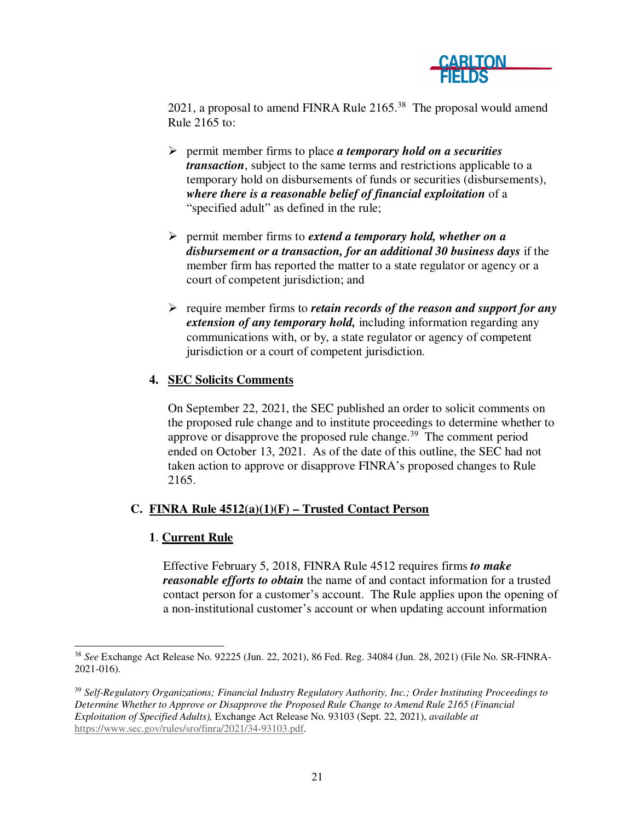

2021, a proposal to amend FINRA Rule  $2165<sup>38</sup>$  The proposal would amend Rule 2165 to:

- permit member firms to place *a temporary hold on a securities transaction*, subject to the same terms and restrictions applicable to a temporary hold on disbursements of funds or securities (disbursements), *where there is a reasonable belief of financial exploitation* of a "specified adult" as defined in the rule;
- permit member firms to *extend a temporary hold, whether on a disbursement or a transaction, for an additional 30 business days* if the member firm has reported the matter to a state regulator or agency or a court of competent jurisdiction; and
- require member firms to *retain records of the reason and support for any extension of any temporary hold,* including information regarding any communications with, or by, a state regulator or agency of competent jurisdiction or a court of competent jurisdiction.

## **4. SEC Solicits Comments**

On September 22, 2021, the SEC published an order to solicit comments on the proposed rule change and to institute proceedings to determine whether to approve or disapprove the proposed rule change. $39$  The comment period ended on October 13, 2021. As of the date of this outline, the SEC had not taken action to approve or disapprove FINRA's proposed changes to Rule 2165.

### **C. FINRA Rule 4512(a)(1)(F) – Trusted Contact Person**

### **1**. **Current Rule**

Effective February 5, 2018, FINRA Rule 4512 requires firms *to make reasonable efforts to obtain* the name of and contact information for a trusted contact person for a customer's account. The Rule applies upon the opening of a non-institutional customer's account or when updating account information

 <sup>38</sup> *See* Exchange Act Release No. 92225 (Jun. 22, 2021), 86 Fed. Reg. 34084 (Jun. 28, 2021) (File No. SR-FINRA-2021-016).

<sup>39</sup> *Self-Regulatory Organizations; Financial Industry Regulatory Authority, Inc.; Order Instituting Proceedings to Determine Whether to Approve or Disapprove the Proposed Rule Change to Amend Rule 2165 (Financial Exploitation of Specified Adults),* Exchange Act Release No. 93103 (Sept. 22, 2021), *available at* https://www.sec.gov/rules/sro/finra/2021/34-93103.pdf.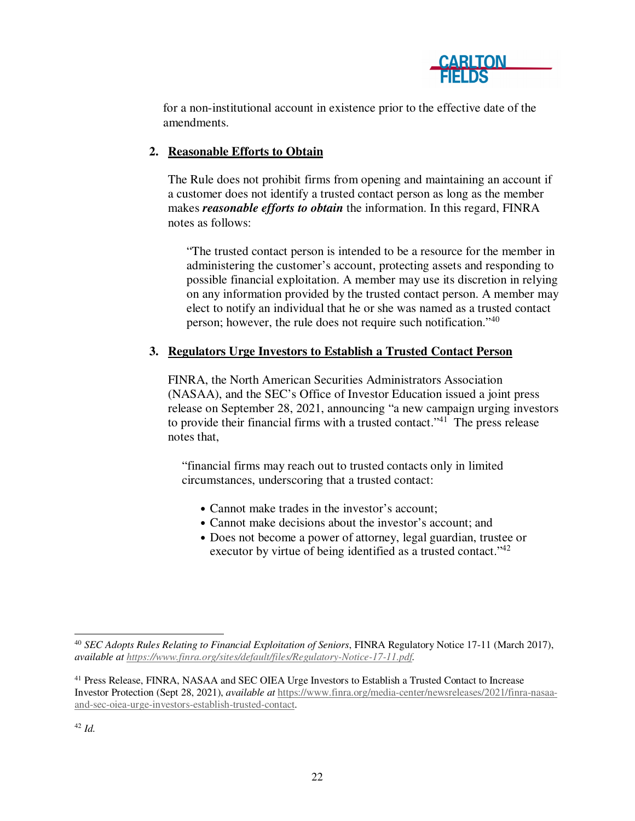

for a non-institutional account in existence prior to the effective date of the amendments.

# **2. Reasonable Efforts to Obtain**

The Rule does not prohibit firms from opening and maintaining an account if a customer does not identify a trusted contact person as long as the member makes *reasonable efforts to obtain* the information. In this regard, FINRA notes as follows:

"The trusted contact person is intended to be a resource for the member in administering the customer's account, protecting assets and responding to possible financial exploitation. A member may use its discretion in relying on any information provided by the trusted contact person. A member may elect to notify an individual that he or she was named as a trusted contact person; however, the rule does not require such notification."<sup>40</sup>

## **3. Regulators Urge Investors to Establish a Trusted Contact Person**

FINRA, the North American Securities Administrators Association (NASAA), and the SEC's Office of Investor Education issued a joint press release on September 28, 2021, announcing "a new campaign urging investors to provide their financial firms with a trusted contact."<sup>41</sup> The press release notes that,

"financial firms may reach out to trusted contacts only in limited circumstances, underscoring that a trusted contact:

- Cannot make trades in the investor's account;
- Cannot make decisions about the investor's account; and
- Does not become a power of attorney, legal guardian, trustee or executor by virtue of being identified as a trusted contact."<sup>42</sup>

 <sup>40</sup> *SEC Adopts Rules Relating to Financial Exploitation of Seniors*, FINRA Regulatory Notice 17-11 (March 2017), *available at https://www.finra.org/sites/default/files/Regulatory-Notice-17-11.pdf.* 

<sup>&</sup>lt;sup>41</sup> Press Release, FINRA, NASAA and SEC OIEA Urge Investors to Establish a Trusted Contact to Increase Investor Protection (Sept 28, 2021), *available at* https://www.finra.org/media-center/newsreleases/2021/finra-nasaaand-sec-oiea-urge-investors-establish-trusted-contact.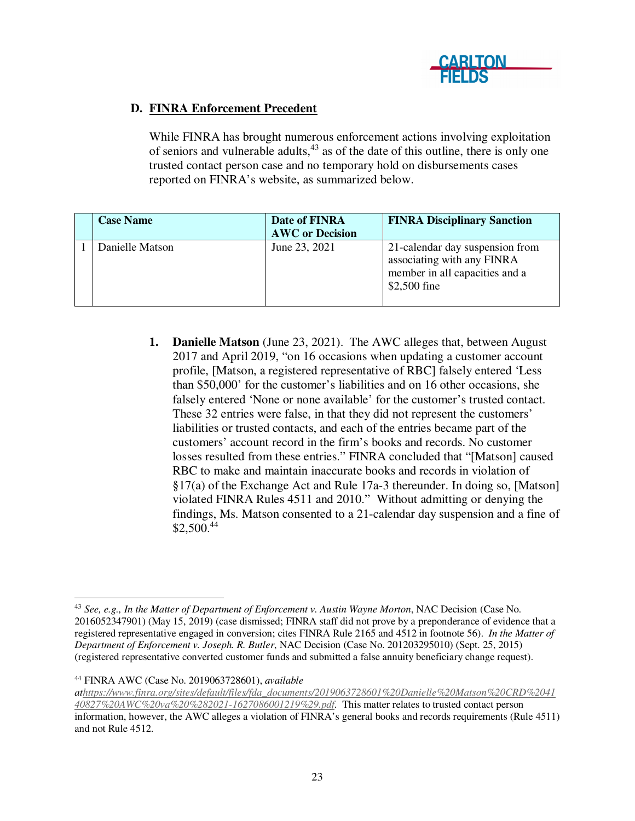

# **D. FINRA Enforcement Precedent**

While FINRA has brought numerous enforcement actions involving exploitation of seniors and vulnerable adults,<sup>43</sup> as of the date of this outline, there is only one trusted contact person case and no temporary hold on disbursements cases reported on FINRA's website, as summarized below.

| <b>Case Name</b> | Date of FINRA<br><b>AWC</b> or Decision | <b>FINRA Disciplinary Sanction</b>                                                                              |
|------------------|-----------------------------------------|-----------------------------------------------------------------------------------------------------------------|
| Danielle Matson  | June 23, 2021                           | 21-calendar day suspension from<br>associating with any FINRA<br>member in all capacities and a<br>\$2,500 fine |

**1. Danielle Matson** (June 23, 2021). The AWC alleges that, between August 2017 and April 2019, "on 16 occasions when updating a customer account profile, [Matson, a registered representative of RBC] falsely entered 'Less than \$50,000' for the customer's liabilities and on 16 other occasions, she falsely entered 'None or none available' for the customer's trusted contact. These 32 entries were false, in that they did not represent the customers' liabilities or trusted contacts, and each of the entries became part of the customers' account record in the firm's books and records. No customer losses resulted from these entries." FINRA concluded that "[Matson] caused RBC to make and maintain inaccurate books and records in violation of §17(a) of the Exchange Act and Rule 17a-3 thereunder. In doing so, [Matson] violated FINRA Rules 4511 and 2010." Without admitting or denying the findings, Ms. Matson consented to a 21-calendar day suspension and a fine of  $$2,500.<sup>44</sup>$ 

*athttps://www.finra.org/sites/default/files/fda\_documents/2019063728601%20Danielle%20Matson%20CRD%2041*

 <sup>43</sup> *See, e.g., In the Matter of Department of Enforcement v. Austin Wayne Morton*, NAC Decision (Case No. 2016052347901) (May 15, 2019) (case dismissed; FINRA staff did not prove by a preponderance of evidence that a registered representative engaged in conversion; cites FINRA Rule 2165 and 4512 in footnote 56). *In the Matter of Department of Enforcement v. Joseph. R. Butler*, NAC Decision (Case No. 201203295010) (Sept. 25, 2015) (registered representative converted customer funds and submitted a false annuity beneficiary change request).

<sup>44</sup> FINRA AWC (Case No. 2019063728601), *available* 

*<sup>40827%20</sup>AWC%20va%20%282021-1627086001219%29.pdf.* This matter relates to trusted contact person information, however, the AWC alleges a violation of FINRA's general books and records requirements (Rule 4511) and not Rule 4512.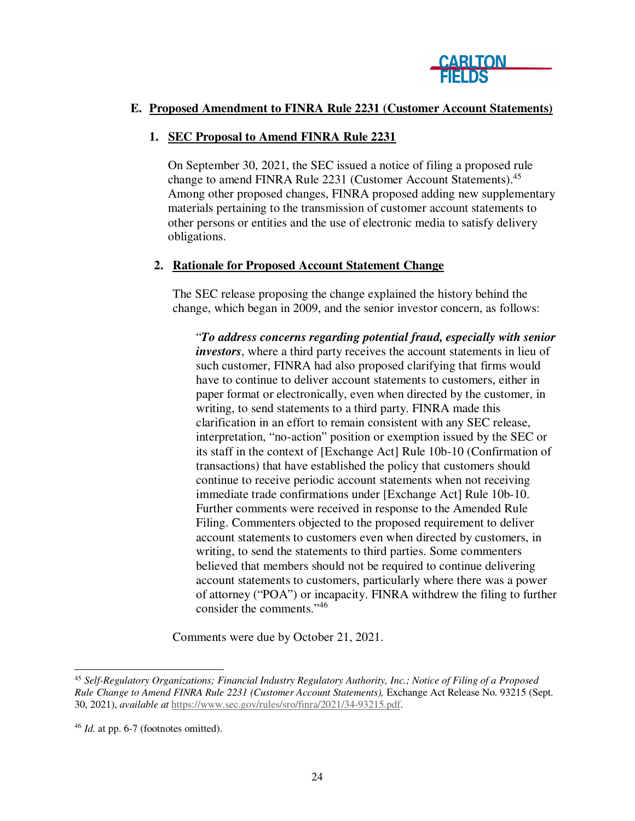

### **E. Proposed Amendment to FINRA Rule 2231 (Customer Account Statements)**

#### **1. SEC Proposal to Amend FINRA Rule 2231**

On September 30, 2021, the SEC issued a notice of filing a proposed rule change to amend FINRA Rule 2231 (Customer Account Statements).<sup>45</sup> Among other proposed changes, FINRA proposed adding new supplementary materials pertaining to the transmission of customer account statements to other persons or entities and the use of electronic media to satisfy delivery obligations.

#### **2. Rationale for Proposed Account Statement Change**

The SEC release proposing the change explained the history behind the change, which began in 2009, and the senior investor concern, as follows:

"*To address concerns regarding potential fraud, especially with senior investors*, where a third party receives the account statements in lieu of such customer, FINRA had also proposed clarifying that firms would have to continue to deliver account statements to customers, either in paper format or electronically, even when directed by the customer, in writing, to send statements to a third party. FINRA made this clarification in an effort to remain consistent with any SEC release, interpretation, "no-action" position or exemption issued by the SEC or its staff in the context of [Exchange Act] Rule 10b-10 (Confirmation of transactions) that have established the policy that customers should continue to receive periodic account statements when not receiving immediate trade confirmations under [Exchange Act] Rule 10b-10. Further comments were received in response to the Amended Rule Filing. Commenters objected to the proposed requirement to deliver account statements to customers even when directed by customers, in writing, to send the statements to third parties. Some commenters believed that members should not be required to continue delivering account statements to customers, particularly where there was a power of attorney ("POA") or incapacity. FINRA withdrew the filing to further consider the comments."<sup>46</sup>

Comments were due by October 21, 2021.

 <sup>45</sup> *Self-Regulatory Organizations; Financial Industry Regulatory Authority, Inc.; Notice of Filing of a Proposed Rule Change to Amend FINRA Rule 2231 (Customer Account Statements),* Exchange Act Release No. 93215 (Sept. 30, 2021), *available at* https://www.sec.gov/rules/sro/finra/2021/34-93215.pdf.

<sup>46</sup> *Id.* at pp. 6-7 (footnotes omitted).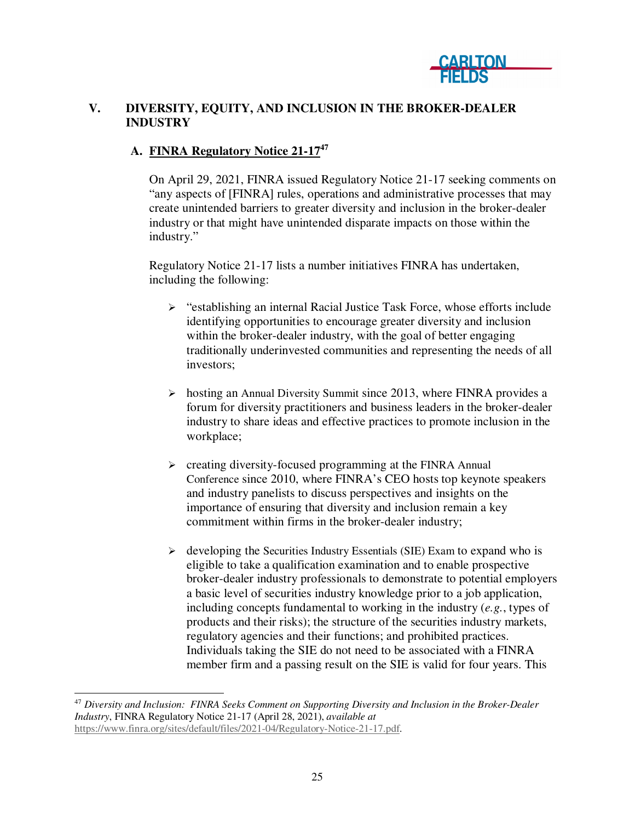

# **V. DIVERSITY, EQUITY, AND INCLUSION IN THE BROKER-DEALER INDUSTRY**

## **A. FINRA Regulatory Notice 21-17<sup>47</sup>**

On April 29, 2021, FINRA issued Regulatory Notice 21-17 seeking comments on "any aspects of [FINRA] rules, operations and administrative processes that may create unintended barriers to greater diversity and inclusion in the broker-dealer industry or that might have unintended disparate impacts on those within the industry."

Regulatory Notice 21-17 lists a number initiatives FINRA has undertaken, including the following:

- "establishing an internal Racial Justice Task Force, whose efforts include identifying opportunities to encourage greater diversity and inclusion within the broker-dealer industry, with the goal of better engaging traditionally underinvested communities and representing the needs of all investors;
- $\triangleright$  hosting an Annual Diversity Summit since 2013, where FINRA provides a forum for diversity practitioners and business leaders in the broker-dealer industry to share ideas and effective practices to promote inclusion in the workplace;
- $\triangleright$  creating diversity-focused programming at the FINRA Annual Conference since 2010, where FINRA's CEO hosts top keynote speakers and industry panelists to discuss perspectives and insights on the importance of ensuring that diversity and inclusion remain a key commitment within firms in the broker-dealer industry;
- $\triangleright$  developing the Securities Industry Essentials (SIE) Exam to expand who is eligible to take a qualification examination and to enable prospective broker-dealer industry professionals to demonstrate to potential employers a basic level of securities industry knowledge prior to a job application, including concepts fundamental to working in the industry (*e.g.*, types of products and their risks); the structure of the securities industry markets, regulatory agencies and their functions; and prohibited practices. Individuals taking the SIE do not need to be associated with a FINRA member firm and a passing result on the SIE is valid for four years. This

 <sup>47</sup> *Diversity and Inclusion: FINRA Seeks Comment on Supporting Diversity and Inclusion in the Broker-Dealer Industry*, FINRA Regulatory Notice 21-17 (April 28, 2021), *available at*  https://www.finra.org/sites/default/files/2021-04/Regulatory-Notice-21-17.pdf.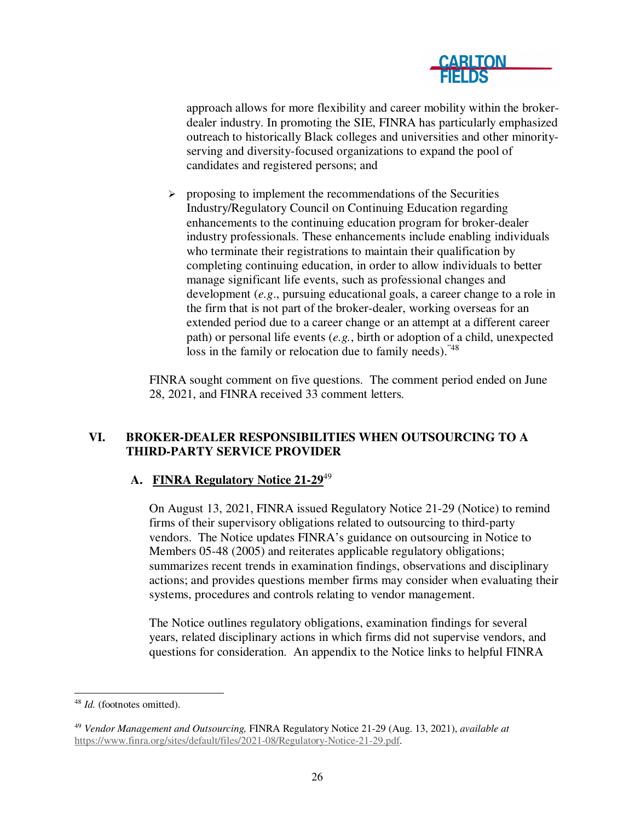

approach allows for more flexibility and career mobility within the brokerdealer industry. In promoting the SIE, FINRA has particularly emphasized outreach to historically Black colleges and universities and other minorityserving and diversity-focused organizations to expand the pool of candidates and registered persons; and

 $\triangleright$  proposing to implement the recommendations of the Securities Industry/Regulatory Council on Continuing Education regarding enhancements to the continuing education program for broker-dealer industry professionals. These enhancements include enabling individuals who terminate their registrations to maintain their qualification by completing continuing education, in order to allow individuals to better manage significant life events, such as professional changes and development (*e.g*., pursuing educational goals, a career change to a role in the firm that is not part of the broker-dealer, working overseas for an extended period due to a career change or an attempt at a different career path) or personal life events (*e.g.*, birth or adoption of a child, unexpected loss in the family or relocation due to family needs).<sup>"48</sup>

FINRA sought comment on five questions. The comment period ended on June 28, 2021, and FINRA received 33 comment letters.

## **VI. BROKER-DEALER RESPONSIBILITIES WHEN OUTSOURCING TO A THIRD-PARTY SERVICE PROVIDER**

### **A. FINRA Regulatory Notice 21-29**<sup>49</sup>

On August 13, 2021, FINRA issued Regulatory Notice 21-29 (Notice) to remind firms of their supervisory obligations related to outsourcing to third-party vendors. The Notice updates FINRA's guidance on outsourcing in Notice to Members 05-48 (2005) and reiterates applicable regulatory obligations; summarizes recent trends in examination findings, observations and disciplinary actions; and provides questions member firms may consider when evaluating their systems, procedures and controls relating to vendor management.

The Notice outlines regulatory obligations, examination findings for several years, related disciplinary actions in which firms did not supervise vendors, and questions for consideration. An appendix to the Notice links to helpful FINRA

 <sup>48</sup> *Id.* (footnotes omitted).

<sup>49</sup> *Vendor Management and Outsourcing,* FINRA Regulatory Notice 21-29 (Aug. 13, 2021), *available at* https://www.finra.org/sites/default/files/2021-08/Regulatory-Notice-21-29.pdf.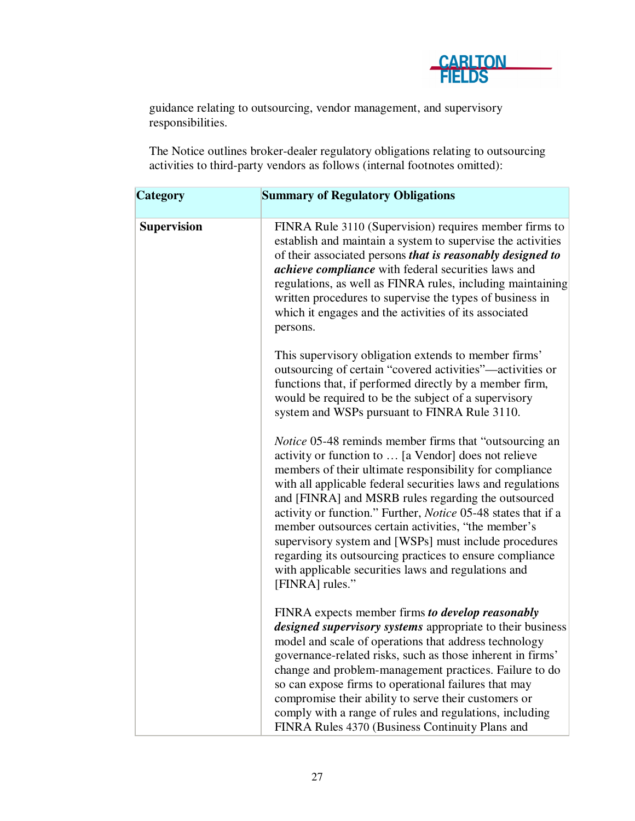

guidance relating to outsourcing, vendor management, and supervisory responsibilities.

The Notice outlines broker-dealer regulatory obligations relating to outsourcing activities to third-party vendors as follows (internal footnotes omitted):

| <b>Category</b>    | <b>Summary of Regulatory Obligations</b>                                                                                                                                                                                                                                                                                                                                                                                                                                                                                                                                                                                             |
|--------------------|--------------------------------------------------------------------------------------------------------------------------------------------------------------------------------------------------------------------------------------------------------------------------------------------------------------------------------------------------------------------------------------------------------------------------------------------------------------------------------------------------------------------------------------------------------------------------------------------------------------------------------------|
| <b>Supervision</b> | FINRA Rule 3110 (Supervision) requires member firms to<br>establish and maintain a system to supervise the activities<br>of their associated persons that is reasonably designed to<br><i>achieve compliance</i> with federal securities laws and<br>regulations, as well as FINRA rules, including maintaining<br>written procedures to supervise the types of business in<br>which it engages and the activities of its associated<br>persons.                                                                                                                                                                                     |
|                    | This supervisory obligation extends to member firms'<br>outsourcing of certain "covered activities"—activities or<br>functions that, if performed directly by a member firm,<br>would be required to be the subject of a supervisory<br>system and WSPs pursuant to FINRA Rule 3110.                                                                                                                                                                                                                                                                                                                                                 |
|                    | <i>Notice</i> 05-48 reminds member firms that "outsourcing an<br>activity or function to  [a Vendor] does not relieve<br>members of their ultimate responsibility for compliance<br>with all applicable federal securities laws and regulations<br>and [FINRA] and MSRB rules regarding the outsourced<br>activity or function." Further, <i>Notice</i> 05-48 states that if a<br>member outsources certain activities, "the member's<br>supervisory system and [WSPs] must include procedures<br>regarding its outsourcing practices to ensure compliance<br>with applicable securities laws and regulations and<br>[FINRA] rules." |
|                    | FINRA expects member firms to develop reasonably<br><i>designed supervisory systems</i> appropriate to their business<br>model and scale of operations that address technology<br>governance-related risks, such as those inherent in firms'<br>change and problem-management practices. Failure to do<br>so can expose firms to operational failures that may<br>compromise their ability to serve their customers or<br>comply with a range of rules and regulations, including<br>FINRA Rules 4370 (Business Continuity Plans and                                                                                                 |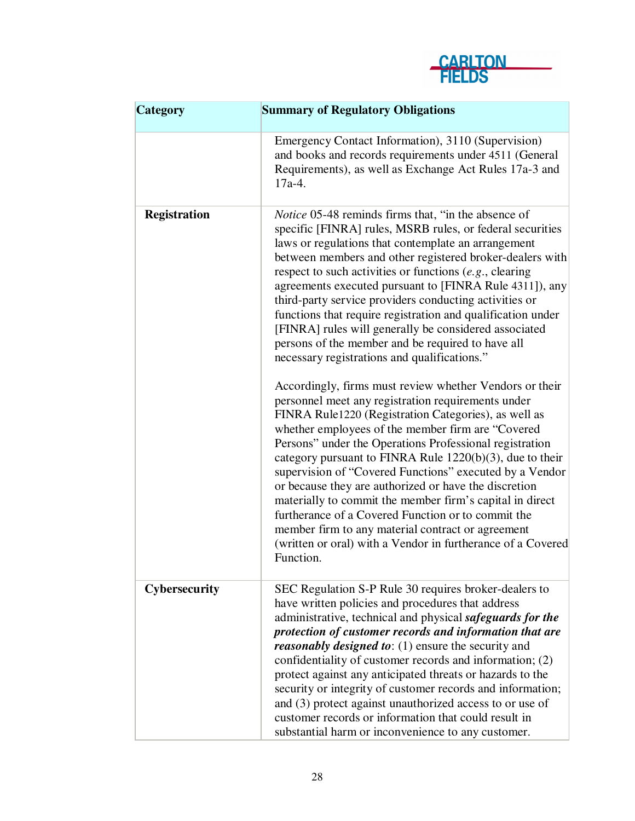

| <b>Category</b>     | <b>Summary of Regulatory Obligations</b>                                                                                                                                                                                                                                                                                                                                                                                                                                                                                                                                                                                                                                                                                     |  |  |
|---------------------|------------------------------------------------------------------------------------------------------------------------------------------------------------------------------------------------------------------------------------------------------------------------------------------------------------------------------------------------------------------------------------------------------------------------------------------------------------------------------------------------------------------------------------------------------------------------------------------------------------------------------------------------------------------------------------------------------------------------------|--|--|
|                     | Emergency Contact Information), 3110 (Supervision)<br>and books and records requirements under 4511 (General<br>Requirements), as well as Exchange Act Rules 17a-3 and<br>$17a-4.$                                                                                                                                                                                                                                                                                                                                                                                                                                                                                                                                           |  |  |
| <b>Registration</b> | <i>Notice</i> 05-48 reminds firms that, "in the absence of<br>specific [FINRA] rules, MSRB rules, or federal securities<br>laws or regulations that contemplate an arrangement<br>between members and other registered broker-dealers with<br>respect to such activities or functions $(e.g.,$ clearing<br>agreements executed pursuant to [FINRA Rule 4311]), any<br>third-party service providers conducting activities or<br>functions that require registration and qualification under<br>[FINRA] rules will generally be considered associated<br>persons of the member and be required to have all<br>necessary registrations and qualifications."                                                                    |  |  |
|                     | Accordingly, firms must review whether Vendors or their<br>personnel meet any registration requirements under<br>FINRA Rule1220 (Registration Categories), as well as<br>whether employees of the member firm are "Covered"<br>Persons" under the Operations Professional registration<br>category pursuant to FINRA Rule $1220(b)(3)$ , due to their<br>supervision of "Covered Functions" executed by a Vendor<br>or because they are authorized or have the discretion<br>materially to commit the member firm's capital in direct<br>furtherance of a Covered Function or to commit the<br>member firm to any material contract or agreement<br>(written or oral) with a Vendor in furtherance of a Covered<br>Function. |  |  |
| Cybersecurity       | SEC Regulation S-P Rule 30 requires broker-dealers to<br>have written policies and procedures that address<br>administrative, technical and physical safeguards for the<br>protection of customer records and information that are<br><i>reasonably designed to:</i> (1) ensure the security and<br>confidentiality of customer records and information; (2)<br>protect against any anticipated threats or hazards to the<br>security or integrity of customer records and information;<br>and (3) protect against unauthorized access to or use of<br>customer records or information that could result in<br>substantial harm or inconvenience to any customer.                                                            |  |  |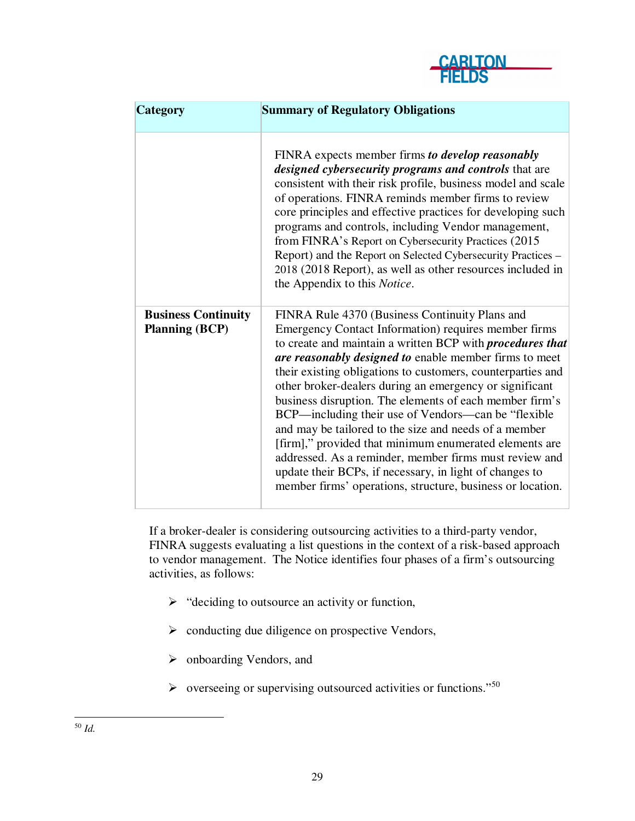

| <b>Category</b>                                     | <b>Summary of Regulatory Obligations</b>                                                                                                                                                                                                                                                                                                                                                                                                                                                                                                                                                                                                                                                                                                                                                |
|-----------------------------------------------------|-----------------------------------------------------------------------------------------------------------------------------------------------------------------------------------------------------------------------------------------------------------------------------------------------------------------------------------------------------------------------------------------------------------------------------------------------------------------------------------------------------------------------------------------------------------------------------------------------------------------------------------------------------------------------------------------------------------------------------------------------------------------------------------------|
|                                                     | FINRA expects member firms to develop reasonably<br>designed cybersecurity programs and controls that are<br>consistent with their risk profile, business model and scale<br>of operations. FINRA reminds member firms to review<br>core principles and effective practices for developing such<br>programs and controls, including Vendor management,<br>from FINRA's Report on Cybersecurity Practices (2015)<br>Report) and the Report on Selected Cybersecurity Practices -<br>2018 (2018 Report), as well as other resources included in<br>the Appendix to this Notice.                                                                                                                                                                                                           |
| <b>Business Continuity</b><br><b>Planning (BCP)</b> | FINRA Rule 4370 (Business Continuity Plans and<br>Emergency Contact Information) requires member firms<br>to create and maintain a written BCP with <i>procedures that</i><br>are reasonably designed to enable member firms to meet<br>their existing obligations to customers, counterparties and<br>other broker-dealers during an emergency or significant<br>business disruption. The elements of each member firm's<br>BCP—including their use of Vendors—can be "flexible"<br>and may be tailored to the size and needs of a member<br>[firm]," provided that minimum enumerated elements are<br>addressed. As a reminder, member firms must review and<br>update their BCPs, if necessary, in light of changes to<br>member firms' operations, structure, business or location. |

If a broker-dealer is considering outsourcing activities to a third-party vendor, FINRA suggests evaluating a list questions in the context of a risk-based approach to vendor management. The Notice identifies four phases of a firm's outsourcing activities, as follows:

- $\triangleright$  "deciding to outsource an activity or function,
- $\triangleright$  conducting due diligence on prospective Vendors,
- onboarding Vendors, and
- $\triangleright$  overseeing or supervising outsourced activities or functions."<sup>50</sup>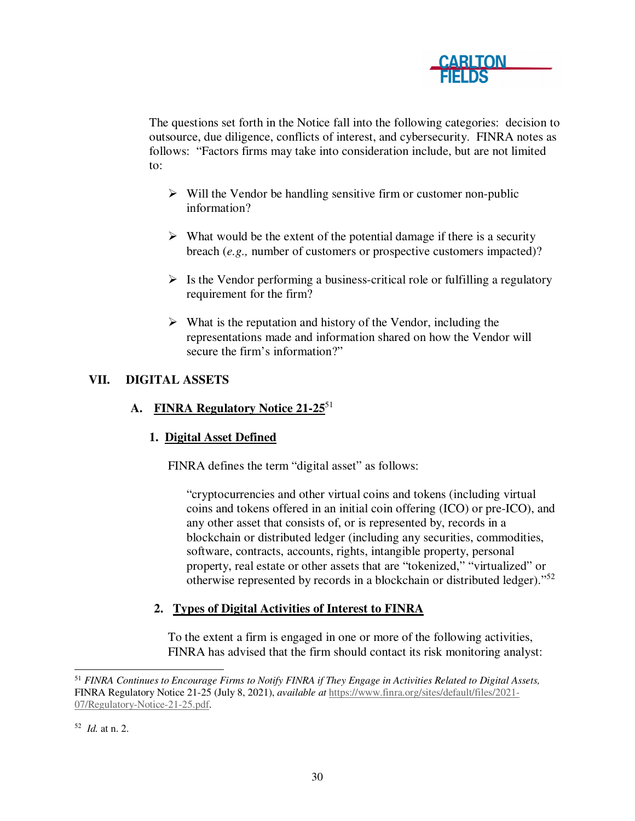

The questions set forth in the Notice fall into the following categories: decision to outsource, due diligence, conflicts of interest, and cybersecurity. FINRA notes as follows: "Factors firms may take into consideration include, but are not limited to:

- $\triangleright$  Will the Vendor be handling sensitive firm or customer non-public information?
- $\triangleright$  What would be the extent of the potential damage if there is a security breach (*e.g.,* number of customers or prospective customers impacted)?
- $\triangleright$  Is the Vendor performing a business-critical role or fulfilling a regulatory requirement for the firm?
- $\triangleright$  What is the reputation and history of the Vendor, including the representations made and information shared on how the Vendor will secure the firm's information?"

# **VII. DIGITAL ASSETS**

# **A. FINRA Regulatory Notice 21-25**<sup>51</sup>

### **1. Digital Asset Defined**

FINRA defines the term "digital asset" as follows:

"cryptocurrencies and other virtual coins and tokens (including virtual coins and tokens offered in an initial coin offering (ICO) or pre-ICO), and any other asset that consists of, or is represented by, records in a blockchain or distributed ledger (including any securities, commodities, software, contracts, accounts, rights, intangible property, personal property, real estate or other assets that are "tokenized," "virtualized" or otherwise represented by records in a blockchain or distributed ledger)."<sup>52</sup>

# **2. Types of Digital Activities of Interest to FINRA**

To the extent a firm is engaged in one or more of the following activities, FINRA has advised that the firm should contact its risk monitoring analyst:

 <sup>51</sup> *FINRA Continues to Encourage Firms to Notify FINRA if They Engage in Activities Related to Digital Assets,* FINRA Regulatory Notice 21-25 (July 8, 2021), *available at* https://www.finra.org/sites/default/files/2021- 07/Regulatory-Notice-21-25.pdf.

<sup>52</sup> *Id.* at n. 2.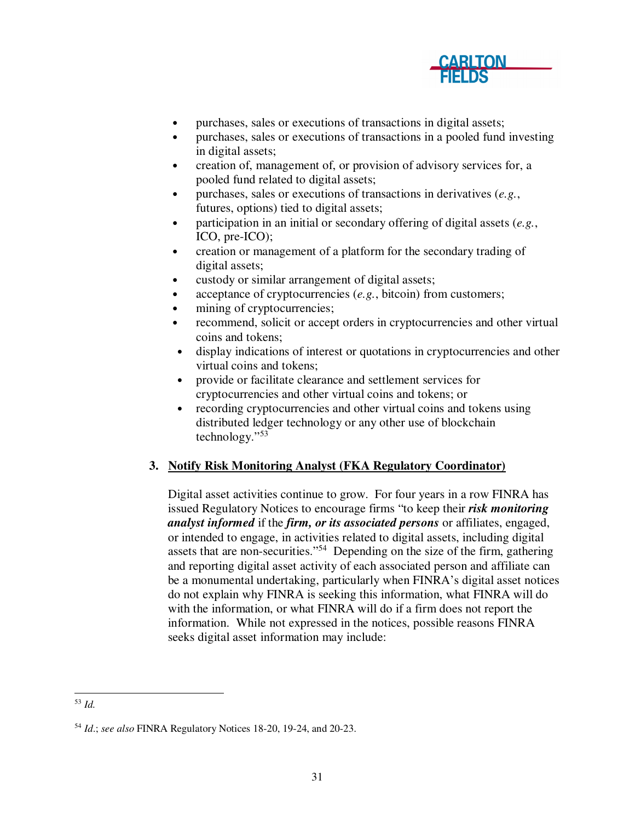

- purchases, sales or executions of transactions in digital assets;
- purchases, sales or executions of transactions in a pooled fund investing in digital assets;
- creation of, management of, or provision of advisory services for, a pooled fund related to digital assets;
- purchases, sales or executions of transactions in derivatives (*e.g.*, futures, options) tied to digital assets;
- participation in an initial or secondary offering of digital assets (*e.g.*, ICO, pre-ICO);
- creation or management of a platform for the secondary trading of digital assets;
- custody or similar arrangement of digital assets;
- acceptance of cryptocurrencies (*e.g.*, bitcoin) from customers;
- mining of cryptocurrencies;
- recommend, solicit or accept orders in cryptocurrencies and other virtual coins and tokens;
- display indications of interest or quotations in cryptocurrencies and other virtual coins and tokens;
- provide or facilitate clearance and settlement services for cryptocurrencies and other virtual coins and tokens; or
- recording cryptocurrencies and other virtual coins and tokens using distributed ledger technology or any other use of blockchain technology."<sup>53</sup>

# **3. Notify Risk Monitoring Analyst (FKA Regulatory Coordinator)**

Digital asset activities continue to grow. For four years in a row FINRA has issued Regulatory Notices to encourage firms "to keep their *risk monitoring analyst informed* if the *firm, or its associated persons* or affiliates, engaged, or intended to engage, in activities related to digital assets, including digital assets that are non-securities."<sup>54</sup> Depending on the size of the firm, gathering and reporting digital asset activity of each associated person and affiliate can be a monumental undertaking, particularly when FINRA's digital asset notices do not explain why FINRA is seeking this information, what FINRA will do with the information, or what FINRA will do if a firm does not report the information. While not expressed in the notices, possible reasons FINRA seeks digital asset information may include:

 <sup>53</sup> *Id.* 

<sup>54</sup> *Id*.; *see also* FINRA Regulatory Notices 18-20, 19-24, and 20-23.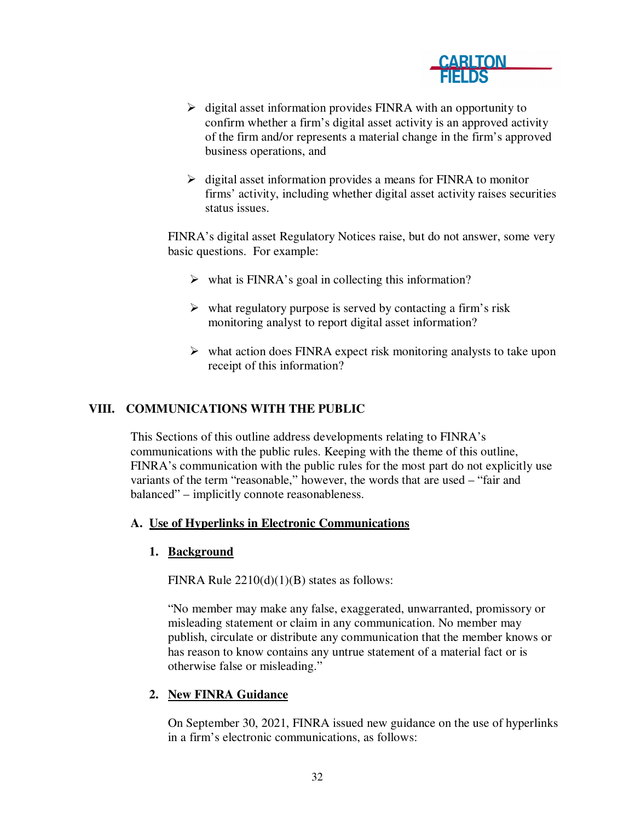

- $\triangleright$  digital asset information provides FINRA with an opportunity to confirm whether a firm's digital asset activity is an approved activity of the firm and/or represents a material change in the firm's approved business operations, and
- $\triangleright$  digital asset information provides a means for FINRA to monitor firms' activity, including whether digital asset activity raises securities status issues.

FINRA's digital asset Regulatory Notices raise, but do not answer, some very basic questions. For example:

- $\triangleright$  what is FINRA's goal in collecting this information?
- $\triangleright$  what regulatory purpose is served by contacting a firm's risk monitoring analyst to report digital asset information?
- $\triangleright$  what action does FINRA expect risk monitoring analysts to take upon receipt of this information?

#### **VIII. COMMUNICATIONS WITH THE PUBLIC**

This Sections of this outline address developments relating to FINRA's communications with the public rules. Keeping with the theme of this outline, FINRA's communication with the public rules for the most part do not explicitly use variants of the term "reasonable," however, the words that are used – "fair and balanced" – implicitly connote reasonableness.

#### **A. Use of Hyperlinks in Electronic Communications**

#### **1. Background**

FINRA Rule  $2210(d)(1)(B)$  states as follows:

"No member may make any false, exaggerated, unwarranted, promissory or misleading statement or claim in any communication. No member may publish, circulate or distribute any communication that the member knows or has reason to know contains any untrue statement of a material fact or is otherwise false or misleading."

### **2. New FINRA Guidance**

On September 30, 2021, FINRA issued new guidance on the use of hyperlinks in a firm's electronic communications, as follows: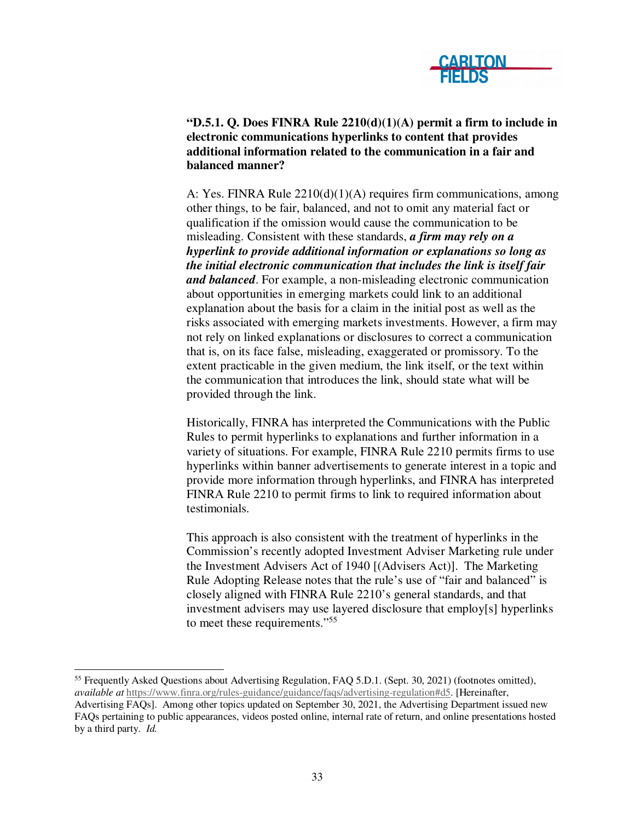

**"D.5.1. Q. Does FINRA Rule 2210(d)(1)(A) permit a firm to include in electronic communications hyperlinks to content that provides additional information related to the communication in a fair and balanced manner?** 

A: Yes. FINRA Rule 2210(d)(1)(A) requires firm communications, among other things, to be fair, balanced, and not to omit any material fact or qualification if the omission would cause the communication to be misleading. Consistent with these standards, *a firm may rely on a hyperlink to provide additional information or explanations so long as the initial electronic communication that includes the link is itself fair and balanced*. For example, a non-misleading electronic communication about opportunities in emerging markets could link to an additional explanation about the basis for a claim in the initial post as well as the risks associated with emerging markets investments. However, a firm may not rely on linked explanations or disclosures to correct a communication that is, on its face false, misleading, exaggerated or promissory. To the extent practicable in the given medium, the link itself, or the text within the communication that introduces the link, should state what will be provided through the link.

Historically, FINRA has interpreted the Communications with the Public Rules to permit hyperlinks to explanations and further information in a variety of situations. For example, FINRA Rule 2210 permits firms to use hyperlinks within banner advertisements to generate interest in a topic and provide more information through hyperlinks, and FINRA has interpreted FINRA Rule 2210 to permit firms to link to required information about testimonials.

This approach is also consistent with the treatment of hyperlinks in the Commission's recently adopted Investment Adviser Marketing rule under the Investment Advisers Act of 1940 [(Advisers Act)]. The Marketing Rule Adopting Release notes that the rule's use of "fair and balanced" is closely aligned with FINRA Rule 2210's general standards, and that investment advisers may use layered disclosure that employ[s] hyperlinks to meet these requirements."<sup>55</sup>

<sup>55</sup> Frequently Asked Questions about Advertising Regulation, FAQ 5.D.1. (Sept. 30, 2021) (footnotes omitted), *available at* https://www.finra.org/rules-guidance/guidance/faqs/advertising-regulation#d5. [Hereinafter,

Advertising FAQs]. Among other topics updated on September 30, 2021, the Advertising Department issued new FAQs pertaining to public appearances, videos posted online, internal rate of return, and online presentations hosted by a third party. *Id.*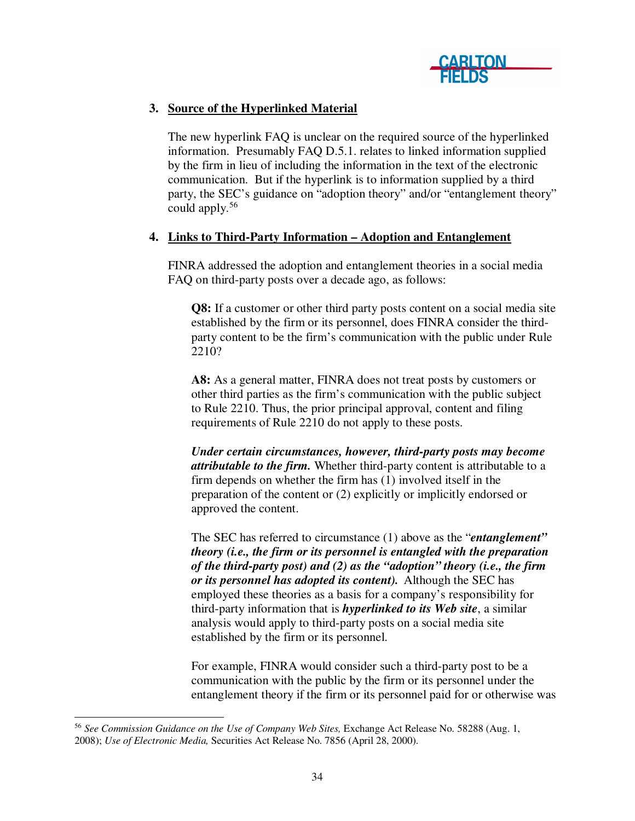

# **3. Source of the Hyperlinked Material**

The new hyperlink FAQ is unclear on the required source of the hyperlinked information. Presumably FAQ D.5.1. relates to linked information supplied by the firm in lieu of including the information in the text of the electronic communication. But if the hyperlink is to information supplied by a third party, the SEC's guidance on "adoption theory" and/or "entanglement theory" could apply.<sup>56</sup>

## **4. Links to Third-Party Information – Adoption and Entanglement**

FINRA addressed the adoption and entanglement theories in a social media FAQ on third-party posts over a decade ago, as follows:

**Q8:** If a customer or other third party posts content on a social media site established by the firm or its personnel, does FINRA consider the thirdparty content to be the firm's communication with the public under Rule 2210?

**A8:** As a general matter, FINRA does not treat posts by customers or other third parties as the firm's communication with the public subject to Rule 2210. Thus, the prior principal approval, content and filing requirements of Rule 2210 do not apply to these posts.

*Under certain circumstances, however, third-party posts may become attributable to the firm.* Whether third-party content is attributable to a firm depends on whether the firm has (1) involved itself in the preparation of the content or (2) explicitly or implicitly endorsed or approved the content.

The SEC has referred to circumstance (1) above as the "*entanglement" theory (i.e., the firm or its personnel is entangled with the preparation of the third-party post) and (2) as the "adoption" theory (i.e., the firm or its personnel has adopted its content).* Although the SEC has employed these theories as a basis for a company's responsibility for third-party information that is *hyperlinked to its Web site*, a similar analysis would apply to third-party posts on a social media site established by the firm or its personnel.

For example, FINRA would consider such a third-party post to be a communication with the public by the firm or its personnel under the entanglement theory if the firm or its personnel paid for or otherwise was

 <sup>56</sup> *See Commission Guidance on the Use of Company Web Sites,* Exchange Act Release No. 58288 (Aug. 1, 2008); *Use of Electronic Media,* Securities Act Release No. 7856 (April 28, 2000).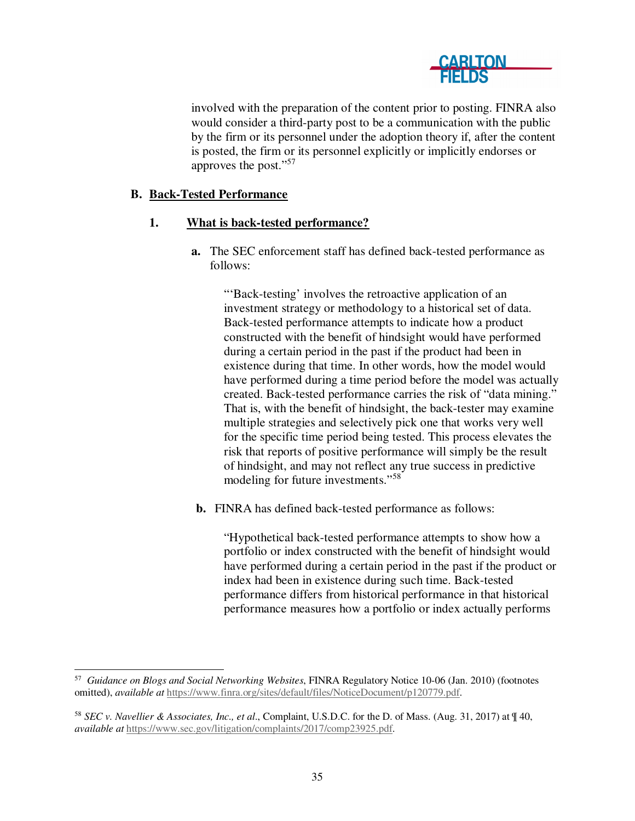

involved with the preparation of the content prior to posting. FINRA also would consider a third-party post to be a communication with the public by the firm or its personnel under the adoption theory if, after the content is posted, the firm or its personnel explicitly or implicitly endorses or approves the post."<sup>57</sup>

### **B. Back-Tested Performance**

#### **1. What is back-tested performance?**

**a.** The SEC enforcement staff has defined back-tested performance as follows:

"'Back-testing' involves the retroactive application of an investment strategy or methodology to a historical set of data. Back-tested performance attempts to indicate how a product constructed with the benefit of hindsight would have performed during a certain period in the past if the product had been in existence during that time. In other words, how the model would have performed during a time period before the model was actually created. Back-tested performance carries the risk of "data mining." That is, with the benefit of hindsight, the back-tester may examine multiple strategies and selectively pick one that works very well for the specific time period being tested. This process elevates the risk that reports of positive performance will simply be the result of hindsight, and may not reflect any true success in predictive modeling for future investments."<sup>58</sup>

**b.** FINRA has defined back-tested performance as follows:

"Hypothetical back-tested performance attempts to show how a portfolio or index constructed with the benefit of hindsight would have performed during a certain period in the past if the product or index had been in existence during such time. Back-tested performance differs from historical performance in that historical performance measures how a portfolio or index actually performs

 57 *Guidance on Blogs and Social Networking Websites*, FINRA Regulatory Notice 10-06 (Jan. 2010) (footnotes omitted), *available at* https://www.finra.org/sites/default/files/NoticeDocument/p120779.pdf.

<sup>58</sup> *SEC v. Navellier & Associates, Inc., et al*., Complaint, U.S.D.C. for the D. of Mass. (Aug. 31, 2017) at ¶ 40, *available at* https://www.sec.gov/litigation/complaints/2017/comp23925.pdf.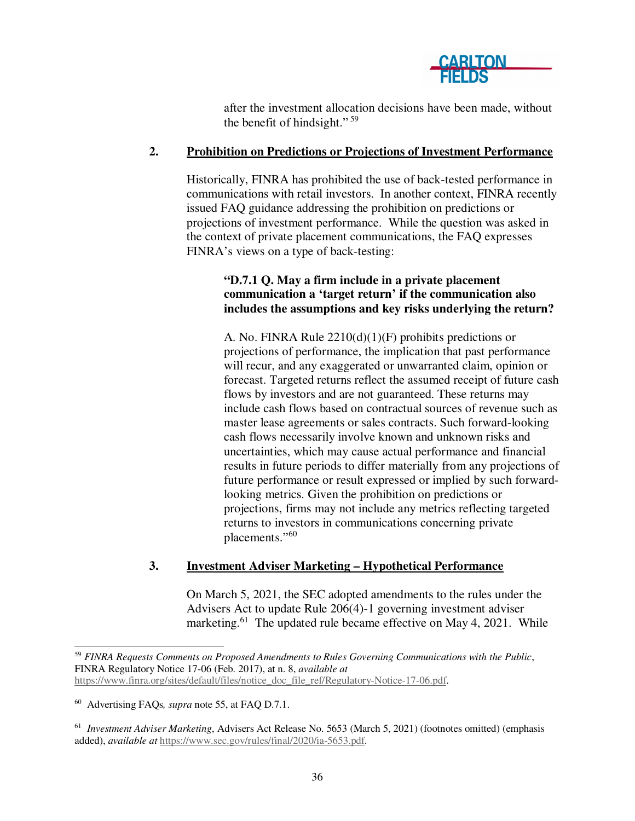

after the investment allocation decisions have been made, without the benefit of hindsight." <sup>59</sup>

### **2. Prohibition on Predictions or Projections of Investment Performance**

Historically, FINRA has prohibited the use of back-tested performance in communications with retail investors. In another context, FINRA recently issued FAQ guidance addressing the prohibition on predictions or projections of investment performance. While the question was asked in the context of private placement communications, the FAQ expresses FINRA's views on a type of back-testing:

## **"D.7.1 Q. May a firm include in a private placement communication a 'target return' if the communication also includes the assumptions and key risks underlying the return?**

A. No. FINRA Rule 2210(d)(1)(F) prohibits predictions or projections of performance, the implication that past performance will recur, and any exaggerated or unwarranted claim, opinion or forecast. Targeted returns reflect the assumed receipt of future cash flows by investors and are not guaranteed. These returns may include cash flows based on contractual sources of revenue such as master lease agreements or sales contracts. Such forward-looking cash flows necessarily involve known and unknown risks and uncertainties, which may cause actual performance and financial results in future periods to differ materially from any projections of future performance or result expressed or implied by such forwardlooking metrics. Given the prohibition on predictions or projections, firms may not include any metrics reflecting targeted returns to investors in communications concerning private placements."<sup>60</sup>

### **3. Investment Adviser Marketing – Hypothetical Performance**

On March 5, 2021, the SEC adopted amendments to the rules under the Advisers Act to update Rule 206(4)-1 governing investment adviser marketing.<sup>61</sup> The updated rule became effective on May 4, 2021. While

 <sup>59</sup> *FINRA Requests Comments on Proposed Amendments to Rules Governing Communications with the Public*, FINRA Regulatory Notice 17-06 (Feb. 2017), at n. 8, *available at* https://www.finra.org/sites/default/files/notice\_doc\_file\_ref/Regulatory-Notice-17-06.pdf.

<sup>60</sup> Advertising FAQs*, supra* note 55, at FAQ D.7.1.

<sup>&</sup>lt;sup>61</sup> Investment Adviser Marketing, Advisers Act Release No. 5653 (March 5, 2021) (footnotes omitted) (emphasis added), *available at* https://www.sec.gov/rules/final/2020/ia-5653.pdf.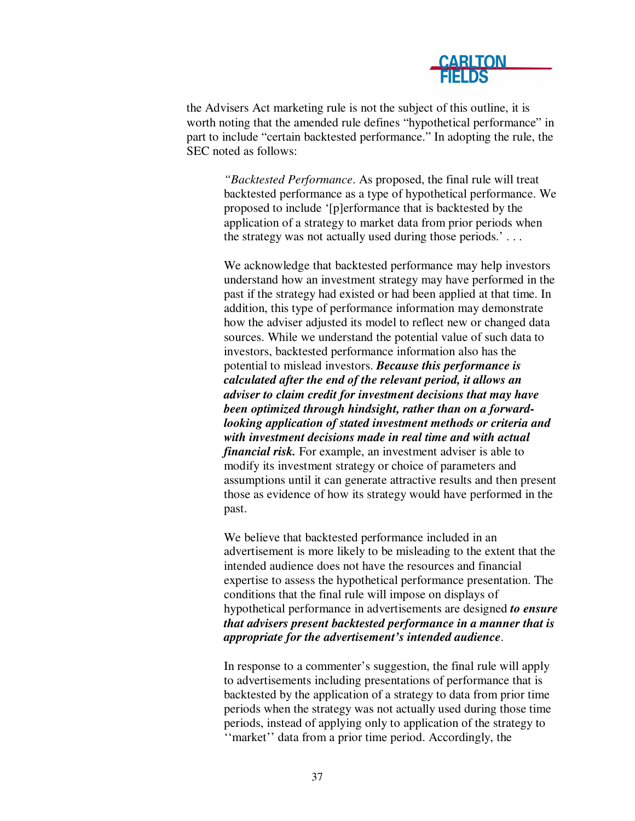

the Advisers Act marketing rule is not the subject of this outline, it is worth noting that the amended rule defines "hypothetical performance" in part to include "certain backtested performance." In adopting the rule, the SEC noted as follows:

> *"Backtested Performance*. As proposed, the final rule will treat backtested performance as a type of hypothetical performance. We proposed to include '[p]erformance that is backtested by the application of a strategy to market data from prior periods when the strategy was not actually used during those periods.' . . .

> We acknowledge that backtested performance may help investors understand how an investment strategy may have performed in the past if the strategy had existed or had been applied at that time. In addition, this type of performance information may demonstrate how the adviser adjusted its model to reflect new or changed data sources. While we understand the potential value of such data to investors, backtested performance information also has the potential to mislead investors. *Because this performance is calculated after the end of the relevant period, it allows an adviser to claim credit for investment decisions that may have been optimized through hindsight, rather than on a forwardlooking application of stated investment methods or criteria and with investment decisions made in real time and with actual financial risk.* For example, an investment adviser is able to modify its investment strategy or choice of parameters and assumptions until it can generate attractive results and then present those as evidence of how its strategy would have performed in the past.

> We believe that backtested performance included in an advertisement is more likely to be misleading to the extent that the intended audience does not have the resources and financial expertise to assess the hypothetical performance presentation. The conditions that the final rule will impose on displays of hypothetical performance in advertisements are designed *to ensure that advisers present backtested performance in a manner that is appropriate for the advertisement's intended audience*.

In response to a commenter's suggestion, the final rule will apply to advertisements including presentations of performance that is backtested by the application of a strategy to data from prior time periods when the strategy was not actually used during those time periods, instead of applying only to application of the strategy to ''market'' data from a prior time period. Accordingly, the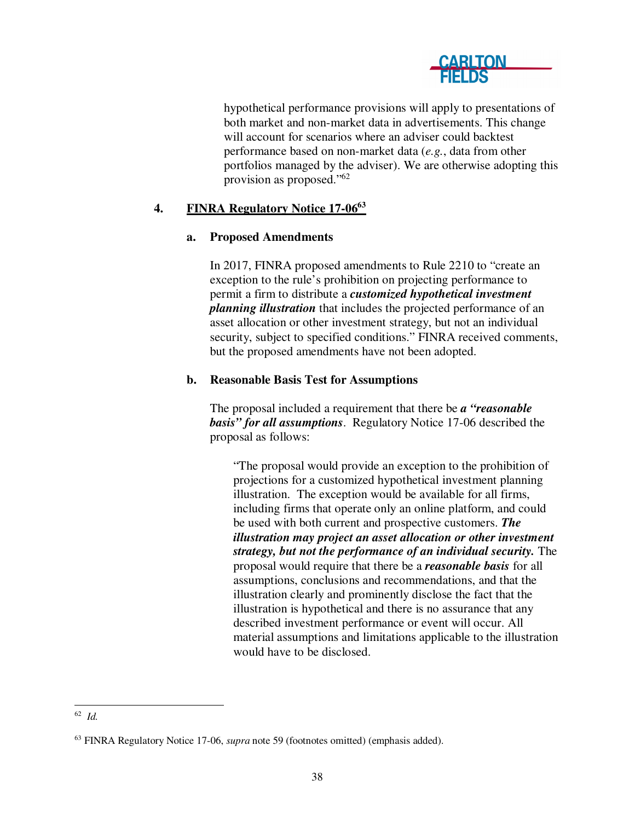

hypothetical performance provisions will apply to presentations of both market and non-market data in advertisements. This change will account for scenarios where an adviser could backtest performance based on non-market data (*e.g.*, data from other portfolios managed by the adviser). We are otherwise adopting this provision as proposed."<sup>62</sup>

# **4. FINRA Regulatory Notice 17-06<sup>63</sup>**

### **a. Proposed Amendments**

In 2017, FINRA proposed amendments to Rule 2210 to "create an exception to the rule's prohibition on projecting performance to permit a firm to distribute a *customized hypothetical investment planning illustration* that includes the projected performance of an asset allocation or other investment strategy, but not an individual security, subject to specified conditions." FINRA received comments, but the proposed amendments have not been adopted.

## **b. Reasonable Basis Test for Assumptions**

The proposal included a requirement that there be *a "reasonable basis" for all assumptions*. Regulatory Notice 17-06 described the proposal as follows:

"The proposal would provide an exception to the prohibition of projections for a customized hypothetical investment planning illustration. The exception would be available for all firms, including firms that operate only an online platform, and could be used with both current and prospective customers. *The illustration may project an asset allocation or other investment strategy, but not the performance of an individual security.* The proposal would require that there be a *reasonable basis* for all assumptions, conclusions and recommendations, and that the illustration clearly and prominently disclose the fact that the illustration is hypothetical and there is no assurance that any described investment performance or event will occur. All material assumptions and limitations applicable to the illustration would have to be disclosed.

 62 *Id.*

<sup>63</sup> FINRA Regulatory Notice 17-06, *supra* note 59 (footnotes omitted) (emphasis added).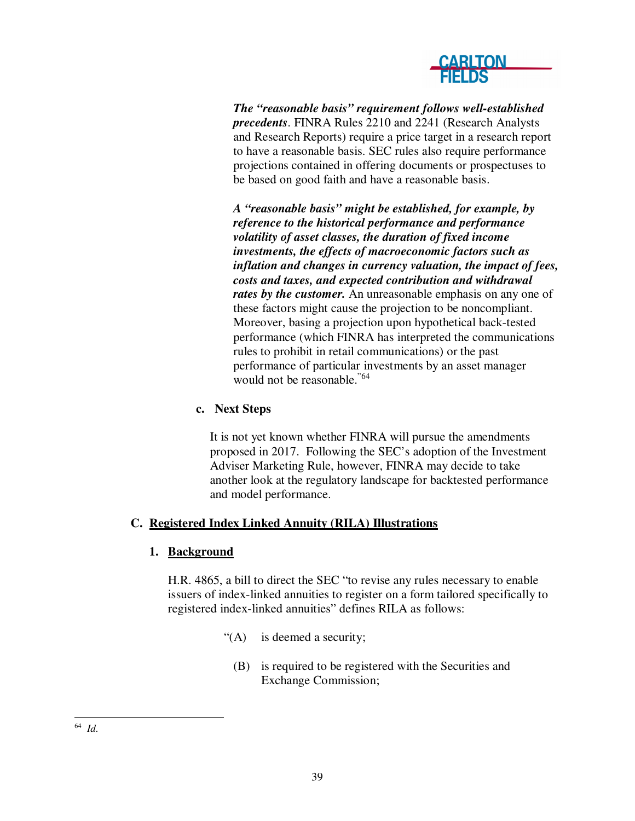

*The "reasonable basis" requirement follows well-established precedents*. FINRA Rules 2210 and 2241 (Research Analysts and Research Reports) require a price target in a research report to have a reasonable basis. SEC rules also require performance projections contained in offering documents or prospectuses to be based on good faith and have a reasonable basis.

*A "reasonable basis" might be established, for example, by reference to the historical performance and performance volatility of asset classes, the duration of fixed income investments, the effects of macroeconomic factors such as inflation and changes in currency valuation, the impact of fees, costs and taxes, and expected contribution and withdrawal*  rates by the customer. An unreasonable emphasis on any one of these factors might cause the projection to be noncompliant. Moreover, basing a projection upon hypothetical back-tested performance (which FINRA has interpreted the communications rules to prohibit in retail communications) or the past performance of particular investments by an asset manager would not be reasonable."64

# **c. Next Steps**

It is not yet known whether FINRA will pursue the amendments proposed in 2017. Following the SEC's adoption of the Investment Adviser Marketing Rule, however, FINRA may decide to take another look at the regulatory landscape for backtested performance and model performance.

### **C. Registered Index Linked Annuity (RILA) Illustrations**

### **1. Background**

H.R. 4865, a bill to direct the SEC "to revise any rules necessary to enable issuers of index-linked annuities to register on a form tailored specifically to registered index-linked annuities" defines RILA as follows:

- "(A) is deemed a security;
	- (B) is required to be registered with the Securities and Exchange Commission;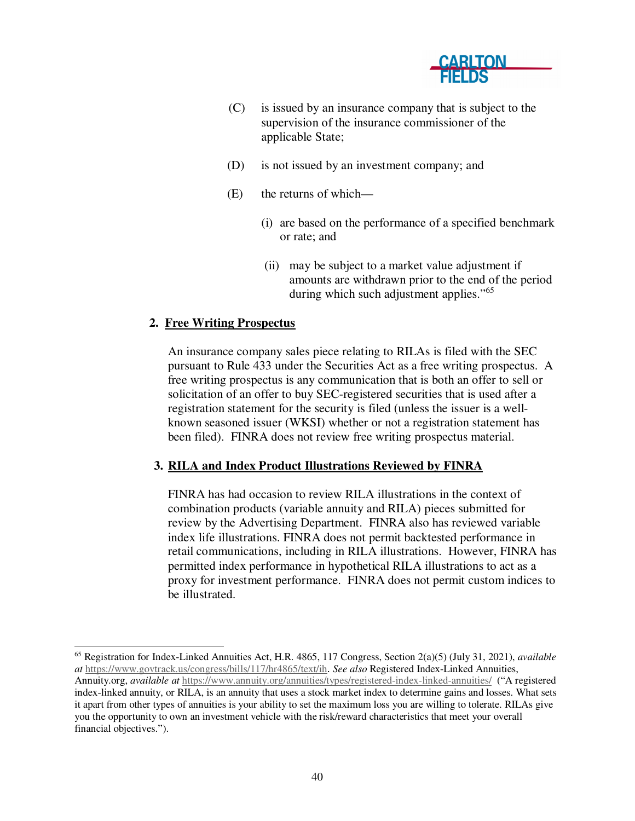

- (C) is issued by an insurance company that is subject to the supervision of the insurance commissioner of the applicable State;
- (D) is not issued by an investment company; and
- (E) the returns of which—
	- (i) are based on the performance of a specified benchmark or rate; and
	- (ii) may be subject to a market value adjustment if amounts are withdrawn prior to the end of the period during which such adjustment applies."<sup>65</sup>

#### **2. Free Writing Prospectus**

An insurance company sales piece relating to RILAs is filed with the SEC pursuant to Rule 433 under the Securities Act as a free writing prospectus. A free writing prospectus is any communication that is both an offer to sell or solicitation of an offer to buy SEC-registered securities that is used after a registration statement for the security is filed (unless the issuer is a wellknown seasoned issuer (WKSI) whether or not a registration statement has been filed). FINRA does not review free writing prospectus material.

#### **3. RILA and Index Product Illustrations Reviewed by FINRA**

FINRA has had occasion to review RILA illustrations in the context of combination products (variable annuity and RILA) pieces submitted for review by the Advertising Department. FINRA also has reviewed variable index life illustrations. FINRA does not permit backtested performance in retail communications, including in RILA illustrations. However, FINRA has permitted index performance in hypothetical RILA illustrations to act as a proxy for investment performance. FINRA does not permit custom indices to be illustrated.

 <sup>65</sup> Registration for Index-Linked Annuities Act, H.R. 4865, 117 Congress, Section 2(a)(5) (July 31, 2021), *available at* https://www.govtrack.us/congress/bills/117/hr4865/text/ih. *See also* Registered Index-Linked Annuities, Annuity.org, *available at* https://www.annuity.org/annuities/types/registered-index-linked-annuities/ ("A registered index-linked annuity, or RILA, is an annuity that uses a stock market index to determine gains and losses. What sets it apart from other types of annuities is your ability to set the maximum loss you are willing to tolerate. RILAs give you the opportunity to own an investment vehicle with the risk/reward characteristics that meet your overall financial objectives.").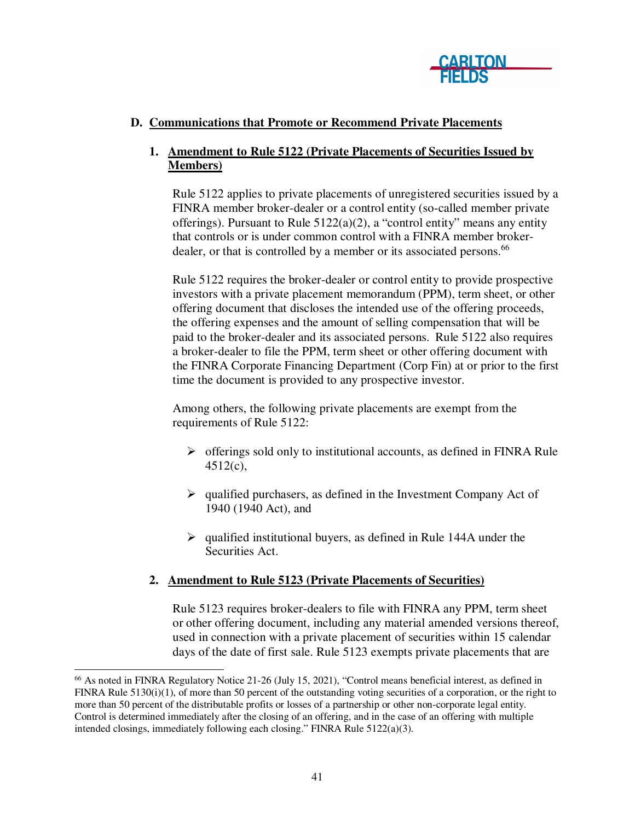

# **D. Communications that Promote or Recommend Private Placements**

# **1. Amendment to Rule 5122 (Private Placements of Securities Issued by Members)**

Rule 5122 applies to private placements of unregistered securities issued by a FINRA member broker-dealer or a control entity (so-called member private offerings). Pursuant to Rule 5122(a)(2), a "control entity" means any entity that controls or is under common control with a FINRA member brokerdealer, or that is controlled by a member or its associated persons.<sup>66</sup>

Rule 5122 requires the broker-dealer or control entity to provide prospective investors with a private placement memorandum (PPM), term sheet, or other offering document that discloses the intended use of the offering proceeds, the offering expenses and the amount of selling compensation that will be paid to the broker-dealer and its associated persons. Rule 5122 also requires a broker-dealer to file the PPM, term sheet or other offering document with the FINRA Corporate Financing Department (Corp Fin) at or prior to the first time the document is provided to any prospective investor.

Among others, the following private placements are exempt from the requirements of Rule 5122:

- $\triangleright$  offerings sold only to institutional accounts, as defined in FINRA Rule 4512(c),
- $\triangleright$  qualified purchasers, as defined in the Investment Company Act of 1940 (1940 Act), and
- $\geq$  qualified institutional buyers, as defined in Rule 144A under the Securities Act.

### **2. Amendment to Rule 5123 (Private Placements of Securities)**

Rule 5123 requires broker-dealers to file with FINRA any PPM, term sheet or other offering document, including any material amended versions thereof, used in connection with a private placement of securities within 15 calendar days of the date of first sale. Rule 5123 exempts private placements that are

 $\frac{66}{100}$  As noted in FINRA Regulatory Notice 21-26 (July 15, 2021), "Control means beneficial interest, as defined in FINRA Rule 5130(i)(1), of more than 50 percent of the outstanding voting securities of a corporation, or the right to more than 50 percent of the distributable profits or losses of a partnership or other non-corporate legal entity. Control is determined immediately after the closing of an offering, and in the case of an offering with multiple intended closings, immediately following each closing." FINRA Rule 5122(a)(3).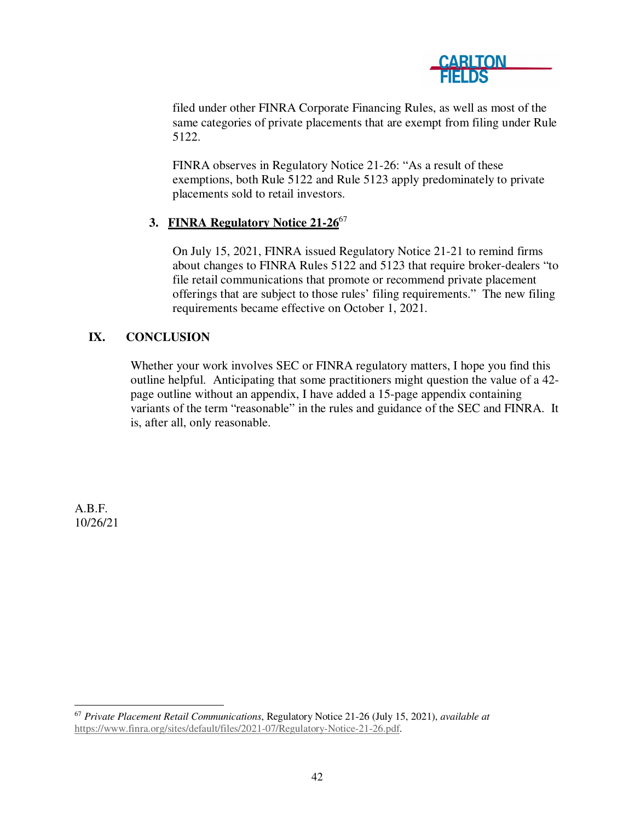

filed under other FINRA Corporate Financing Rules, as well as most of the same categories of private placements that are exempt from filing under Rule 5122.

FINRA observes in Regulatory Notice 21-26: "As a result of these exemptions, both Rule 5122 and Rule 5123 apply predominately to private placements sold to retail investors.

## **3. FINRA Regulatory Notice 21-26**<sup>67</sup>

On July 15, 2021, FINRA issued Regulatory Notice 21-21 to remind firms about changes to FINRA Rules 5122 and 5123 that require broker-dealers "to file retail communications that promote or recommend private placement offerings that are subject to those rules' filing requirements." The new filing requirements became effective on October 1, 2021.

# **IX. CONCLUSION**

Whether your work involves SEC or FINRA regulatory matters, I hope you find this outline helpful. Anticipating that some practitioners might question the value of a 42 page outline without an appendix, I have added a 15-page appendix containing variants of the term "reasonable" in the rules and guidance of the SEC and FINRA. It is, after all, only reasonable.

A.B.F. 10/26/21

 <sup>67</sup> *Private Placement Retail Communications*, Regulatory Notice 21-26 (July 15, 2021), *available at* https://www.finra.org/sites/default/files/2021-07/Regulatory-Notice-21-26.pdf.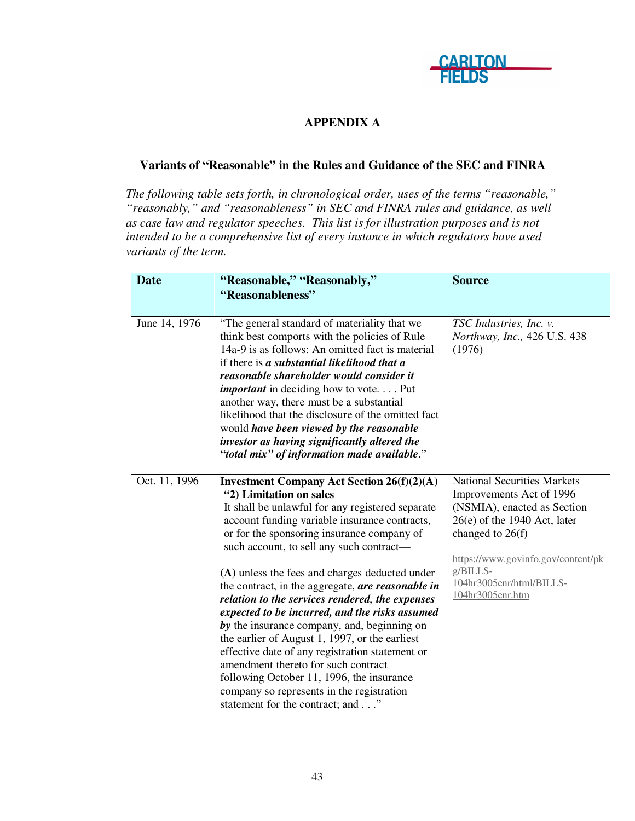

# **APPENDIX A**

## **Variants of "Reasonable" in the Rules and Guidance of the SEC and FINRA**

*The following table sets forth, in chronological order, uses of the terms "reasonable," "reasonably," and "reasonableness" in SEC and FINRA rules and guidance, as well as case law and regulator speeches. This list is for illustration purposes and is not intended to be a comprehensive list of every instance in which regulators have used variants of the term.* 

| <b>Date</b>   | "Reasonable," "Reasonably,"<br>"Reasonableness"                                                                                                                                                                                                                                                                                                                                                                                                                                                                                            | <b>Source</b>                                                                                                                                                                             |
|---------------|--------------------------------------------------------------------------------------------------------------------------------------------------------------------------------------------------------------------------------------------------------------------------------------------------------------------------------------------------------------------------------------------------------------------------------------------------------------------------------------------------------------------------------------------|-------------------------------------------------------------------------------------------------------------------------------------------------------------------------------------------|
| June 14, 1976 | "The general standard of materiality that we<br>think best comports with the policies of Rule<br>14a-9 is as follows: An omitted fact is material<br>if there is a substantial likelihood that a<br>reasonable shareholder would consider it<br><i>important</i> in deciding how to vote. Put<br>another way, there must be a substantial<br>likelihood that the disclosure of the omitted fact<br>would have been viewed by the reasonable<br>investor as having significantly altered the<br>"total mix" of information made available." | TSC Industries, Inc. v.<br>Northway, Inc., 426 U.S. 438<br>(1976)                                                                                                                         |
| Oct. 11, 1996 | <b>Investment Company Act Section 26(f)(2)(A)</b><br>"2) Limitation on sales<br>It shall be unlawful for any registered separate<br>account funding variable insurance contracts,<br>or for the sponsoring insurance company of<br>such account, to sell any such contract-                                                                                                                                                                                                                                                                | <b>National Securities Markets</b><br>Improvements Act of 1996<br>(NSMIA), enacted as Section<br>$26(e)$ of the 1940 Act, later<br>changed to 26(f)<br>https://www.govinfo.gov/content/pk |
|               | (A) unless the fees and charges deducted under<br>the contract, in the aggregate, are reasonable in<br>relation to the services rendered, the expenses<br>expected to be incurred, and the risks assumed<br>by the insurance company, and, beginning on<br>the earlier of August 1, 1997, or the earliest<br>effective date of any registration statement or<br>amendment thereto for such contract<br>following October 11, 1996, the insurance<br>company so represents in the registration<br>statement for the contract; and"          | $g/BILLS-$<br>104hr3005enr/html/BILLS-<br>104hr3005enr.htm                                                                                                                                |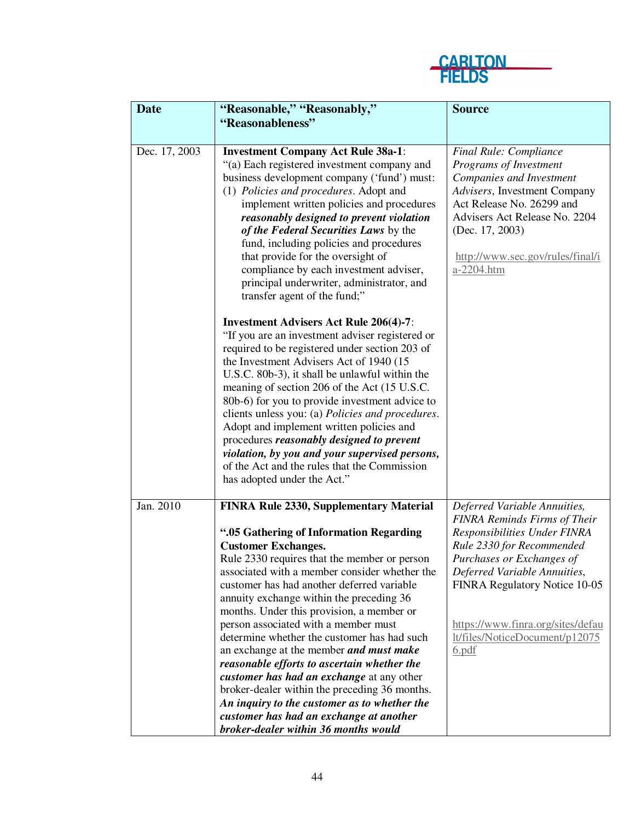

| <b>Date</b>   | "Reasonable," "Reasonably,"                      | <b>Source</b>                       |
|---------------|--------------------------------------------------|-------------------------------------|
|               | "Reasonableness"                                 |                                     |
|               |                                                  |                                     |
| Dec. 17, 2003 | <b>Investment Company Act Rule 38a-1:</b>        | Final Rule: Compliance              |
|               | "(a) Each registered investment company and      | Programs of Investment              |
|               | business development company ('fund') must:      | Companies and Investment            |
|               | (1) Policies and procedures. Adopt and           | Advisers, Investment Company        |
|               | implement written policies and procedures        | Act Release No. 26299 and           |
|               | reasonably designed to prevent violation         | Advisers Act Release No. 2204       |
|               | of the Federal Securities Laws by the            | (Dec. 17, 2003)                     |
|               | fund, including policies and procedures          |                                     |
|               | that provide for the oversight of                | http://www.sec.gov/rules/final/i    |
|               | compliance by each investment adviser,           | a-2204.htm                          |
|               | principal underwriter, administrator, and        |                                     |
|               | transfer agent of the fund;"                     |                                     |
|               |                                                  |                                     |
|               | <b>Investment Advisers Act Rule 206(4)-7:</b>    |                                     |
|               | "If you are an investment adviser registered or  |                                     |
|               | required to be registered under section 203 of   |                                     |
|               | the Investment Advisers Act of 1940 (15          |                                     |
|               | U.S.C. 80b-3), it shall be unlawful within the   |                                     |
|               | meaning of section 206 of the Act (15 U.S.C.     |                                     |
|               | 80b-6) for you to provide investment advice to   |                                     |
|               | clients unless you: (a) Policies and procedures. |                                     |
|               | Adopt and implement written policies and         |                                     |
|               | procedures reasonably designed to prevent        |                                     |
|               | violation, by you and your supervised persons,   |                                     |
|               | of the Act and the rules that the Commission     |                                     |
|               | has adopted under the Act."                      |                                     |
| Jan. 2010     | FINRA Rule 2330, Supplementary Material          | Deferred Variable Annuities,        |
|               |                                                  | <b>FINRA Reminds Firms of Their</b> |
|               | ".05 Gathering of Information Regarding          | Responsibilities Under FINRA        |
|               | <b>Customer Exchanges.</b>                       | Rule 2330 for Recommended           |
|               | Rule 2330 requires that the member or person     | Purchases or Exchanges of           |
|               | associated with a member consider whether the    | Deferred Variable Annuities,        |
|               | customer has had another deferred variable       | FINRA Regulatory Notice 10-05       |
|               | annuity exchange within the preceding 36         |                                     |
|               | months. Under this provision, a member or        |                                     |
|               | person associated with a member must             | https://www.finra.org/sites/defau   |
|               | determine whether the customer has had such      | lt/files/NoticeDocument/p12075      |
|               | an exchange at the member and must make          | 6.pdf                               |
|               | reasonable efforts to ascertain whether the      |                                     |
|               | customer has had an exchange at any other        |                                     |
|               | broker-dealer within the preceding 36 months.    |                                     |
|               | An inquiry to the customer as to whether the     |                                     |
|               | customer has had an exchange at another          |                                     |
|               | broker-dealer within 36 months would             |                                     |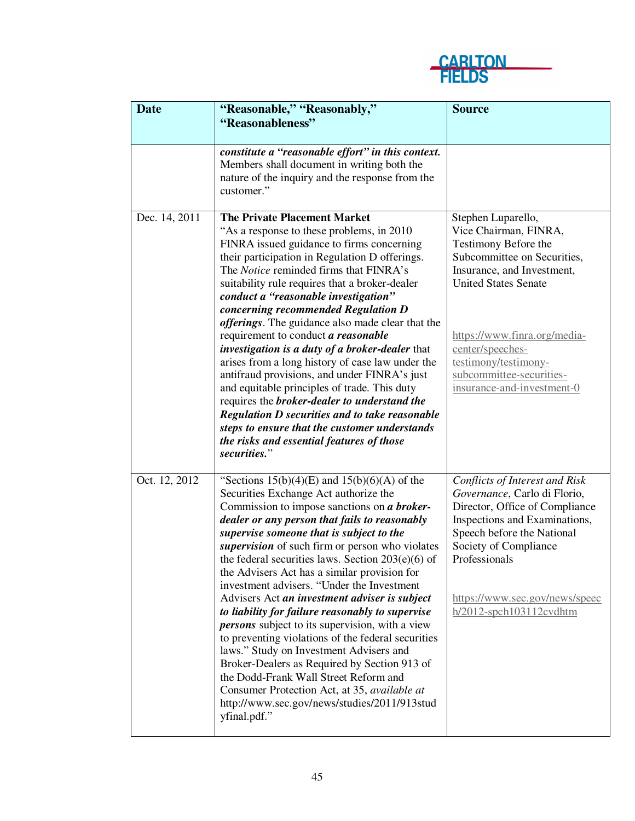

| <b>Date</b>   | "Reasonable," "Reasonably,"<br>"Reasonableness"                                                                                                                                                                                                                                                                                                                                                                                                                                                                                                                                                                                                                                                                                                                                                                                                                                                                        | <b>Source</b>                                                                                                                                                                                                                                                                                         |
|---------------|------------------------------------------------------------------------------------------------------------------------------------------------------------------------------------------------------------------------------------------------------------------------------------------------------------------------------------------------------------------------------------------------------------------------------------------------------------------------------------------------------------------------------------------------------------------------------------------------------------------------------------------------------------------------------------------------------------------------------------------------------------------------------------------------------------------------------------------------------------------------------------------------------------------------|-------------------------------------------------------------------------------------------------------------------------------------------------------------------------------------------------------------------------------------------------------------------------------------------------------|
|               |                                                                                                                                                                                                                                                                                                                                                                                                                                                                                                                                                                                                                                                                                                                                                                                                                                                                                                                        |                                                                                                                                                                                                                                                                                                       |
|               | constitute a "reasonable effort" in this context.<br>Members shall document in writing both the<br>nature of the inquiry and the response from the<br>customer."                                                                                                                                                                                                                                                                                                                                                                                                                                                                                                                                                                                                                                                                                                                                                       |                                                                                                                                                                                                                                                                                                       |
| Dec. 14, 2011 | <b>The Private Placement Market</b><br>"As a response to these problems, in 2010<br>FINRA issued guidance to firms concerning<br>their participation in Regulation D offerings.<br>The <i>Notice</i> reminded firms that FINRA's<br>suitability rule requires that a broker-dealer<br>conduct a "reasonable investigation"<br>concerning recommended Regulation D<br><i>offerings</i> . The guidance also made clear that the<br>requirement to conduct a reasonable<br>investigation is a duty of a broker-dealer that<br>arises from a long history of case law under the<br>antifraud provisions, and under FINRA's just<br>and equitable principles of trade. This duty<br>requires the <b>broker-dealer</b> to understand the<br><b>Regulation D securities and to take reasonable</b><br>steps to ensure that the customer understands<br>the risks and essential features of those<br>securities."              | Stephen Luparello,<br>Vice Chairman, FINRA,<br>Testimony Before the<br>Subcommittee on Securities,<br>Insurance, and Investment,<br><b>United States Senate</b><br>https://www.finra.org/media-<br>center/speeches-<br>testimony/testimony-<br>subcommittee-securities-<br>insurance-and-investment-0 |
| Oct. 12, 2012 | "Sections $15(b)(4)(E)$ and $15(b)(6)(A)$ of the<br>Securities Exchange Act authorize the<br>Commission to impose sanctions on a broker-<br>dealer or any person that fails to reasonably<br>supervise someone that is subject to the<br>supervision of such firm or person who violates<br>the federal securities laws. Section $203(e)(6)$ of<br>the Advisers Act has a similar provision for<br>investment advisers. "Under the Investment<br>Advisers Act an investment adviser is subject<br>to liability for failure reasonably to supervise<br><i>persons</i> subject to its supervision, with a view<br>to preventing violations of the federal securities<br>laws." Study on Investment Advisers and<br>Broker-Dealers as Required by Section 913 of<br>the Dodd-Frank Wall Street Reform and<br>Consumer Protection Act, at 35, available at<br>http://www.sec.gov/news/studies/2011/913stud<br>yfinal.pdf." | Conflicts of Interest and Risk<br>Governance, Carlo di Florio,<br>Director, Office of Compliance<br>Inspections and Examinations,<br>Speech before the National<br>Society of Compliance<br>Professionals<br>https://www.sec.gov/news/speec<br>$h/2012$ -spch103112cvdhtm                             |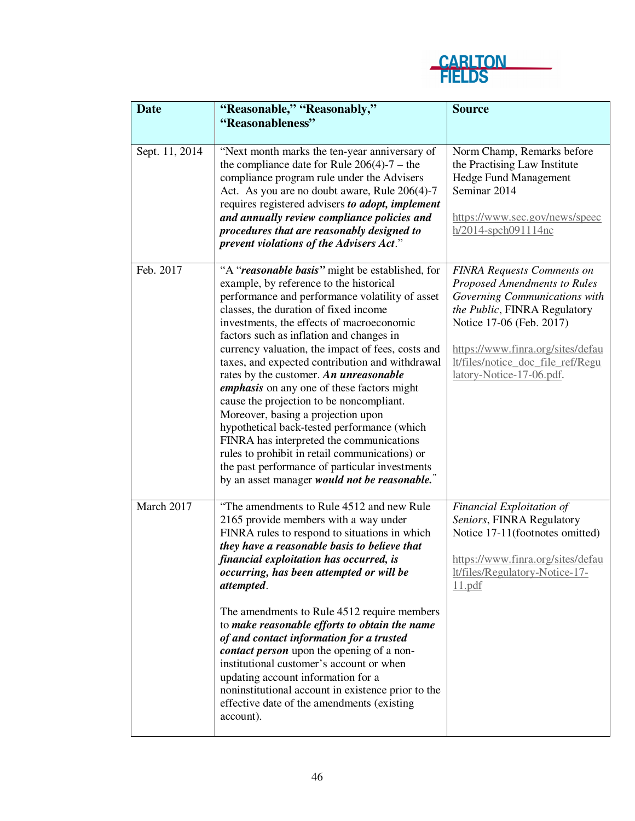

| <b>Date</b>    | "Reasonable," "Reasonably,"                                                                                                                                                                                                                                                                                                                                                                                                                                                                                                                                                                                                                                                                                                                                                                                              | <b>Source</b>                                                                                                                                                                                                                                                        |
|----------------|--------------------------------------------------------------------------------------------------------------------------------------------------------------------------------------------------------------------------------------------------------------------------------------------------------------------------------------------------------------------------------------------------------------------------------------------------------------------------------------------------------------------------------------------------------------------------------------------------------------------------------------------------------------------------------------------------------------------------------------------------------------------------------------------------------------------------|----------------------------------------------------------------------------------------------------------------------------------------------------------------------------------------------------------------------------------------------------------------------|
|                | "Reasonableness"                                                                                                                                                                                                                                                                                                                                                                                                                                                                                                                                                                                                                                                                                                                                                                                                         |                                                                                                                                                                                                                                                                      |
| Sept. 11, 2014 | "Next month marks the ten-year anniversary of<br>the compliance date for Rule $206(4)$ -7 – the<br>compliance program rule under the Advisers<br>Act. As you are no doubt aware, Rule 206(4)-7<br>requires registered advisers to adopt, implement<br>and annually review compliance policies and<br>procedures that are reasonably designed to<br>prevent violations of the Advisers Act."                                                                                                                                                                                                                                                                                                                                                                                                                              | Norm Champ, Remarks before<br>the Practising Law Institute<br><b>Hedge Fund Management</b><br>Seminar 2014<br>https://www.sec.gov/news/speec<br>h/2014-spch091114nc                                                                                                  |
| Feb. 2017      | "A "reasonable basis" might be established, for<br>example, by reference to the historical<br>performance and performance volatility of asset<br>classes, the duration of fixed income<br>investments, the effects of macroeconomic<br>factors such as inflation and changes in<br>currency valuation, the impact of fees, costs and<br>taxes, and expected contribution and withdrawal<br>rates by the customer. An unreasonable<br><i>emphasis</i> on any one of these factors might<br>cause the projection to be noncompliant.<br>Moreover, basing a projection upon<br>hypothetical back-tested performance (which<br>FINRA has interpreted the communications<br>rules to prohibit in retail communications) or<br>the past performance of particular investments<br>by an asset manager would not be reasonable." | <b>FINRA Requests Comments on</b><br>Proposed Amendments to Rules<br>Governing Communications with<br>the Public, FINRA Regulatory<br>Notice 17-06 (Feb. 2017)<br>https://www.finra.org/sites/defau<br>lt/files/notice_doc_file_ref/Regu<br>latory-Notice-17-06.pdf. |
| March 2017     | "The amendments to Rule 4512 and new Rule<br>2165 provide members with a way under<br>FINRA rules to respond to situations in which<br>they have a reasonable basis to believe that<br>financial exploitation has occurred, is<br>occurring, has been attempted or will be<br>attempted.<br>The amendments to Rule 4512 require members<br>to make reasonable efforts to obtain the name<br>of and contact information for a trusted<br>contact person upon the opening of a non-<br>institutional customer's account or when<br>updating account information for a<br>noninstitutional account in existence prior to the<br>effective date of the amendments (existing<br>account).                                                                                                                                     | Financial Exploitation of<br>Seniors, FINRA Regulatory<br>Notice 17-11(footnotes omitted)<br>https://www.finra.org/sites/defau<br>lt/files/Regulatory-Notice-17-<br>11.pdf                                                                                           |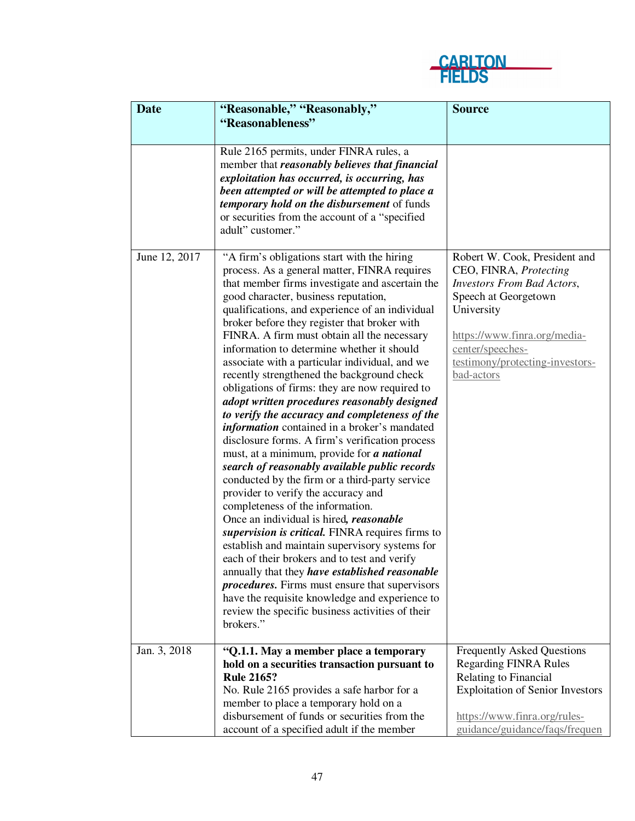

| <b>Date</b>   | "Reasonable," "Reasonably,"<br>"Reasonableness"                                                                                                                                                                                                                                                                                                                                                                                                                                                                                                                                                                                                                                                                                                                                                                                                                                                                                                                                                                                                                                                                                                                                                                                                                                                                                                                                                                  | <b>Source</b>                                                                                                                                                                                                                           |
|---------------|------------------------------------------------------------------------------------------------------------------------------------------------------------------------------------------------------------------------------------------------------------------------------------------------------------------------------------------------------------------------------------------------------------------------------------------------------------------------------------------------------------------------------------------------------------------------------------------------------------------------------------------------------------------------------------------------------------------------------------------------------------------------------------------------------------------------------------------------------------------------------------------------------------------------------------------------------------------------------------------------------------------------------------------------------------------------------------------------------------------------------------------------------------------------------------------------------------------------------------------------------------------------------------------------------------------------------------------------------------------------------------------------------------------|-----------------------------------------------------------------------------------------------------------------------------------------------------------------------------------------------------------------------------------------|
|               |                                                                                                                                                                                                                                                                                                                                                                                                                                                                                                                                                                                                                                                                                                                                                                                                                                                                                                                                                                                                                                                                                                                                                                                                                                                                                                                                                                                                                  |                                                                                                                                                                                                                                         |
|               | Rule 2165 permits, under FINRA rules, a<br>member that reasonably believes that financial<br>exploitation has occurred, is occurring, has<br>been attempted or will be attempted to place a<br>temporary hold on the disbursement of funds<br>or securities from the account of a "specified"<br>adult" customer."                                                                                                                                                                                                                                                                                                                                                                                                                                                                                                                                                                                                                                                                                                                                                                                                                                                                                                                                                                                                                                                                                               |                                                                                                                                                                                                                                         |
| June 12, 2017 | "A firm's obligations start with the hiring<br>process. As a general matter, FINRA requires<br>that member firms investigate and ascertain the<br>good character, business reputation,<br>qualifications, and experience of an individual<br>broker before they register that broker with<br>FINRA. A firm must obtain all the necessary<br>information to determine whether it should<br>associate with a particular individual, and we<br>recently strengthened the background check<br>obligations of firms: they are now required to<br>adopt written procedures reasonably designed<br>to verify the accuracy and completeness of the<br><i>information</i> contained in a broker's mandated<br>disclosure forms. A firm's verification process<br>must, at a minimum, provide for a national<br>search of reasonably available public records<br>conducted by the firm or a third-party service<br>provider to verify the accuracy and<br>completeness of the information.<br>Once an individual is hired, reasonable<br>supervision is critical. FINRA requires firms to<br>establish and maintain supervisory systems for<br>each of their brokers and to test and verify<br>annually that they have established reasonable<br><i>procedures</i> . Firms must ensure that supervisors<br>have the requisite knowledge and experience to<br>review the specific business activities of their<br>brokers." | Robert W. Cook, President and<br>CEO, FINRA, Protecting<br><b>Investors From Bad Actors,</b><br>Speech at Georgetown<br>University<br>https://www.finra.org/media-<br>center/speeches-<br>testimony/protecting-investors-<br>bad-actors |
| Jan. 3, 2018  | "Q.1.1. May a member place a temporary                                                                                                                                                                                                                                                                                                                                                                                                                                                                                                                                                                                                                                                                                                                                                                                                                                                                                                                                                                                                                                                                                                                                                                                                                                                                                                                                                                           | <b>Frequently Asked Questions</b>                                                                                                                                                                                                       |
|               | hold on a securities transaction pursuant to                                                                                                                                                                                                                                                                                                                                                                                                                                                                                                                                                                                                                                                                                                                                                                                                                                                                                                                                                                                                                                                                                                                                                                                                                                                                                                                                                                     | <b>Regarding FINRA Rules</b>                                                                                                                                                                                                            |
|               | <b>Rule 2165?</b>                                                                                                                                                                                                                                                                                                                                                                                                                                                                                                                                                                                                                                                                                                                                                                                                                                                                                                                                                                                                                                                                                                                                                                                                                                                                                                                                                                                                | Relating to Financial                                                                                                                                                                                                                   |
|               | No. Rule 2165 provides a safe harbor for a                                                                                                                                                                                                                                                                                                                                                                                                                                                                                                                                                                                                                                                                                                                                                                                                                                                                                                                                                                                                                                                                                                                                                                                                                                                                                                                                                                       | <b>Exploitation of Senior Investors</b>                                                                                                                                                                                                 |
|               | member to place a temporary hold on a                                                                                                                                                                                                                                                                                                                                                                                                                                                                                                                                                                                                                                                                                                                                                                                                                                                                                                                                                                                                                                                                                                                                                                                                                                                                                                                                                                            |                                                                                                                                                                                                                                         |
|               | disbursement of funds or securities from the                                                                                                                                                                                                                                                                                                                                                                                                                                                                                                                                                                                                                                                                                                                                                                                                                                                                                                                                                                                                                                                                                                                                                                                                                                                                                                                                                                     | https://www.finra.org/rules-                                                                                                                                                                                                            |
|               | account of a specified adult if the member                                                                                                                                                                                                                                                                                                                                                                                                                                                                                                                                                                                                                                                                                                                                                                                                                                                                                                                                                                                                                                                                                                                                                                                                                                                                                                                                                                       | guidance/guidance/faqs/frequen                                                                                                                                                                                                          |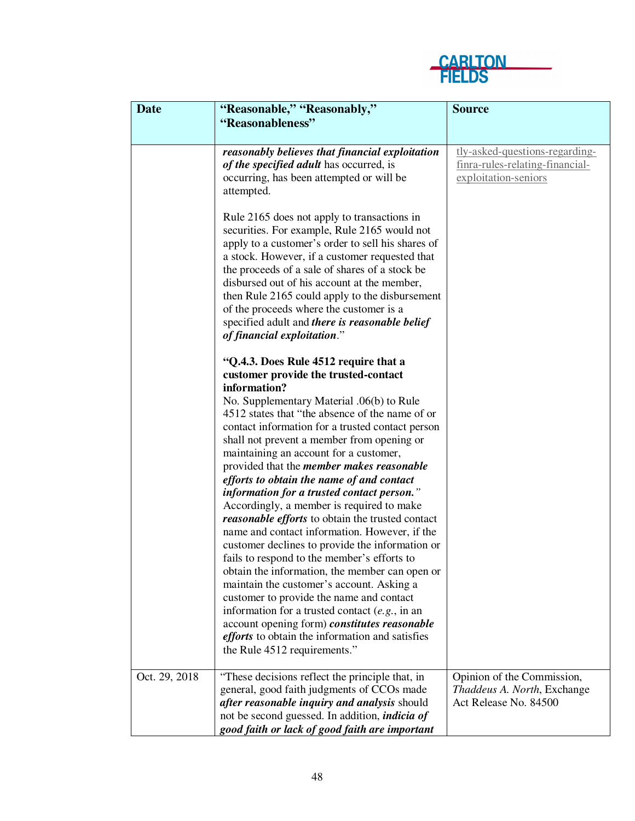

| <b>Date</b>   | "Reasonable," "Reasonably,"                                                                                                                                                                                                                                                                                                                                                                                                                                                                                                                                                                                                                                                                                                                                                                                                                                                                                                                                                                                                                                                     | <b>Source</b>                                                                             |
|---------------|---------------------------------------------------------------------------------------------------------------------------------------------------------------------------------------------------------------------------------------------------------------------------------------------------------------------------------------------------------------------------------------------------------------------------------------------------------------------------------------------------------------------------------------------------------------------------------------------------------------------------------------------------------------------------------------------------------------------------------------------------------------------------------------------------------------------------------------------------------------------------------------------------------------------------------------------------------------------------------------------------------------------------------------------------------------------------------|-------------------------------------------------------------------------------------------|
|               | "Reasonableness"                                                                                                                                                                                                                                                                                                                                                                                                                                                                                                                                                                                                                                                                                                                                                                                                                                                                                                                                                                                                                                                                |                                                                                           |
|               | reasonably believes that financial exploitation<br>of the specified adult has occurred, is<br>occurring, has been attempted or will be<br>attempted.                                                                                                                                                                                                                                                                                                                                                                                                                                                                                                                                                                                                                                                                                                                                                                                                                                                                                                                            | tly-asked-questions-regarding-<br>finra-rules-relating-financial-<br>exploitation-seniors |
|               | Rule 2165 does not apply to transactions in<br>securities. For example, Rule 2165 would not<br>apply to a customer's order to sell his shares of<br>a stock. However, if a customer requested that<br>the proceeds of a sale of shares of a stock be<br>disbursed out of his account at the member,<br>then Rule 2165 could apply to the disbursement<br>of the proceeds where the customer is a<br>specified adult and there is reasonable belief<br>of financial exploitation."                                                                                                                                                                                                                                                                                                                                                                                                                                                                                                                                                                                               |                                                                                           |
|               | "Q.4.3. Does Rule 4512 require that a<br>customer provide the trusted-contact<br>information?<br>No. Supplementary Material .06(b) to Rule<br>4512 states that "the absence of the name of or<br>contact information for a trusted contact person<br>shall not prevent a member from opening or<br>maintaining an account for a customer,<br>provided that the <i>member makes reasonable</i><br>efforts to obtain the name of and contact<br>information for a trusted contact person."<br>Accordingly, a member is required to make<br>reasonable efforts to obtain the trusted contact<br>name and contact information. However, if the<br>customer declines to provide the information or<br>fails to respond to the member's efforts to<br>obtain the information, the member can open or<br>maintain the customer's account. Asking a<br>customer to provide the name and contact<br>information for a trusted contact $(e.g., in an)$<br>account opening form) constitutes reasonable<br>efforts to obtain the information and satisfies<br>the Rule 4512 requirements." |                                                                                           |
| Oct. 29, 2018 | "These decisions reflect the principle that, in<br>general, good faith judgments of CCOs made<br>after reasonable inquiry and analysis should<br>not be second guessed. In addition, <i>indicia of</i><br>good faith or lack of good faith are important                                                                                                                                                                                                                                                                                                                                                                                                                                                                                                                                                                                                                                                                                                                                                                                                                        | Opinion of the Commission,<br>Thaddeus A. North, Exchange<br>Act Release No. 84500        |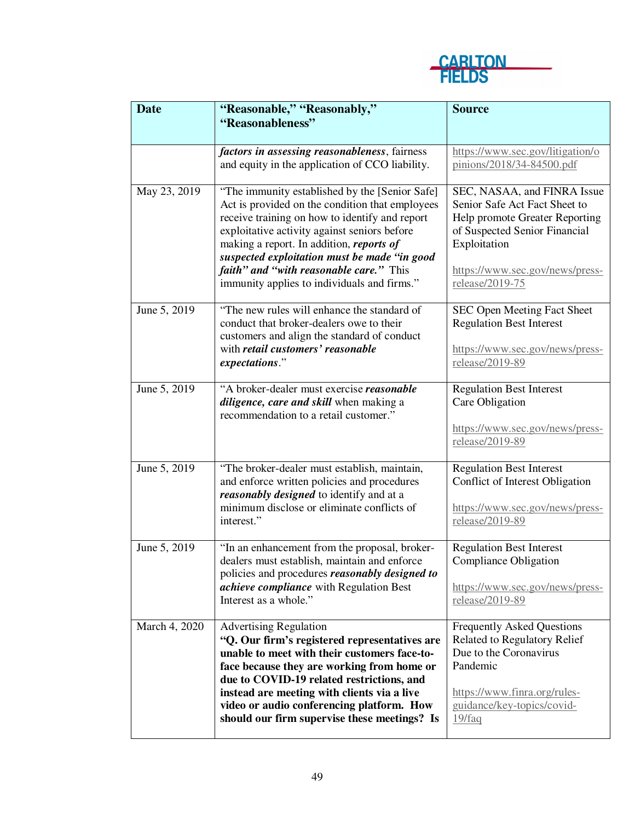

| <b>Date</b>   | "Reasonable," "Reasonably,"<br>"Reasonableness"                                                                                                                                                                                                                                                                                                                                                   | <b>Source</b>                                                                                                                                                                                         |
|---------------|---------------------------------------------------------------------------------------------------------------------------------------------------------------------------------------------------------------------------------------------------------------------------------------------------------------------------------------------------------------------------------------------------|-------------------------------------------------------------------------------------------------------------------------------------------------------------------------------------------------------|
|               | factors in assessing reasonableness, fairness<br>and equity in the application of CCO liability.                                                                                                                                                                                                                                                                                                  | https://www.sec.gov/litigation/o<br>pinions/2018/34-84500.pdf                                                                                                                                         |
| May 23, 2019  | "The immunity established by the [Senior Safe]<br>Act is provided on the condition that employees<br>receive training on how to identify and report<br>exploitative activity against seniors before<br>making a report. In addition, reports of<br>suspected exploitation must be made "in good<br><i>faith</i> " and "with reasonable care." This<br>immunity applies to individuals and firms." | SEC, NASAA, and FINRA Issue<br>Senior Safe Act Fact Sheet to<br>Help promote Greater Reporting<br>of Suspected Senior Financial<br>Exploitation<br>https://www.sec.gov/news/press-<br>release/2019-75 |
| June 5, 2019  | "The new rules will enhance the standard of<br>conduct that broker-dealers owe to their<br>customers and align the standard of conduct<br>with retail customers' reasonable<br>expectations."                                                                                                                                                                                                     | SEC Open Meeting Fact Sheet<br><b>Regulation Best Interest</b><br>https://www.sec.gov/news/press-<br>release/2019-89                                                                                  |
| June 5, 2019  | "A broker-dealer must exercise reasonable<br>diligence, care and skill when making a<br>recommendation to a retail customer."                                                                                                                                                                                                                                                                     | <b>Regulation Best Interest</b><br>Care Obligation<br>https://www.sec.gov/news/press-<br>release/2019-89                                                                                              |
| June 5, 2019  | "The broker-dealer must establish, maintain,<br>and enforce written policies and procedures<br>reasonably designed to identify and at a<br>minimum disclose or eliminate conflicts of<br>interest."                                                                                                                                                                                               | <b>Regulation Best Interest</b><br>Conflict of Interest Obligation<br>https://www.sec.gov/news/press-<br>release/2019-89                                                                              |
| June 5, 2019  | "In an enhancement from the proposal, broker-<br>dealers must establish, maintain and enforce<br>policies and procedures reasonably designed to<br><i>achieve compliance</i> with Regulation Best<br>Interest as a whole."                                                                                                                                                                        | <b>Regulation Best Interest</b><br>Compliance Obligation<br>https://www.sec.gov/news/press-<br>release/2019-89                                                                                        |
| March 4, 2020 | <b>Advertising Regulation</b><br>"Q. Our firm's registered representatives are<br>unable to meet with their customers face-to-<br>face because they are working from home or<br>due to COVID-19 related restrictions, and<br>instead are meeting with clients via a live<br>video or audio conferencing platform. How<br>should our firm supervise these meetings? Is                             | <b>Frequently Asked Questions</b><br><b>Related to Regulatory Relief</b><br>Due to the Coronavirus<br>Pandemic<br>https://www.finra.org/rules-<br>guidance/key-topics/covid-<br>19/faq                |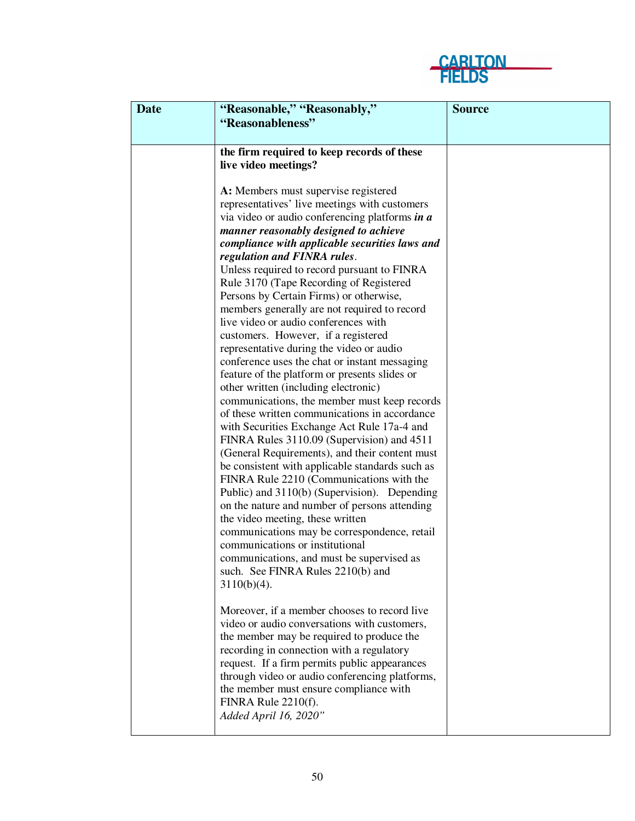

| <b>Date</b> | "Reasonable," "Reasonably,"                                                                       | <b>Source</b> |
|-------------|---------------------------------------------------------------------------------------------------|---------------|
|             | "Reasonableness"                                                                                  |               |
|             |                                                                                                   |               |
|             | the firm required to keep records of these                                                        |               |
|             | live video meetings?                                                                              |               |
|             |                                                                                                   |               |
|             | A: Members must supervise registered                                                              |               |
|             | representatives' live meetings with customers                                                     |               |
|             | via video or audio conferencing platforms in a                                                    |               |
|             | manner reasonably designed to achieve                                                             |               |
|             | compliance with applicable securities laws and                                                    |               |
|             | regulation and FINRA rules.<br>Unless required to record pursuant to FINRA                        |               |
|             | Rule 3170 (Tape Recording of Registered                                                           |               |
|             | Persons by Certain Firms) or otherwise,                                                           |               |
|             | members generally are not required to record                                                      |               |
|             | live video or audio conferences with                                                              |               |
|             | customers. However, if a registered                                                               |               |
|             | representative during the video or audio                                                          |               |
|             | conference uses the chat or instant messaging                                                     |               |
|             | feature of the platform or presents slides or                                                     |               |
|             | other written (including electronic)                                                              |               |
|             | communications, the member must keep records                                                      |               |
|             | of these written communications in accordance                                                     |               |
|             | with Securities Exchange Act Rule 17a-4 and                                                       |               |
|             | FINRA Rules 3110.09 (Supervision) and 4511                                                        |               |
|             | (General Requirements), and their content must<br>be consistent with applicable standards such as |               |
|             | FINRA Rule 2210 (Communications with the                                                          |               |
|             | Public) and 3110(b) (Supervision). Depending                                                      |               |
|             | on the nature and number of persons attending                                                     |               |
|             | the video meeting, these written                                                                  |               |
|             | communications may be correspondence, retail                                                      |               |
|             | communications or institutional                                                                   |               |
|             | communications, and must be supervised as                                                         |               |
|             | such. See FINRA Rules 2210(b) and                                                                 |               |
|             | $3110(b)(4)$ .                                                                                    |               |
|             |                                                                                                   |               |
|             | Moreover, if a member chooses to record live                                                      |               |
|             | video or audio conversations with customers,                                                      |               |
|             | the member may be required to produce the                                                         |               |
|             | recording in connection with a regulatory                                                         |               |
|             | request. If a firm permits public appearances<br>through video or audio conferencing platforms,   |               |
|             | the member must ensure compliance with                                                            |               |
|             | FINRA Rule 2210(f).                                                                               |               |
|             | Added April 16, 2020"                                                                             |               |
|             |                                                                                                   |               |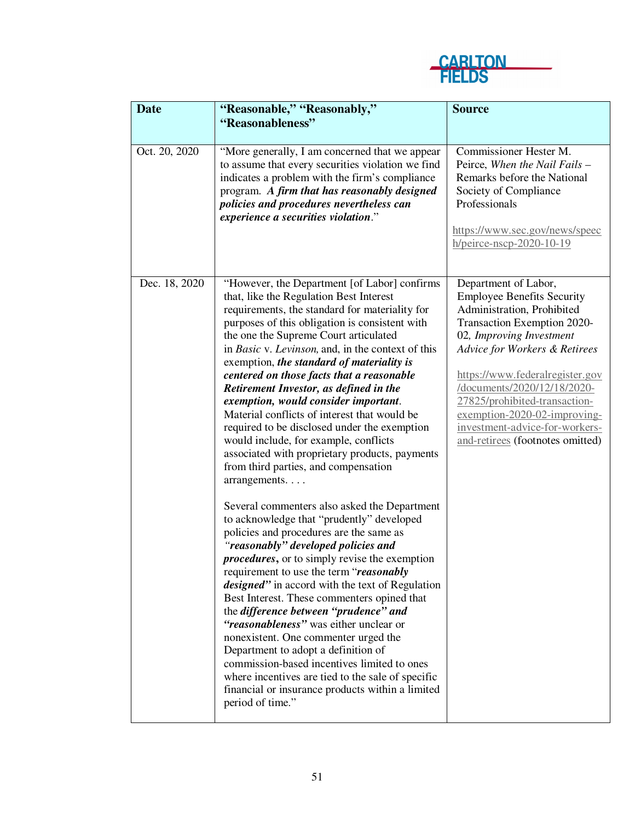

| <b>Date</b>   | "Reasonable," "Reasonably,"<br>"Reasonableness"                                                                                                                                                                                                                                                                                                                                                                                                                                                                                                                                                                                                                                                                                                                                                                                                                                                                                                                                                                                                                                                                                                                                                                                                                                                                                                                                                                                                                      | <b>Source</b>                                                                                                                                                                                                                                                                                                                                                                                  |
|---------------|----------------------------------------------------------------------------------------------------------------------------------------------------------------------------------------------------------------------------------------------------------------------------------------------------------------------------------------------------------------------------------------------------------------------------------------------------------------------------------------------------------------------------------------------------------------------------------------------------------------------------------------------------------------------------------------------------------------------------------------------------------------------------------------------------------------------------------------------------------------------------------------------------------------------------------------------------------------------------------------------------------------------------------------------------------------------------------------------------------------------------------------------------------------------------------------------------------------------------------------------------------------------------------------------------------------------------------------------------------------------------------------------------------------------------------------------------------------------|------------------------------------------------------------------------------------------------------------------------------------------------------------------------------------------------------------------------------------------------------------------------------------------------------------------------------------------------------------------------------------------------|
| Oct. 20, 2020 | "More generally, I am concerned that we appear<br>to assume that every securities violation we find<br>indicates a problem with the firm's compliance<br>program. A firm that has reasonably designed<br>policies and procedures nevertheless can<br>experience a securities violation."                                                                                                                                                                                                                                                                                                                                                                                                                                                                                                                                                                                                                                                                                                                                                                                                                                                                                                                                                                                                                                                                                                                                                                             | Commissioner Hester M.<br>Peirce, When the Nail Fails -<br>Remarks before the National<br>Society of Compliance<br>Professionals<br>https://www.sec.gov/news/speec<br>h/peirce-nscp-2020-10-19                                                                                                                                                                                                 |
| Dec. 18, 2020 | "However, the Department [of Labor] confirms<br>that, like the Regulation Best Interest<br>requirements, the standard for materiality for<br>purposes of this obligation is consistent with<br>the one the Supreme Court articulated<br>in Basic v. Levinson, and, in the context of this<br>exemption, the standard of materiality is<br>centered on those facts that a reasonable<br>Retirement Investor, as defined in the<br>exemption, would consider important.<br>Material conflicts of interest that would be<br>required to be disclosed under the exemption<br>would include, for example, conflicts<br>associated with proprietary products, payments<br>from third parties, and compensation<br>arrangements<br>Several commenters also asked the Department<br>to acknowledge that "prudently" developed<br>policies and procedures are the same as<br>"reasonably" developed policies and<br><i>procedures</i> , or to simply revise the exemption<br>requirement to use the term "reasonably"<br><i>designed</i> " in accord with the text of Regulation<br>Best Interest. These commenters opined that<br>the difference between "prudence" and<br>"reasonableness" was either unclear or<br>nonexistent. One commenter urged the<br>Department to adopt a definition of<br>commission-based incentives limited to ones<br>where incentives are tied to the sale of specific<br>financial or insurance products within a limited<br>period of time." | Department of Labor,<br><b>Employee Benefits Security</b><br>Administration, Prohibited<br>Transaction Exemption 2020-<br>02, Improving Investment<br>Advice for Workers & Retirees<br>https://www.federalregister.gov<br>/documents/2020/12/18/2020-<br>27825/prohibited-transaction-<br>$exemption-2020-02-improving-$<br>investment-advice-for-workers-<br>and-retirees (footnotes omitted) |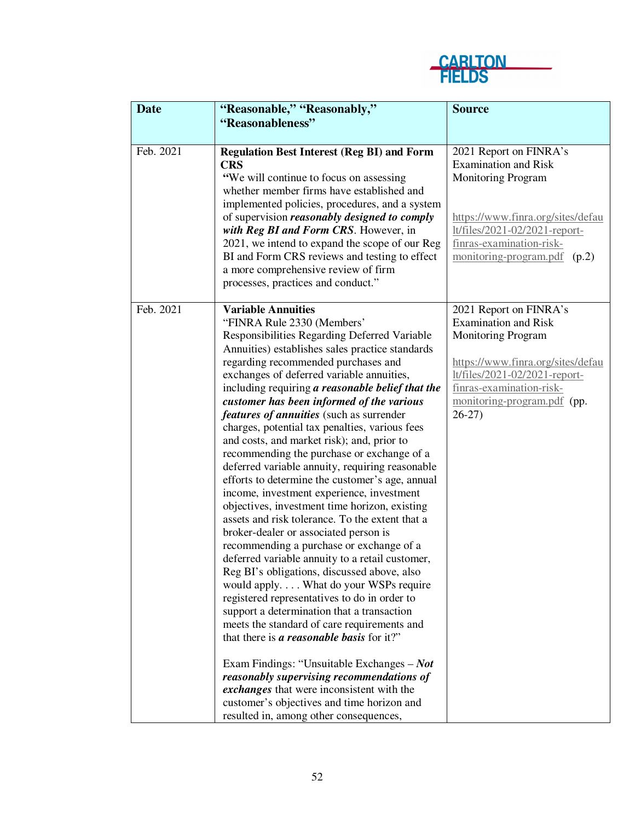

| <b>Date</b> | "Reasonable," "Reasonably,"                                                                                                                                                                                                                                                                                                                                                                                                                                                                                                                                                                                                                                                                                                                                                                                                                                                                                                                                                                                                                                                                                                                                                                                                                                                                                                                                                                                                                                  | <b>Source</b>                                                                                                                                                                                                                  |
|-------------|--------------------------------------------------------------------------------------------------------------------------------------------------------------------------------------------------------------------------------------------------------------------------------------------------------------------------------------------------------------------------------------------------------------------------------------------------------------------------------------------------------------------------------------------------------------------------------------------------------------------------------------------------------------------------------------------------------------------------------------------------------------------------------------------------------------------------------------------------------------------------------------------------------------------------------------------------------------------------------------------------------------------------------------------------------------------------------------------------------------------------------------------------------------------------------------------------------------------------------------------------------------------------------------------------------------------------------------------------------------------------------------------------------------------------------------------------------------|--------------------------------------------------------------------------------------------------------------------------------------------------------------------------------------------------------------------------------|
|             | "Reasonableness"                                                                                                                                                                                                                                                                                                                                                                                                                                                                                                                                                                                                                                                                                                                                                                                                                                                                                                                                                                                                                                                                                                                                                                                                                                                                                                                                                                                                                                             |                                                                                                                                                                                                                                |
|             |                                                                                                                                                                                                                                                                                                                                                                                                                                                                                                                                                                                                                                                                                                                                                                                                                                                                                                                                                                                                                                                                                                                                                                                                                                                                                                                                                                                                                                                              |                                                                                                                                                                                                                                |
| Feb. 2021   | <b>Regulation Best Interest (Reg BI) and Form</b><br><b>CRS</b><br>"We will continue to focus on assessing<br>whether member firms have established and<br>implemented policies, procedures, and a system<br>of supervision <i>reasonably designed to comply</i><br>with Reg BI and Form CRS. However, in<br>2021, we intend to expand the scope of our Reg<br>BI and Form CRS reviews and testing to effect<br>a more comprehensive review of firm<br>processes, practices and conduct."                                                                                                                                                                                                                                                                                                                                                                                                                                                                                                                                                                                                                                                                                                                                                                                                                                                                                                                                                                    | 2021 Report on FINRA's<br><b>Examination and Risk</b><br><b>Monitoring Program</b><br>https://www.finra.org/sites/defau<br>lt/files/2021-02/2021-report-<br>finras-examination-risk-<br>monitoring-program.pdf (p.2)           |
| Feb. 2021   | <b>Variable Annuities</b><br>"FINRA Rule 2330 (Members'<br>Responsibilities Regarding Deferred Variable<br>Annuities) establishes sales practice standards<br>regarding recommended purchases and<br>exchanges of deferred variable annuities,<br>including requiring a reasonable belief that the<br>customer has been informed of the various<br>features of annuities (such as surrender<br>charges, potential tax penalties, various fees<br>and costs, and market risk); and, prior to<br>recommending the purchase or exchange of a<br>deferred variable annuity, requiring reasonable<br>efforts to determine the customer's age, annual<br>income, investment experience, investment<br>objectives, investment time horizon, existing<br>assets and risk tolerance. To the extent that a<br>broker-dealer or associated person is<br>recommending a purchase or exchange of a<br>deferred variable annuity to a retail customer,<br>Reg BI's obligations, discussed above, also<br>would apply What do your WSPs require<br>registered representatives to do in order to<br>support a determination that a transaction<br>meets the standard of care requirements and<br>that there is a reasonable basis for it?"<br>Exam Findings: "Unsuitable Exchanges $-$ Not<br>reasonably supervising recommendations of<br>exchanges that were inconsistent with the<br>customer's objectives and time horizon and<br>resulted in, among other consequences, | 2021 Report on FINRA's<br><b>Examination and Risk</b><br><b>Monitoring Program</b><br>https://www.finra.org/sites/defau<br>lt/files/2021-02/2021-report-<br>finras-examination-risk-<br>monitoring-program.pdf (pp.<br>$26-27$ |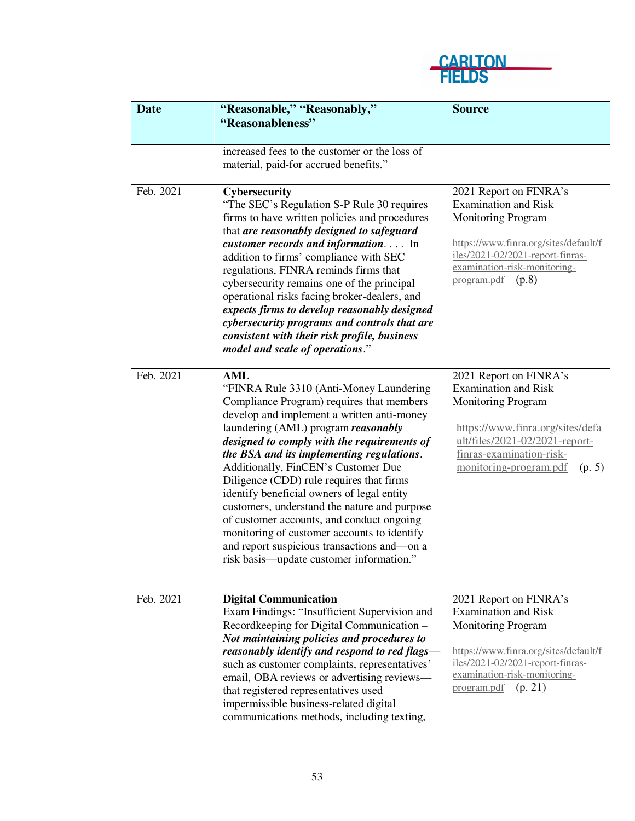

| "Reasonableness"<br>increased fees to the customer or the loss of<br>material, paid-for accrued benefits."<br>Feb. 2021<br>2021 Report on FINRA's<br>Cybersecurity<br><b>Examination and Risk</b><br>"The SEC's Regulation S-P Rule 30 requires<br>firms to have written policies and procedures<br><b>Monitoring Program</b><br>that are reasonably designed to safeguard<br>customer records and information In<br>https://www.finra.org/sites/default/f<br>iles/2021-02/2021-report-finras-<br>addition to firms' compliance with SEC<br>examination-risk-monitoring-<br>regulations, FINRA reminds firms that<br>program.pdf<br>(p.8)<br>cybersecurity remains one of the principal<br>operational risks facing broker-dealers, and<br>expects firms to develop reasonably designed<br>cybersecurity programs and controls that are<br>consistent with their risk profile, business<br>model and scale of operations."<br>Feb. 2021<br>AML<br>2021 Report on FINRA's<br><b>Examination and Risk</b><br>"FINRA Rule 3310 (Anti-Money Laundering<br>Compliance Program) requires that members<br><b>Monitoring Program</b><br>develop and implement a written anti-money<br>laundering (AML) program reasonably<br>https://www.finra.org/sites/defa<br>ult/files/2021-02/2021-report-<br>designed to comply with the requirements of<br>the BSA and its implementing regulations.<br>finras-examination-risk-<br>Additionally, FinCEN's Customer Due<br>monitoring-program.pdf<br>(p. 5)<br>Diligence (CDD) rule requires that firms<br>identify beneficial owners of legal entity<br>customers, understand the nature and purpose<br>of customer accounts, and conduct ongoing |
|-----------------------------------------------------------------------------------------------------------------------------------------------------------------------------------------------------------------------------------------------------------------------------------------------------------------------------------------------------------------------------------------------------------------------------------------------------------------------------------------------------------------------------------------------------------------------------------------------------------------------------------------------------------------------------------------------------------------------------------------------------------------------------------------------------------------------------------------------------------------------------------------------------------------------------------------------------------------------------------------------------------------------------------------------------------------------------------------------------------------------------------------------------------------------------------------------------------------------------------------------------------------------------------------------------------------------------------------------------------------------------------------------------------------------------------------------------------------------------------------------------------------------------------------------------------------------------------------------------------------------------------------------------------------------------------|
|                                                                                                                                                                                                                                                                                                                                                                                                                                                                                                                                                                                                                                                                                                                                                                                                                                                                                                                                                                                                                                                                                                                                                                                                                                                                                                                                                                                                                                                                                                                                                                                                                                                                                   |
|                                                                                                                                                                                                                                                                                                                                                                                                                                                                                                                                                                                                                                                                                                                                                                                                                                                                                                                                                                                                                                                                                                                                                                                                                                                                                                                                                                                                                                                                                                                                                                                                                                                                                   |
|                                                                                                                                                                                                                                                                                                                                                                                                                                                                                                                                                                                                                                                                                                                                                                                                                                                                                                                                                                                                                                                                                                                                                                                                                                                                                                                                                                                                                                                                                                                                                                                                                                                                                   |
|                                                                                                                                                                                                                                                                                                                                                                                                                                                                                                                                                                                                                                                                                                                                                                                                                                                                                                                                                                                                                                                                                                                                                                                                                                                                                                                                                                                                                                                                                                                                                                                                                                                                                   |
|                                                                                                                                                                                                                                                                                                                                                                                                                                                                                                                                                                                                                                                                                                                                                                                                                                                                                                                                                                                                                                                                                                                                                                                                                                                                                                                                                                                                                                                                                                                                                                                                                                                                                   |
|                                                                                                                                                                                                                                                                                                                                                                                                                                                                                                                                                                                                                                                                                                                                                                                                                                                                                                                                                                                                                                                                                                                                                                                                                                                                                                                                                                                                                                                                                                                                                                                                                                                                                   |
|                                                                                                                                                                                                                                                                                                                                                                                                                                                                                                                                                                                                                                                                                                                                                                                                                                                                                                                                                                                                                                                                                                                                                                                                                                                                                                                                                                                                                                                                                                                                                                                                                                                                                   |
|                                                                                                                                                                                                                                                                                                                                                                                                                                                                                                                                                                                                                                                                                                                                                                                                                                                                                                                                                                                                                                                                                                                                                                                                                                                                                                                                                                                                                                                                                                                                                                                                                                                                                   |
|                                                                                                                                                                                                                                                                                                                                                                                                                                                                                                                                                                                                                                                                                                                                                                                                                                                                                                                                                                                                                                                                                                                                                                                                                                                                                                                                                                                                                                                                                                                                                                                                                                                                                   |
|                                                                                                                                                                                                                                                                                                                                                                                                                                                                                                                                                                                                                                                                                                                                                                                                                                                                                                                                                                                                                                                                                                                                                                                                                                                                                                                                                                                                                                                                                                                                                                                                                                                                                   |
|                                                                                                                                                                                                                                                                                                                                                                                                                                                                                                                                                                                                                                                                                                                                                                                                                                                                                                                                                                                                                                                                                                                                                                                                                                                                                                                                                                                                                                                                                                                                                                                                                                                                                   |
|                                                                                                                                                                                                                                                                                                                                                                                                                                                                                                                                                                                                                                                                                                                                                                                                                                                                                                                                                                                                                                                                                                                                                                                                                                                                                                                                                                                                                                                                                                                                                                                                                                                                                   |
|                                                                                                                                                                                                                                                                                                                                                                                                                                                                                                                                                                                                                                                                                                                                                                                                                                                                                                                                                                                                                                                                                                                                                                                                                                                                                                                                                                                                                                                                                                                                                                                                                                                                                   |
|                                                                                                                                                                                                                                                                                                                                                                                                                                                                                                                                                                                                                                                                                                                                                                                                                                                                                                                                                                                                                                                                                                                                                                                                                                                                                                                                                                                                                                                                                                                                                                                                                                                                                   |
|                                                                                                                                                                                                                                                                                                                                                                                                                                                                                                                                                                                                                                                                                                                                                                                                                                                                                                                                                                                                                                                                                                                                                                                                                                                                                                                                                                                                                                                                                                                                                                                                                                                                                   |
|                                                                                                                                                                                                                                                                                                                                                                                                                                                                                                                                                                                                                                                                                                                                                                                                                                                                                                                                                                                                                                                                                                                                                                                                                                                                                                                                                                                                                                                                                                                                                                                                                                                                                   |
|                                                                                                                                                                                                                                                                                                                                                                                                                                                                                                                                                                                                                                                                                                                                                                                                                                                                                                                                                                                                                                                                                                                                                                                                                                                                                                                                                                                                                                                                                                                                                                                                                                                                                   |
|                                                                                                                                                                                                                                                                                                                                                                                                                                                                                                                                                                                                                                                                                                                                                                                                                                                                                                                                                                                                                                                                                                                                                                                                                                                                                                                                                                                                                                                                                                                                                                                                                                                                                   |
|                                                                                                                                                                                                                                                                                                                                                                                                                                                                                                                                                                                                                                                                                                                                                                                                                                                                                                                                                                                                                                                                                                                                                                                                                                                                                                                                                                                                                                                                                                                                                                                                                                                                                   |
|                                                                                                                                                                                                                                                                                                                                                                                                                                                                                                                                                                                                                                                                                                                                                                                                                                                                                                                                                                                                                                                                                                                                                                                                                                                                                                                                                                                                                                                                                                                                                                                                                                                                                   |
|                                                                                                                                                                                                                                                                                                                                                                                                                                                                                                                                                                                                                                                                                                                                                                                                                                                                                                                                                                                                                                                                                                                                                                                                                                                                                                                                                                                                                                                                                                                                                                                                                                                                                   |
|                                                                                                                                                                                                                                                                                                                                                                                                                                                                                                                                                                                                                                                                                                                                                                                                                                                                                                                                                                                                                                                                                                                                                                                                                                                                                                                                                                                                                                                                                                                                                                                                                                                                                   |
|                                                                                                                                                                                                                                                                                                                                                                                                                                                                                                                                                                                                                                                                                                                                                                                                                                                                                                                                                                                                                                                                                                                                                                                                                                                                                                                                                                                                                                                                                                                                                                                                                                                                                   |
|                                                                                                                                                                                                                                                                                                                                                                                                                                                                                                                                                                                                                                                                                                                                                                                                                                                                                                                                                                                                                                                                                                                                                                                                                                                                                                                                                                                                                                                                                                                                                                                                                                                                                   |
|                                                                                                                                                                                                                                                                                                                                                                                                                                                                                                                                                                                                                                                                                                                                                                                                                                                                                                                                                                                                                                                                                                                                                                                                                                                                                                                                                                                                                                                                                                                                                                                                                                                                                   |
|                                                                                                                                                                                                                                                                                                                                                                                                                                                                                                                                                                                                                                                                                                                                                                                                                                                                                                                                                                                                                                                                                                                                                                                                                                                                                                                                                                                                                                                                                                                                                                                                                                                                                   |
|                                                                                                                                                                                                                                                                                                                                                                                                                                                                                                                                                                                                                                                                                                                                                                                                                                                                                                                                                                                                                                                                                                                                                                                                                                                                                                                                                                                                                                                                                                                                                                                                                                                                                   |
|                                                                                                                                                                                                                                                                                                                                                                                                                                                                                                                                                                                                                                                                                                                                                                                                                                                                                                                                                                                                                                                                                                                                                                                                                                                                                                                                                                                                                                                                                                                                                                                                                                                                                   |
| monitoring of customer accounts to identify                                                                                                                                                                                                                                                                                                                                                                                                                                                                                                                                                                                                                                                                                                                                                                                                                                                                                                                                                                                                                                                                                                                                                                                                                                                                                                                                                                                                                                                                                                                                                                                                                                       |
| and report suspicious transactions and-on a                                                                                                                                                                                                                                                                                                                                                                                                                                                                                                                                                                                                                                                                                                                                                                                                                                                                                                                                                                                                                                                                                                                                                                                                                                                                                                                                                                                                                                                                                                                                                                                                                                       |
| risk basis—update customer information."                                                                                                                                                                                                                                                                                                                                                                                                                                                                                                                                                                                                                                                                                                                                                                                                                                                                                                                                                                                                                                                                                                                                                                                                                                                                                                                                                                                                                                                                                                                                                                                                                                          |
|                                                                                                                                                                                                                                                                                                                                                                                                                                                                                                                                                                                                                                                                                                                                                                                                                                                                                                                                                                                                                                                                                                                                                                                                                                                                                                                                                                                                                                                                                                                                                                                                                                                                                   |
| Feb. 2021<br><b>Digital Communication</b><br>2021 Report on FINRA's                                                                                                                                                                                                                                                                                                                                                                                                                                                                                                                                                                                                                                                                                                                                                                                                                                                                                                                                                                                                                                                                                                                                                                                                                                                                                                                                                                                                                                                                                                                                                                                                               |
| <b>Examination and Risk</b><br>Exam Findings: "Insufficient Supervision and                                                                                                                                                                                                                                                                                                                                                                                                                                                                                                                                                                                                                                                                                                                                                                                                                                                                                                                                                                                                                                                                                                                                                                                                                                                                                                                                                                                                                                                                                                                                                                                                       |
| Recordkeeping for Digital Communication –<br><b>Monitoring Program</b>                                                                                                                                                                                                                                                                                                                                                                                                                                                                                                                                                                                                                                                                                                                                                                                                                                                                                                                                                                                                                                                                                                                                                                                                                                                                                                                                                                                                                                                                                                                                                                                                            |
| Not maintaining policies and procedures to                                                                                                                                                                                                                                                                                                                                                                                                                                                                                                                                                                                                                                                                                                                                                                                                                                                                                                                                                                                                                                                                                                                                                                                                                                                                                                                                                                                                                                                                                                                                                                                                                                        |
| reasonably identify and respond to red flags-<br>https://www.finra.org/sites/default/f                                                                                                                                                                                                                                                                                                                                                                                                                                                                                                                                                                                                                                                                                                                                                                                                                                                                                                                                                                                                                                                                                                                                                                                                                                                                                                                                                                                                                                                                                                                                                                                            |
| iles/2021-02/2021-report-finras-<br>such as customer complaints, representatives'<br>examination-risk-monitoring-                                                                                                                                                                                                                                                                                                                                                                                                                                                                                                                                                                                                                                                                                                                                                                                                                                                                                                                                                                                                                                                                                                                                                                                                                                                                                                                                                                                                                                                                                                                                                                 |
| email, OBA reviews or advertising reviews-<br>(p. 21)<br>program.pdf                                                                                                                                                                                                                                                                                                                                                                                                                                                                                                                                                                                                                                                                                                                                                                                                                                                                                                                                                                                                                                                                                                                                                                                                                                                                                                                                                                                                                                                                                                                                                                                                              |
| that registered representatives used<br>impermissible business-related digital                                                                                                                                                                                                                                                                                                                                                                                                                                                                                                                                                                                                                                                                                                                                                                                                                                                                                                                                                                                                                                                                                                                                                                                                                                                                                                                                                                                                                                                                                                                                                                                                    |
| communications methods, including texting,                                                                                                                                                                                                                                                                                                                                                                                                                                                                                                                                                                                                                                                                                                                                                                                                                                                                                                                                                                                                                                                                                                                                                                                                                                                                                                                                                                                                                                                                                                                                                                                                                                        |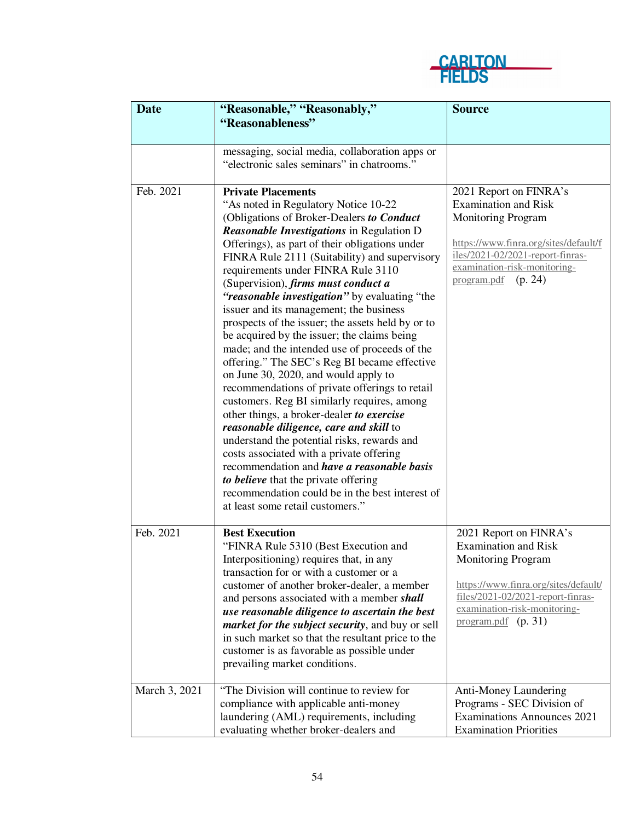

| <b>Date</b>   | "Reasonable," "Reasonably,"                                                                        | <b>Source</b>                                                             |
|---------------|----------------------------------------------------------------------------------------------------|---------------------------------------------------------------------------|
|               | "Reasonableness"                                                                                   |                                                                           |
|               |                                                                                                    |                                                                           |
|               | messaging, social media, collaboration apps or                                                     |                                                                           |
|               | "electronic sales seminars" in chatrooms."                                                         |                                                                           |
|               |                                                                                                    |                                                                           |
| Feb. 2021     | <b>Private Placements</b>                                                                          | 2021 Report on FINRA's                                                    |
|               | "As noted in Regulatory Notice 10-22                                                               | <b>Examination and Risk</b>                                               |
|               | (Obligations of Broker-Dealers to Conduct                                                          | <b>Monitoring Program</b>                                                 |
|               | <b>Reasonable Investigations in Regulation D</b><br>Offerings), as part of their obligations under | https://www.finra.org/sites/default/f                                     |
|               | FINRA Rule 2111 (Suitability) and supervisory                                                      | iles/2021-02/2021-report-finras-                                          |
|               | requirements under FINRA Rule 3110                                                                 | examination-risk-monitoring-                                              |
|               | (Supervision), firms must conduct a                                                                | program.pdf<br>(p. 24)                                                    |
|               | "reasonable investigation" by evaluating "the                                                      |                                                                           |
|               | issuer and its management; the business                                                            |                                                                           |
|               | prospects of the issuer; the assets held by or to                                                  |                                                                           |
|               | be acquired by the issuer; the claims being                                                        |                                                                           |
|               | made; and the intended use of proceeds of the<br>offering." The SEC's Reg BI became effective      |                                                                           |
|               | on June 30, 2020, and would apply to                                                               |                                                                           |
|               | recommendations of private offerings to retail                                                     |                                                                           |
|               | customers. Reg BI similarly requires, among                                                        |                                                                           |
|               | other things, a broker-dealer to exercise                                                          |                                                                           |
|               | reasonable diligence, care and skill to                                                            |                                                                           |
|               | understand the potential risks, rewards and                                                        |                                                                           |
|               | costs associated with a private offering                                                           |                                                                           |
|               | recommendation and have a reasonable basis                                                         |                                                                           |
|               | to believe that the private offering<br>recommendation could be in the best interest of            |                                                                           |
|               | at least some retail customers."                                                                   |                                                                           |
|               |                                                                                                    |                                                                           |
| Feb. 2021     | <b>Best Execution</b>                                                                              | 2021 Report on FINRA's                                                    |
|               | "FINRA Rule 5310 (Best Execution and                                                               | <b>Examination and Risk</b>                                               |
|               | Interpositioning) requires that, in any                                                            | <b>Monitoring Program</b>                                                 |
|               | transaction for or with a customer or a                                                            |                                                                           |
|               | customer of another broker-dealer, a member                                                        | https://www.finra.org/sites/default/<br>files/2021-02/2021-report-finras- |
|               | and persons associated with a member shall                                                         | examination-risk-monitoring-                                              |
|               | use reasonable diligence to ascertain the best<br>market for the subject security, and buy or sell | $program.pdf$ (p. 31)                                                     |
|               | in such market so that the resultant price to the                                                  |                                                                           |
|               | customer is as favorable as possible under                                                         |                                                                           |
|               | prevailing market conditions.                                                                      |                                                                           |
|               |                                                                                                    |                                                                           |
| March 3, 2021 | "The Division will continue to review for                                                          | Anti-Money Laundering                                                     |
|               | compliance with applicable anti-money                                                              | Programs - SEC Division of                                                |
|               | laundering (AML) requirements, including                                                           | <b>Examinations Announces 2021</b>                                        |
|               | evaluating whether broker-dealers and                                                              | <b>Examination Priorities</b>                                             |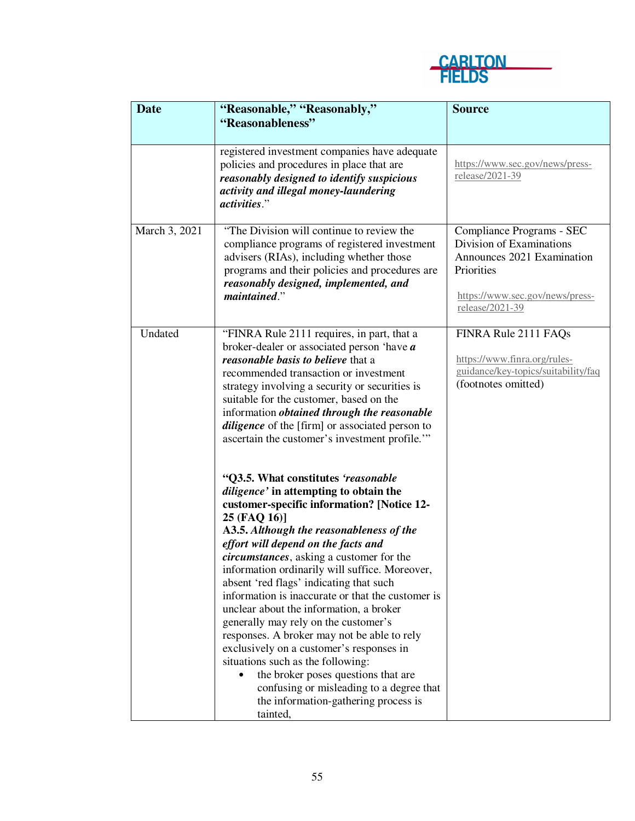

| <b>Date</b>   | "Reasonable," "Reasonably,"                                                                                                                                                                                                                                                                                                                                                                                                                                                                                                                                                                                                                                                                                                                                                            | <b>Source</b>                                                                                                                                           |
|---------------|----------------------------------------------------------------------------------------------------------------------------------------------------------------------------------------------------------------------------------------------------------------------------------------------------------------------------------------------------------------------------------------------------------------------------------------------------------------------------------------------------------------------------------------------------------------------------------------------------------------------------------------------------------------------------------------------------------------------------------------------------------------------------------------|---------------------------------------------------------------------------------------------------------------------------------------------------------|
|               | "Reasonableness"                                                                                                                                                                                                                                                                                                                                                                                                                                                                                                                                                                                                                                                                                                                                                                       |                                                                                                                                                         |
|               | registered investment companies have adequate<br>policies and procedures in place that are<br>reasonably designed to identify suspicious<br>activity and illegal money-laundering<br><i>activities.</i> "                                                                                                                                                                                                                                                                                                                                                                                                                                                                                                                                                                              | https://www.sec.gov/news/press-<br>release/2021-39                                                                                                      |
| March 3, 2021 | "The Division will continue to review the<br>compliance programs of registered investment<br>advisers (RIAs), including whether those<br>programs and their policies and procedures are<br>reasonably designed, implemented, and<br>maintained."                                                                                                                                                                                                                                                                                                                                                                                                                                                                                                                                       | Compliance Programs - SEC<br>Division of Examinations<br>Announces 2021 Examination<br>Priorities<br>https://www.sec.gov/news/press-<br>release/2021-39 |
| Undated       | "FINRA Rule 2111 requires, in part, that a<br>broker-dealer or associated person 'have $a$<br>reasonable basis to believe that a<br>recommended transaction or investment<br>strategy involving a security or securities is<br>suitable for the customer, based on the<br>information <i>obtained through the reasonable</i><br>diligence of the [firm] or associated person to<br>ascertain the customer's investment profile."                                                                                                                                                                                                                                                                                                                                                       | FINRA Rule 2111 FAQs<br>https://www.finra.org/rules-<br>guidance/key-topics/suitability/faq<br>(footnotes omitted)                                      |
|               | "Q3.5. What constitutes 'reasonable<br>diligence' in attempting to obtain the<br>customer-specific information? [Notice 12-<br>25 (FAQ 16)]<br>A3.5. Although the reasonableness of the<br>effort will depend on the facts and<br>circumstances, asking a customer for the<br>information ordinarily will suffice. Moreover,<br>absent 'red flags' indicating that such<br>information is inaccurate or that the customer is<br>unclear about the information, a broker<br>generally may rely on the customer's<br>responses. A broker may not be able to rely<br>exclusively on a customer's responses in<br>situations such as the following:<br>the broker poses questions that are<br>confusing or misleading to a degree that<br>the information-gathering process is<br>tainted, |                                                                                                                                                         |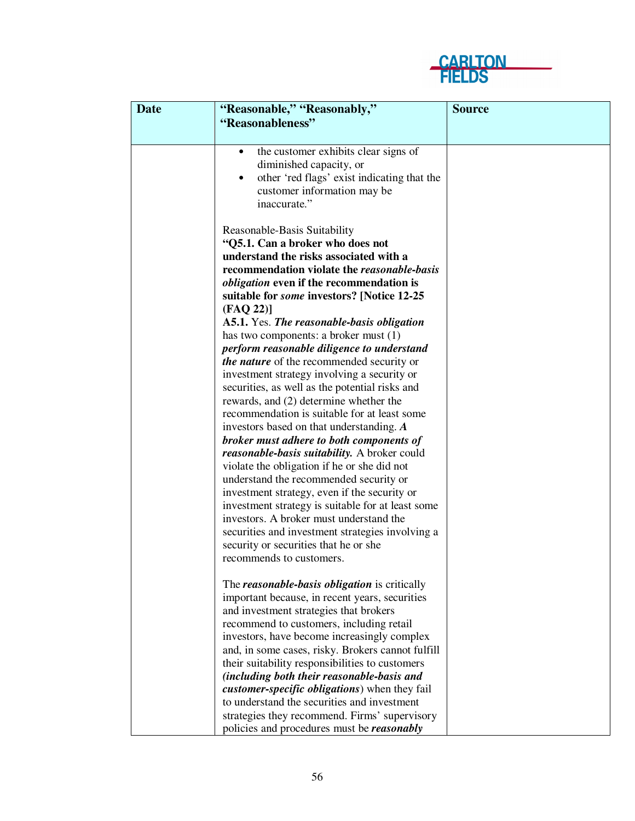

| <b>Date</b> | "Reasonable," "Reasonably,"                       | <b>Source</b> |
|-------------|---------------------------------------------------|---------------|
|             | "Reasonableness"                                  |               |
|             | the customer exhibits clear signs of<br>٠         |               |
|             | diminished capacity, or                           |               |
|             | other 'red flags' exist indicating that the<br>٠  |               |
|             | customer information may be                       |               |
|             | inaccurate."                                      |               |
|             | Reasonable-Basis Suitability                      |               |
|             | "Q5.1. Can a broker who does not                  |               |
|             | understand the risks associated with a            |               |
|             | recommendation violate the reasonable-basis       |               |
|             | <i>obligation</i> even if the recommendation is   |               |
|             | suitable for <i>some</i> investors? [Notice 12-25 |               |
|             | (FAQ 22)]                                         |               |
|             | A5.1. Yes. The reasonable-basis obligation        |               |
|             | has two components: a broker must $(1)$           |               |
|             | perform reasonable diligence to understand        |               |
|             | the nature of the recommended security or         |               |
|             | investment strategy involving a security or       |               |
|             | securities, as well as the potential risks and    |               |
|             | rewards, and (2) determine whether the            |               |
|             | recommendation is suitable for at least some      |               |
|             | investors based on that understanding. A          |               |
|             | broker must adhere to both components of          |               |
|             | reasonable-basis suitability. A broker could      |               |
|             | violate the obligation if he or she did not       |               |
|             | understand the recommended security or            |               |
|             | investment strategy, even if the security or      |               |
|             | investment strategy is suitable for at least some |               |
|             | investors. A broker must understand the           |               |
|             | securities and investment strategies involving a  |               |
|             | security or securities that he or she             |               |
|             | recommends to customers.                          |               |
|             | The reasonable-basis obligation is critically     |               |
|             | important because, in recent years, securities    |               |
|             | and investment strategies that brokers            |               |
|             | recommend to customers, including retail          |               |
|             | investors, have become increasingly complex       |               |
|             | and, in some cases, risky. Brokers cannot fulfill |               |
|             | their suitability responsibilities to customers   |               |
|             | (including both their reasonable-basis and        |               |
|             | customer-specific obligations) when they fail     |               |
|             | to understand the securities and investment       |               |
|             | strategies they recommend. Firms' supervisory     |               |
|             | policies and procedures must be reasonably        |               |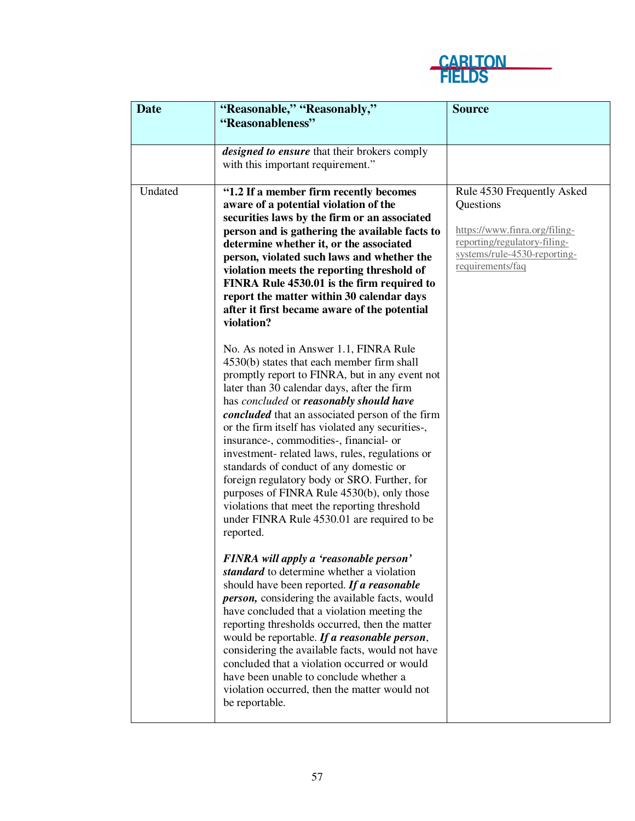

| <b>Date</b> | "Reasonable," "Reasonably,"                                                                                                                                                                                                                                                                                                                                                                                                                                                                                                                                                                                                                                                                | <b>Source</b>                                                                                                                                                |
|-------------|--------------------------------------------------------------------------------------------------------------------------------------------------------------------------------------------------------------------------------------------------------------------------------------------------------------------------------------------------------------------------------------------------------------------------------------------------------------------------------------------------------------------------------------------------------------------------------------------------------------------------------------------------------------------------------------------|--------------------------------------------------------------------------------------------------------------------------------------------------------------|
|             | "Reasonableness"                                                                                                                                                                                                                                                                                                                                                                                                                                                                                                                                                                                                                                                                           |                                                                                                                                                              |
|             | designed to ensure that their brokers comply<br>with this important requirement."                                                                                                                                                                                                                                                                                                                                                                                                                                                                                                                                                                                                          |                                                                                                                                                              |
| Undated     | "1.2 If a member firm recently becomes<br>aware of a potential violation of the<br>securities laws by the firm or an associated<br>person and is gathering the available facts to<br>determine whether it, or the associated<br>person, violated such laws and whether the<br>violation meets the reporting threshold of<br>FINRA Rule 4530.01 is the firm required to<br>report the matter within 30 calendar days<br>after it first became aware of the potential<br>violation?                                                                                                                                                                                                          | Rule 4530 Frequently Asked<br>Questions<br>https://www.finra.org/filing-<br>reporting/regulatory-filing-<br>systems/rule-4530-reporting-<br>requirements/faq |
|             | No. As noted in Answer 1.1, FINRA Rule<br>4530(b) states that each member firm shall<br>promptly report to FINRA, but in any event not<br>later than 30 calendar days, after the firm<br>has concluded or reasonably should have<br>concluded that an associated person of the firm<br>or the firm itself has violated any securities-,<br>insurance-, commodities-, financial- or<br>investment- related laws, rules, regulations or<br>standards of conduct of any domestic or<br>foreign regulatory body or SRO. Further, for<br>purposes of FINRA Rule 4530(b), only those<br>violations that meet the reporting threshold<br>under FINRA Rule 4530.01 are required to be<br>reported. |                                                                                                                                                              |
|             | FINRA will apply a 'reasonable person'<br>standard to determine whether a violation<br>should have been reported. If a reasonable<br><i>person</i> , considering the available facts, would<br>have concluded that a violation meeting the<br>reporting thresholds occurred, then the matter<br>would be reportable. If a reasonable person,<br>considering the available facts, would not have<br>concluded that a violation occurred or would<br>have been unable to conclude whether a<br>violation occurred, then the matter would not<br>be reportable.                                                                                                                               |                                                                                                                                                              |